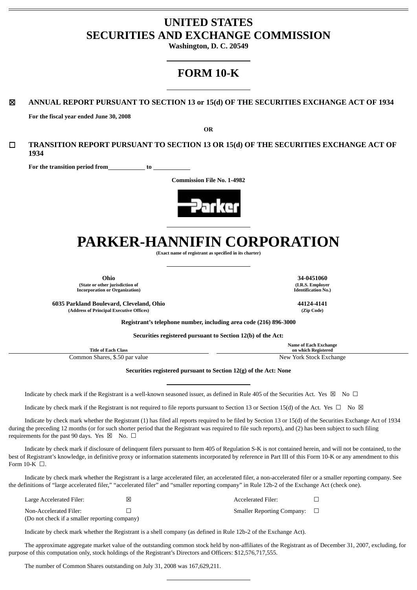# **UNITED STATES SECURITIES AND EXCHANGE COMMISSION**

**Washington, D. C. 20549**

# **FORM 10-K**

# ☒ **ANNUAL REPORT PURSUANT TO SECTION 13 or 15(d) OF THE SECURITIES EXCHANGE ACT OF 1934**

**For the fiscal year ended June 30, 2008**

**OR**

☐ **TRANSITION REPORT PURSUANT TO SECTION 13 OR 15(d) OF THE SECURITIES EXCHANGE ACT OF 1934**

**For the transition period from to** 

**Commission File No. 1-4982**



# **PARKER-HANNIFIN CORPORATION**

**(Exact name of registrant as specified in its charter)**

**Ohio 34-0451060 (State or other jurisdiction of Incorporation or Organization)**

**6035 Parkland Boulevard, Cleveland, Ohio 44124-4141 (Address of Principal Executive Offices) (Zip Code)**

**(I.R.S. Employer Identification No.)**

**Registrant's telephone number, including area code (216) 896-3000**

**Securities registered pursuant to Section 12(b) of the Act:**

|                                | Name of Each Exchange        |
|--------------------------------|------------------------------|
| <b>Title of Each Class</b>     | on which Registered          |
| Common Shares. \$.50 par value | ' York Stock Exchange<br>New |

#### **Securities registered pursuant to Section 12(g) of the Act: None**

Indicate by check mark if the Registrant is a well-known seasoned issuer, as defined in Rule 405 of the Securities Act. Yes  $\boxtimes$  No  $\Box$ 

Indicate by check mark if the Registrant is not required to file reports pursuant to Section 13 or Section 15(d) of the Act. Yes  $\Box$  No  $\boxtimes$ 

Indicate by check mark whether the Registrant (1) has filed all reports required to be filed by Section 13 or 15(d) of the Securities Exchange Act of 1934 during the preceding 12 months (or for such shorter period that the Registrant was required to file such reports), and (2) has been subject to such filing requirements for the past 90 days. Yes  $\boxtimes$  No.  $\Box$ 

Indicate by check mark if disclosure of delinquent filers pursuant to Item 405 of Regulation S-K is not contained herein, and will not be contained, to the best of Registrant's knowledge, in definitive proxy or information statements incorporated by reference in Part III of this Form 10-K or any amendment to this Form 10-K  $\Box$ .

Indicate by check mark whether the Registrant is a large accelerated filer, an accelerated filer, a non-accelerated filer or a smaller reporting company. See the definitions of "large accelerated filer," "accelerated filer" and "smaller reporting company" in Rule 12b-2 of the Exchange Act (check one).

| Large Accelerated Filer:                      | × | Accelerated Filer:                |  |
|-----------------------------------------------|---|-----------------------------------|--|
| Non-Accelerated Filer:                        |   | Smaller Reporting Company: $\Box$ |  |
| (Do not check if a smaller reporting company) |   |                                   |  |

Indicate by check mark whether the Registrant is a shell company (as defined in Rule 12b-2 of the Exchange Act).

The approximate aggregate market value of the outstanding common stock held by non-affiliates of the Registrant as of December 31, 2007, excluding, for purpose of this computation only, stock holdings of the Registrant's Directors and Officers: \$12,576,717,555.

The number of Common Shares outstanding on July 31, 2008 was 167,629,211.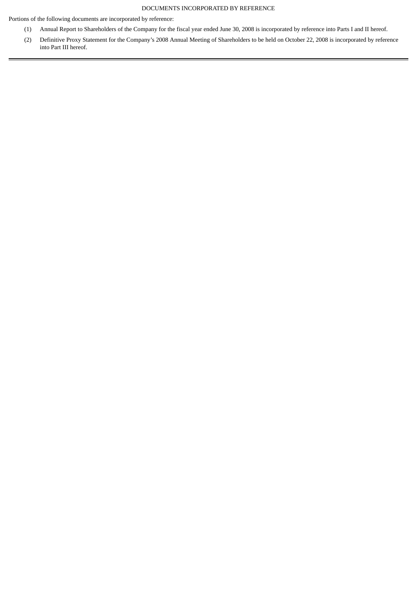# DOCUMENTS INCORPORATED BY REFERENCE

Portions of the following documents are incorporated by reference:

- (1) Annual Report to Shareholders of the Company for the fiscal year ended June 30, 2008 is incorporated by reference into Parts I and II hereof.
- (2) Definitive Proxy Statement for the Company's 2008 Annual Meeting of Shareholders to be held on October 22, 2008 is incorporated by reference into Part III hereof.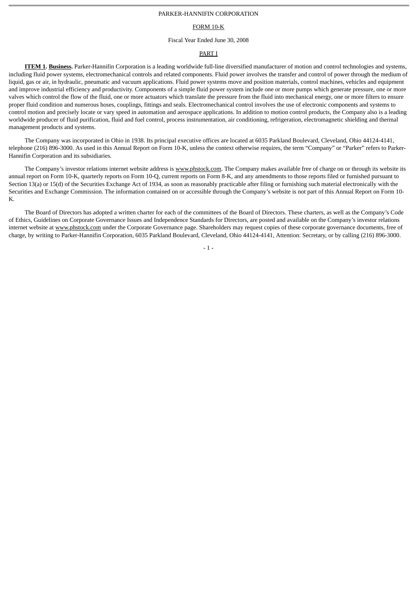#### PARKER-HANNIFIN CORPORATION

#### FORM 10-K

#### Fiscal Year Ended June 30, 2008

# PART I

**ITEM 1. Business.** Parker-Hannifin Corporation is a leading worldwide full-line diversified manufacturer of motion and control technologies and systems, including fluid power systems, electromechanical controls and related components. Fluid power involves the transfer and control of power through the medium of liquid, gas or air, in hydraulic, pneumatic and vacuum applications. Fluid power systems move and position materials, control machines, vehicles and equipment and improve industrial efficiency and productivity. Components of a simple fluid power system include one or more pumps which generate pressure, one or more valves which control the flow of the fluid, one or more actuators which translate the pressure from the fluid into mechanical energy, one or more filters to ensure proper fluid condition and numerous hoses, couplings, fittings and seals. Electromechanical control involves the use of electronic components and systems to control motion and precisely locate or vary speed in automation and aerospace applications. In addition to motion control products, the Company also is a leading worldwide producer of fluid purification, fluid and fuel control, process instrumentation, air conditioning, refrigeration, electromagnetic shielding and thermal management products and systems.

The Company was incorporated in Ohio in 1938. Its principal executive offices are located at 6035 Parkland Boulevard, Cleveland, Ohio 44124-4141, telephone (216) 896-3000. As used in this Annual Report on Form 10-K, unless the context otherwise requires, the term "Company" or "Parker" refers to Parker-Hannifin Corporation and its subsidiaries.

The Company's investor relations internet website address is www.phstock.com. The Company makes available free of charge on or through its website its annual report on Form 10-K, quarterly reports on Form 10-Q, current reports on Form 8-K, and any amendments to those reports filed or furnished pursuant to Section 13(a) or 15(d) of the Securities Exchange Act of 1934, as soon as reasonably practicable after filing or furnishing such material electronically with the Securities and Exchange Commission. The information contained on or accessible through the Company's website is not part of this Annual Report on Form 10- K.

The Board of Directors has adopted a written charter for each of the committees of the Board of Directors. These charters, as well as the Company's Code of Ethics, Guidelines on Corporate Governance Issues and Independence Standards for Directors, are posted and available on the Company's investor relations internet website at www.phstock.com under the Corporate Governance page. Shareholders may request copies of these corporate governance documents, free of charge, by writing to Parker-Hannifin Corporation, 6035 Parkland Boulevard, Cleveland, Ohio 44124-4141, Attention: Secretary, or by calling (216) 896-3000.

- 1 -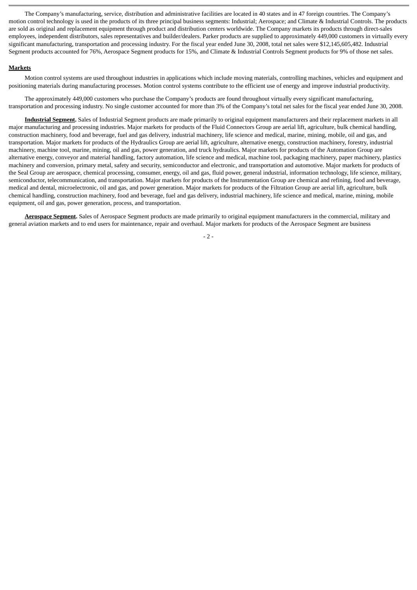The Company's manufacturing, service, distribution and administrative facilities are located in 40 states and in 47 foreign countries. The Company's motion control technology is used in the products of its three principal business segments: Industrial; Aerospace; and Climate & Industrial Controls. The products are sold as original and replacement equipment through product and distribution centers worldwide. The Company markets its products through direct-sales employees, independent distributors, sales representatives and builder/dealers. Parker products are supplied to approximately 449,000 customers in virtually every significant manufacturing, transportation and processing industry. For the fiscal year ended June 30, 2008, total net sales were \$12,145,605,482. Industrial Segment products accounted for 76%, Aerospace Segment products for 15%, and Climate & Industrial Controls Segment products for 9% of those net sales.

#### **Markets**

Motion control systems are used throughout industries in applications which include moving materials, controlling machines, vehicles and equipment and positioning materials during manufacturing processes. Motion control systems contribute to the efficient use of energy and improve industrial productivity.

The approximately 449,000 customers who purchase the Company's products are found throughout virtually every significant manufacturing, transportation and processing industry. No single customer accounted for more than 3% of the Company's total net sales for the fiscal year ended June 30, 2008.

**Industrial Segment.** Sales of Industrial Segment products are made primarily to original equipment manufacturers and their replacement markets in all major manufacturing and processing industries. Major markets for products of the Fluid Connectors Group are aerial lift, agriculture, bulk chemical handling, construction machinery, food and beverage, fuel and gas delivery, industrial machinery, life science and medical, marine, mining, mobile, oil and gas, and transportation. Major markets for products of the Hydraulics Group are aerial lift, agriculture, alternative energy, construction machinery, forestry, industrial machinery, machine tool, marine, mining, oil and gas, power generation, and truck hydraulics. Major markets for products of the Automation Group are alternative energy, conveyor and material handling, factory automation, life science and medical, machine tool, packaging machinery, paper machinery, plastics machinery and conversion, primary metal, safety and security, semiconductor and electronic, and transportation and automotive. Major markets for products of the Seal Group are aerospace, chemical processing, consumer, energy, oil and gas, fluid power, general industrial, information technology, life science, military, semiconductor, telecommunication, and transportation. Major markets for products of the Instrumentation Group are chemical and refining, food and beverage, medical and dental, microelectronic, oil and gas, and power generation. Major markets for products of the Filtration Group are aerial lift, agriculture, bulk chemical handling, construction machinery, food and beverage, fuel and gas delivery, industrial machinery, life science and medical, marine, mining, mobile equipment, oil and gas, power generation, process, and transportation.

**Aerospace Segment.** Sales of Aerospace Segment products are made primarily to original equipment manufacturers in the commercial, military and general aviation markets and to end users for maintenance, repair and overhaul. Major markets for products of the Aerospace Segment are business

 $-2 -$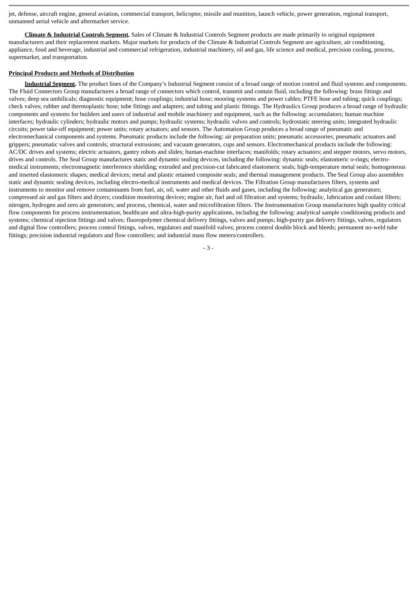jet, defense, aircraft engine, general aviation, commercial transport, helicopter, missile and munition, launch vehicle, power generation, regional transport, unmanned aerial vehicle and aftermarket service.

**Climate & Industrial Controls Segment.** Sales of Climate & Industrial Controls Segment products are made primarily to original equipment manufacturers and their replacement markets. Major markets for products of the Climate & Industrial Controls Segment are agriculture, air conditioning, appliance, food and beverage, industrial and commercial refrigeration, industrial machinery, oil and gas, life science and medical, precision cooling, process, supermarket, and transportation.

#### **Principal Products and Methods of Distribution**

**Industrial Segment.** The product lines of the Company's Industrial Segment consist of a broad range of motion control and fluid systems and components. The Fluid Connectors Group manufactures a broad range of connectors which control, transmit and contain fluid, including the following: brass fittings and valves; deep sea umbilicals; diagnostic equipment; hose couplings; industrial hose; mooring systems and power cables; PTFE hose and tubing; quick couplings; check valves; rubber and thermoplastic hose; tube fittings and adapters; and tubing and plastic fittings. The Hydraulics Group produces a broad range of hydraulic components and systems for builders and users of industrial and mobile machinery and equipment, such as the following: accumulators; human machine interfaces; hydraulic cylinders; hydraulic motors and pumps; hydraulic systems; hydraulic valves and controls; hydrostatic steering units; integrated hydraulic circuits; power take-off equipment; power units; rotary actuators; and sensors. The Automation Group produces a broad range of pneumatic and electromechanical components and systems. Pneumatic products include the following: air preparation units; pneumatic accessories; pneumatic actuators and grippers; pneumatic valves and controls; structural extrusions; and vacuum generators, cups and sensors. Electromechanical products include the following: AC/DC drives and systems; electric actuators, gantry robots and slides; human-machine interfaces; manifolds; rotary actuators; and stepper motors, servo motors, drives and controls. The Seal Group manufactures static and dynamic sealing devices, including the following: dynamic seals; elastomeric o-rings; electromedical instruments; electromagnetic interference shielding; extruded and precision-cut fabricated elastomeric seals; high-temperature metal seals; homogeneous and inserted elastomeric shapes; medical devices; metal and plastic retained composite seals; and thermal management products. The Seal Group also assembles static and dynamic sealing devices, including electro-medical instruments and medical devices. The Filtration Group manufactures filters, systems and instruments to monitor and remove contaminants from fuel, air, oil, water and other fluids and gases, including the following: analytical gas generators; compressed air and gas filters and dryers; condition monitoring devices; engine air, fuel and oil filtration and systems; hydraulic, lubrication and coolant filters; nitrogen, hydrogen and zero air generators; and process, chemical, water and microfiltration filters. The Instrumentation Group manufactures high quality critical flow components for process instrumentation, healthcare and ultra-high-purity applications, including the following: analytical sample conditioning products and systems; chemical injection fittings and valves; fluoropolymer chemical delivery fittings, valves and pumps; high-purity gas delivery fittings, valves, regulators and digital flow controllers; process control fittings, valves, regulators and manifold valves; process control double block and bleeds; permanent no-weld tube fittings; precision industrial regulators and flow controllers; and industrial mass flow meters/controllers.

- 3 -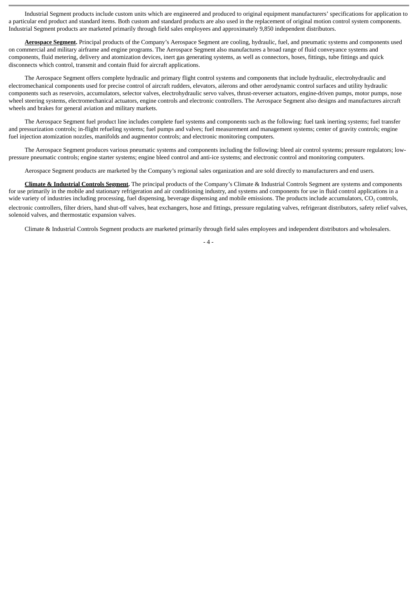Industrial Segment products include custom units which are engineered and produced to original equipment manufacturers' specifications for application to a particular end product and standard items. Both custom and standard products are also used in the replacement of original motion control system components. Industrial Segment products are marketed primarily through field sales employees and approximately 9,850 independent distributors.

Aerospace Segment. Principal products of the Company's Aerospace Segment are cooling, hydraulic, fuel, and pneumatic systems and components used on commercial and military airframe and engine programs. The Aerospace Segment also manufactures a broad range of fluid conveyance systems and components, fluid metering, delivery and atomization devices, inert gas generating systems, as well as connectors, hoses, fittings, tube fittings and quick disconnects which control, transmit and contain fluid for aircraft applications.

The Aerospace Segment offers complete hydraulic and primary flight control systems and components that include hydraulic, electrohydraulic and electromechanical components used for precise control of aircraft rudders, elevators, ailerons and other aerodynamic control surfaces and utility hydraulic components such as reservoirs, accumulators, selector valves, electrohydraulic servo valves, thrust-reverser actuators, engine-driven pumps, motor pumps, nose wheel steering systems, electromechanical actuators, engine controls and electronic controllers. The Aerospace Segment also designs and manufactures aircraft wheels and brakes for general aviation and military markets.

The Aerospace Segment fuel product line includes complete fuel systems and components such as the following: fuel tank inerting systems; fuel transfer and pressurization controls; in-flight refueling systems; fuel pumps and valves; fuel measurement and management systems; center of gravity controls; engine fuel injection atomization nozzles, manifolds and augmentor controls; and electronic monitoring computers.

The Aerospace Segment produces various pneumatic systems and components including the following: bleed air control systems; pressure regulators; lowpressure pneumatic controls; engine starter systems; engine bleed control and anti-ice systems; and electronic control and monitoring computers.

Aerospace Segment products are marketed by the Company's regional sales organization and are sold directly to manufacturers and end users.

**Climate & Industrial Controls Segment.** The principal products of the Company's Climate & Industrial Controls Segment are systems and components for use primarily in the mobile and stationary refrigeration and air conditioning industry, and systems and components for use in fluid control applications in a wide variety of industries including processing, fuel dispensing, beverage dispensing and mobile emissions. The products include accumulators, CO<sub>2</sub> controls, electronic controllers, filter driers, hand shut-off valves, heat exchangers, hose and fittings, pressure regulating valves, refrigerant distributors, safety relief valves, solenoid valves, and thermostatic expansion valves.

Climate & Industrial Controls Segment products are marketed primarily through field sales employees and independent distributors and wholesalers.  $-4-$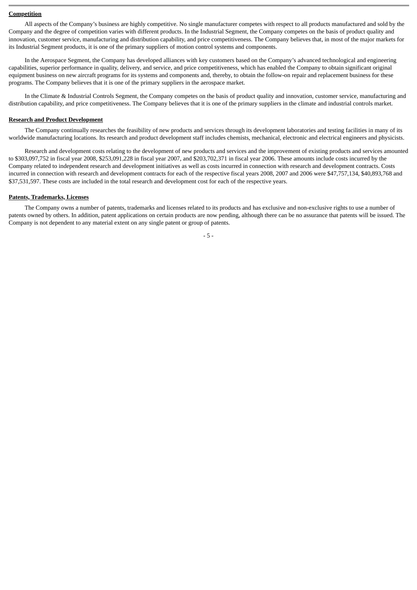#### **Competition**

All aspects of the Company's business are highly competitive. No single manufacturer competes with respect to all products manufactured and sold by the Company and the degree of competition varies with different products. In the Industrial Segment, the Company competes on the basis of product quality and innovation, customer service, manufacturing and distribution capability, and price competitiveness. The Company believes that, in most of the major markets for its Industrial Segment products, it is one of the primary suppliers of motion control systems and components.

In the Aerospace Segment, the Company has developed alliances with key customers based on the Company's advanced technological and engineering capabilities, superior performance in quality, delivery, and service, and price competitiveness, which has enabled the Company to obtain significant original equipment business on new aircraft programs for its systems and components and, thereby, to obtain the follow-on repair and replacement business for these programs. The Company believes that it is one of the primary suppliers in the aerospace market.

In the Climate & Industrial Controls Segment, the Company competes on the basis of product quality and innovation, customer service, manufacturing and distribution capability, and price competitiveness. The Company believes that it is one of the primary suppliers in the climate and industrial controls market.

#### **Research and Product Development**

The Company continually researches the feasibility of new products and services through its development laboratories and testing facilities in many of its worldwide manufacturing locations. Its research and product development staff includes chemists, mechanical, electronic and electrical engineers and physicists.

Research and development costs relating to the development of new products and services and the improvement of existing products and services amounted to \$303,097,752 in fiscal year 2008, \$253,091,228 in fiscal year 2007, and \$203,702,371 in fiscal year 2006. These amounts include costs incurred by the Company related to independent research and development initiatives as well as costs incurred in connection with research and development contracts. Costs incurred in connection with research and development contracts for each of the respective fiscal years 2008, 2007 and 2006 were \$47,757,134, \$40,893,768 and \$37,531,597. These costs are included in the total research and development cost for each of the respective years.

#### **Patents, Trademarks, Licenses**

The Company owns a number of patents, trademarks and licenses related to its products and has exclusive and non-exclusive rights to use a number of patents owned by others. In addition, patent applications on certain products are now pending, although there can be no assurance that patents will be issued. The Company is not dependent to any material extent on any single patent or group of patents.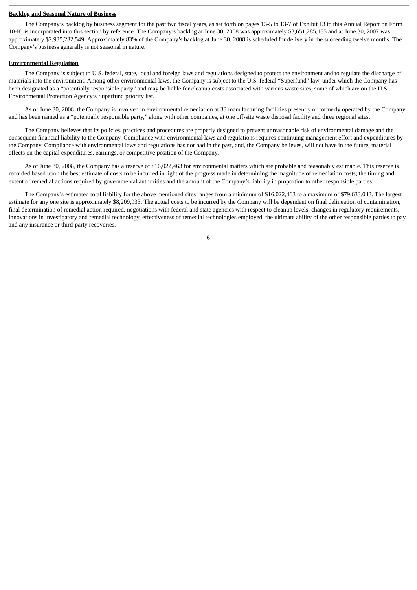#### **Backlog and Seasonal Nature of Business**

The Company's backlog by business segment for the past two fiscal years, as set forth on pages 13-5 to 13-7 of Exhibit 13 to this Annual Report on Form 10-K, is incorporated into this section by reference. The Company's backlog at June 30, 2008 was approximately \$3,651,285,185 and at June 30, 2007 was approximately \$2,935,232,549. Approximately 83% of the Company's backlog at June 30, 2008 is scheduled for delivery in the succeeding twelve months. The Company's business generally is not seasonal in nature.

#### **Environmental Regulation**

The Company is subject to U.S. federal, state, local and foreign laws and regulations designed to protect the environment and to regulate the discharge of materials into the environment. Among other environmental laws, the Company is subject to the U.S. federal "Superfund" law, under which the Company has been designated as a "potentially responsible party" and may be liable for cleanup costs associated with various waste sites, some of which are on the U.S. Environmental Protection Agency's Superfund priority list.

As of June 30, 2008, the Company is involved in environmental remediation at 33 manufacturing facilities presently or formerly operated by the Company and has been named as a "potentially responsible party," along with other companies, at one off-site waste disposal facility and three regional sites.

The Company believes that its policies, practices and procedures are properly designed to prevent unreasonable risk of environmental damage and the consequent financial liability to the Company. Compliance with environmental laws and regulations requires continuing management effort and expenditures by the Company. Compliance with environmental laws and regulations has not had in the past, and, the Company believes, will not have in the future, material effects on the capital expenditures, earnings, or competitive position of the Company.

As of June 30, 2008, the Company has a reserve of \$16,022,463 for environmental matters which are probable and reasonably estimable. This reserve is recorded based upon the best estimate of costs to be incurred in light of the progress made in determining the magnitude of remediation costs, the timing and extent of remedial actions required by governmental authorities and the amount of the Company's liability in proportion to other responsible parties.

The Company's estimated total liability for the above mentioned sites ranges from a minimum of \$16,022,463 to a maximum of \$79,633,043. The largest estimate for any one site is approximately \$8,209,933. The actual costs to be incurred by the Company will be dependent on final delineation of contamination, final determination of remedial action required, negotiations with federal and state agencies with respect to cleanup levels, changes in regulatory requirements, innovations in investigatory and remedial technology, effectiveness of remedial technologies employed, the ultimate ability of the other responsible parties to pay, and any insurance or third-party recoveries.

- 6 -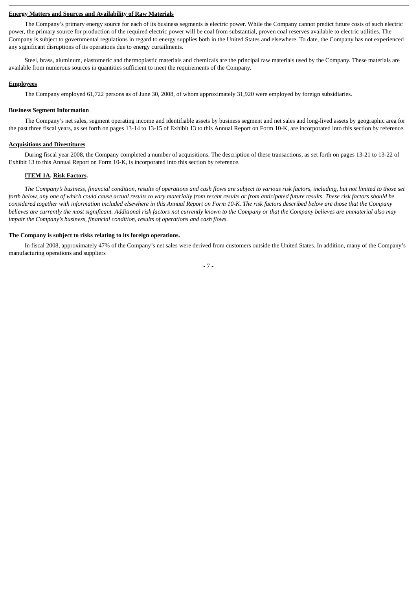#### **Energy Matters and Sources and Availability of Raw Materials**

The Company's primary energy source for each of its business segments is electric power. While the Company cannot predict future costs of such electric power, the primary source for production of the required electric power will be coal from substantial, proven coal reserves available to electric utilities. The Company is subject to governmental regulations in regard to energy supplies both in the United States and elsewhere. To date, the Company has not experienced any significant disruptions of its operations due to energy curtailments.

Steel, brass, aluminum, elastomeric and thermoplastic materials and chemicals are the principal raw materials used by the Company. These materials are available from numerous sources in quantities sufficient to meet the requirements of the Company.

#### **Employees**

The Company employed 61,722 persons as of June 30, 2008, of whom approximately 31,920 were employed by foreign subsidiaries.

#### **Business Segment Information**

The Company's net sales, segment operating income and identifiable assets by business segment and net sales and long-lived assets by geographic area for the past three fiscal years, as set forth on pages 13-14 to 13-15 of Exhibit 13 to this Annual Report on Form 10-K, are incorporated into this section by reference.

#### **Acquisitions and Divestitures**

During fiscal year 2008, the Company completed a number of acquisitions. The description of these transactions, as set forth on pages 13-21 to 13-22 of Exhibit 13 to this Annual Report on Form 10-K, is incorporated into this section by reference.

#### **ITEM 1A. Risk Factors.**

*The Company's business, financial condition, results of operations and cash flows are subject to various risk factors, including, but not limited to those set forth below, any one of which could cause actual results to vary materially from recent results or from anticipated future results. These risk factors should be considered together with information included elsewhere in this Annual Report on Form 10-K. The risk factors described below are those that the Company believes are currently the most significant. Additional risk factors not currently known to the Company or that the Company believes are immaterial also may impair the Company's business, financial condition, results of operations and cash flows.*

#### **The Company is subject to risks relating to its foreign operations.**

In fiscal 2008, approximately 47% of the Company's net sales were derived from customers outside the United States. In addition, many of the Company's manufacturing operations and suppliers

- 7 -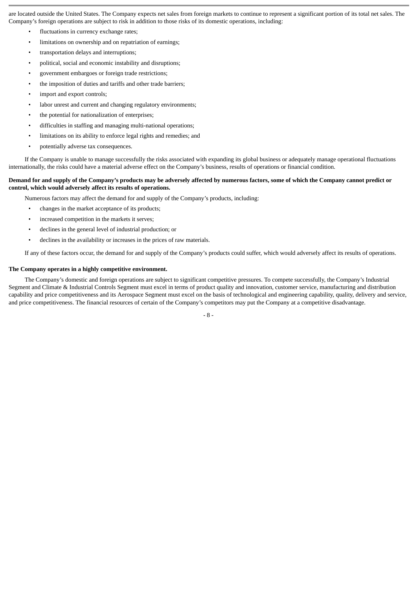are located outside the United States. The Company expects net sales from foreign markets to continue to represent a significant portion of its total net sales. The Company's foreign operations are subject to risk in addition to those risks of its domestic operations, including:

- fluctuations in currency exchange rates;
- limitations on ownership and on repatriation of earnings;
- transportation delays and interruptions;
- political, social and economic instability and disruptions;
- government embargoes or foreign trade restrictions;
- the imposition of duties and tariffs and other trade barriers;
- import and export controls;
- labor unrest and current and changing regulatory environments;
- the potential for nationalization of enterprises;
- difficulties in staffing and managing multi-national operations;
- limitations on its ability to enforce legal rights and remedies; and
- potentially adverse tax consequences.

If the Company is unable to manage successfully the risks associated with expanding its global business or adequately manage operational fluctuations internationally, the risks could have a material adverse effect on the Company's business, results of operations or financial condition.

## **Demand for and supply of the Company's products may be adversely affected by numerous factors, some of which the Company cannot predict or control, which would adversely affect its results of operations.**

Numerous factors may affect the demand for and supply of the Company's products, including:

- changes in the market acceptance of its products;
- increased competition in the markets it serves;
- declines in the general level of industrial production; or
- declines in the availability or increases in the prices of raw materials.

If any of these factors occur, the demand for and supply of the Company's products could suffer, which would adversely affect its results of operations.

#### **The Company operates in a highly competitive environment.**

The Company's domestic and foreign operations are subject to significant competitive pressures. To compete successfully, the Company's Industrial Segment and Climate & Industrial Controls Segment must excel in terms of product quality and innovation, customer service, manufacturing and distribution capability and price competitiveness and its Aerospace Segment must excel on the basis of technological and engineering capability, quality, delivery and service, and price competitiveness. The financial resources of certain of the Company's competitors may put the Company at a competitive disadvantage.

- 8 -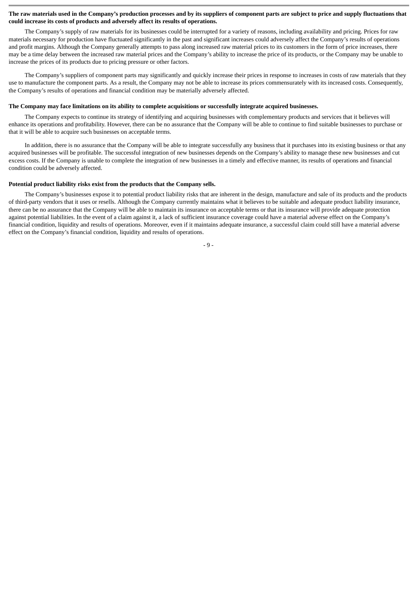#### **The raw materials used in the Company's production processes and by its suppliers of component parts are subject to price and supply fluctuations that could increase its costs of products and adversely affect its results of operations.**

The Company's supply of raw materials for its businesses could be interrupted for a variety of reasons, including availability and pricing. Prices for raw materials necessary for production have fluctuated significantly in the past and significant increases could adversely affect the Company's results of operations and profit margins. Although the Company generally attempts to pass along increased raw material prices to its customers in the form of price increases, there may be a time delay between the increased raw material prices and the Company's ability to increase the price of its products, or the Company may be unable to increase the prices of its products due to pricing pressure or other factors.

The Company's suppliers of component parts may significantly and quickly increase their prices in response to increases in costs of raw materials that they use to manufacture the component parts. As a result, the Company may not be able to increase its prices commensurately with its increased costs. Consequently, the Company's results of operations and financial condition may be materially adversely affected.

#### **The Company may face limitations on its ability to complete acquisitions or successfully integrate acquired businesses.**

The Company expects to continue its strategy of identifying and acquiring businesses with complementary products and services that it believes will enhance its operations and profitability. However, there can be no assurance that the Company will be able to continue to find suitable businesses to purchase or that it will be able to acquire such businesses on acceptable terms.

In addition, there is no assurance that the Company will be able to integrate successfully any business that it purchases into its existing business or that any acquired businesses will be profitable. The successful integration of new businesses depends on the Company's ability to manage these new businesses and cut excess costs. If the Company is unable to complete the integration of new businesses in a timely and effective manner, its results of operations and financial condition could be adversely affected.

#### **Potential product liability risks exist from the products that the Company sells.**

The Company's businesses expose it to potential product liability risks that are inherent in the design, manufacture and sale of its products and the products of third-party vendors that it uses or resells. Although the Company currently maintains what it believes to be suitable and adequate product liability insurance, there can be no assurance that the Company will be able to maintain its insurance on acceptable terms or that its insurance will provide adequate protection against potential liabilities. In the event of a claim against it, a lack of sufficient insurance coverage could have a material adverse effect on the Company's financial condition, liquidity and results of operations. Moreover, even if it maintains adequate insurance, a successful claim could still have a material adverse effect on the Company's financial condition, liquidity and results of operations.

 $\alpha$  -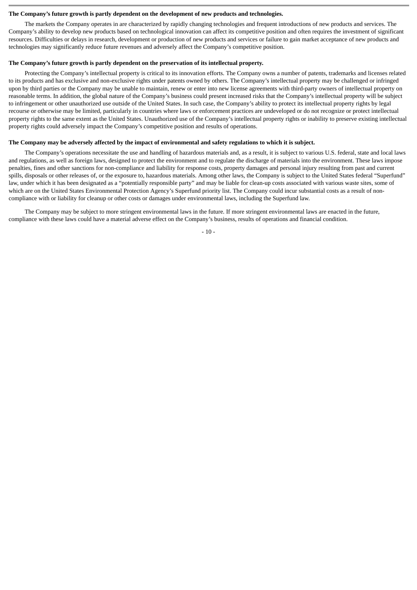#### **The Company's future growth is partly dependent on the development of new products and technologies.**

The markets the Company operates in are characterized by rapidly changing technologies and frequent introductions of new products and services. The Company's ability to develop new products based on technological innovation can affect its competitive position and often requires the investment of significant resources. Difficulties or delays in research, development or production of new products and services or failure to gain market acceptance of new products and technologies may significantly reduce future revenues and adversely affect the Company's competitive position.

#### **The Company's future growth is partly dependent on the preservation of its intellectual property.**

Protecting the Company's intellectual property is critical to its innovation efforts. The Company owns a number of patents, trademarks and licenses related to its products and has exclusive and non-exclusive rights under patents owned by others. The Company's intellectual property may be challenged or infringed upon by third parties or the Company may be unable to maintain, renew or enter into new license agreements with third-party owners of intellectual property on reasonable terms. In addition, the global nature of the Company's business could present increased risks that the Company's intellectual property will be subject to infringement or other unauthorized use outside of the United States. In such case, the Company's ability to protect its intellectual property rights by legal recourse or otherwise may be limited, particularly in countries where laws or enforcement practices are undeveloped or do not recognize or protect intellectual property rights to the same extent as the United States. Unauthorized use of the Company's intellectual property rights or inability to preserve existing intellectual property rights could adversely impact the Company's competitive position and results of operations.

#### **The Company may be adversely affected by the impact of environmental and safety regulations to which it is subject.**

The Company's operations necessitate the use and handling of hazardous materials and, as a result, it is subject to various U.S. federal, state and local laws and regulations, as well as foreign laws, designed to protect the environment and to regulate the discharge of materials into the environment. These laws impose penalties, fines and other sanctions for non-compliance and liability for response costs, property damages and personal injury resulting from past and current spills, disposals or other releases of, or the exposure to, hazardous materials. Among other laws, the Company is subject to the United States federal "Superfund" law, under which it has been designated as a "potentially responsible party" and may be liable for clean-up costs associated with various waste sites, some of which are on the United States Environmental Protection Agency's Superfund priority list. The Company could incur substantial costs as a result of noncompliance with or liability for cleanup or other costs or damages under environmental laws, including the Superfund law.

The Company may be subject to more stringent environmental laws in the future. If more stringent environmental laws are enacted in the future, compliance with these laws could have a material adverse effect on the Company's business, results of operations and financial condition.

#### $-10-$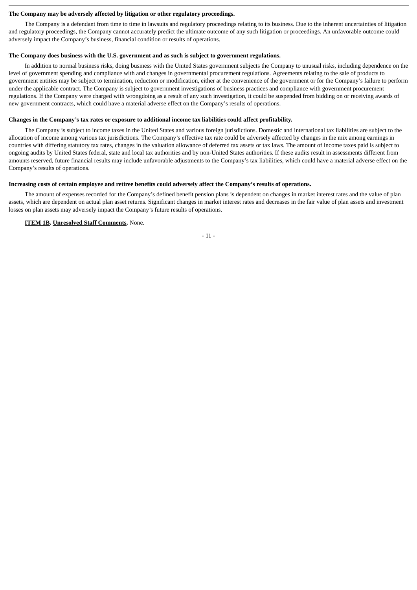#### **The Company may be adversely affected by litigation or other regulatory proceedings.**

The Company is a defendant from time to time in lawsuits and regulatory proceedings relating to its business. Due to the inherent uncertainties of litigation and regulatory proceedings, the Company cannot accurately predict the ultimate outcome of any such litigation or proceedings. An unfavorable outcome could adversely impact the Company's business, financial condition or results of operations.

#### **The Company does business with the U.S. government and as such is subject to government regulations.**

In addition to normal business risks, doing business with the United States government subjects the Company to unusual risks, including dependence on the level of government spending and compliance with and changes in governmental procurement regulations. Agreements relating to the sale of products to government entities may be subject to termination, reduction or modification, either at the convenience of the government or for the Company's failure to perform under the applicable contract. The Company is subject to government investigations of business practices and compliance with government procurement regulations. If the Company were charged with wrongdoing as a result of any such investigation, it could be suspended from bidding on or receiving awards of new government contracts, which could have a material adverse effect on the Company's results of operations.

#### **Changes in the Company's tax rates or exposure to additional income tax liabilities could affect profitability.**

The Company is subject to income taxes in the United States and various foreign jurisdictions. Domestic and international tax liabilities are subject to the allocation of income among various tax jurisdictions. The Company's effective tax rate could be adversely affected by changes in the mix among earnings in countries with differing statutory tax rates, changes in the valuation allowance of deferred tax assets or tax laws. The amount of income taxes paid is subject to ongoing audits by United States federal, state and local tax authorities and by non-United States authorities. If these audits result in assessments different from amounts reserved, future financial results may include unfavorable adjustments to the Company's tax liabilities, which could have a material adverse effect on the Company's results of operations.

#### **Increasing costs of certain employee and retiree benefits could adversely affect the Company's results of operations.**

The amount of expenses recorded for the Company's defined benefit pension plans is dependent on changes in market interest rates and the value of plan assets, which are dependent on actual plan asset returns. Significant changes in market interest rates and decreases in the fair value of plan assets and investment losses on plan assets may adversely impact the Company's future results of operations.

#### **ITEM 1B. Unresolved Staff Comments.** None.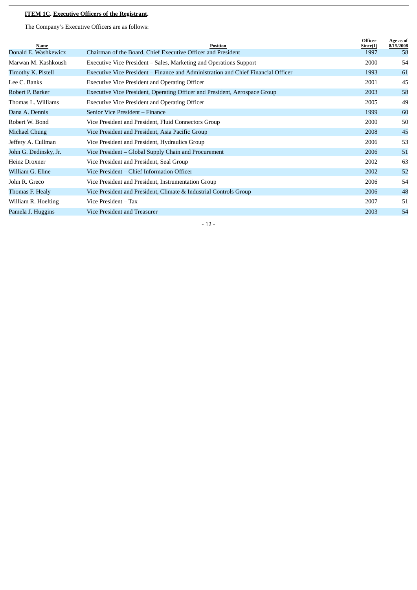# **ITEM 1C. Executive Officers of the Registrant.**

The Company's Executive Officers are as follows:

| Name                  | Position                                                                          | <b>Officer</b><br>Since(1) | Age as of<br>8/15/2008 |
|-----------------------|-----------------------------------------------------------------------------------|----------------------------|------------------------|
| Donald E. Washkewicz  | Chairman of the Board, Chief Executive Officer and President                      | 1997                       | 58                     |
| Marwan M. Kashkoush   | Executive Vice President – Sales, Marketing and Operations Support                | 2000                       | 54                     |
| Timothy K. Pistell    | Executive Vice President – Finance and Administration and Chief Financial Officer | 1993                       | 61                     |
| Lee C. Banks          | <b>Executive Vice President and Operating Officer</b>                             | 2001                       | 45                     |
| Robert P. Barker      | <b>Executive Vice President, Operating Officer and President, Aerospace Group</b> | 2003                       | 58                     |
| Thomas L. Williams    | <b>Executive Vice President and Operating Officer</b>                             | 2005                       | 49                     |
| Dana A. Dennis        | Senior Vice President – Finance                                                   | 1999                       | 60                     |
| Robert W. Bond        | Vice President and President, Fluid Connectors Group                              | 2000                       | 50                     |
| Michael Chung         | Vice President and President, Asia Pacific Group                                  | 2008                       | 45                     |
| Jeffery A. Cullman    | Vice President and President, Hydraulics Group                                    | 2006                       | 53                     |
| John G. Dedinsky, Jr. | Vice President – Global Supply Chain and Procurement                              | 2006                       | 51                     |
| Heinz Droxner         | Vice President and President, Seal Group                                          | 2002                       | 63                     |
| William G. Eline      | Vice President – Chief Information Officer                                        | 2002                       | 52                     |
| John R. Greco         | Vice President and President, Instrumentation Group                               | 2006                       | 54                     |
| Thomas F. Healy       | Vice President and President, Climate & Industrial Controls Group                 | 2006                       | 48                     |
| William R. Hoelting   | Vice President – Tax                                                              | 2007                       | 51                     |
| Pamela J. Huggins     | Vice President and Treasurer                                                      | 2003                       | 54                     |

- 12 -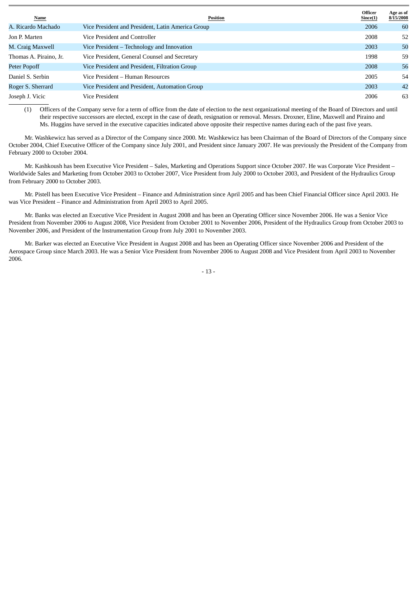| Name                   | <b>Position</b>                                   | Officer<br>$Since (1)$ | Age as of<br>8/15/2008 |
|------------------------|---------------------------------------------------|------------------------|------------------------|
| A. Ricardo Machado     | Vice President and President, Latin America Group | 2006                   | 60                     |
| Jon P. Marten          | Vice President and Controller                     | 2008                   | 52                     |
| M. Craig Maxwell       | Vice President – Technology and Innovation        | 2003                   | 50                     |
| Thomas A. Piraino, Jr. | Vice President, General Counsel and Secretary     | 1998                   | 59                     |
| Peter Popoff           | Vice President and President, Filtration Group    | 2008                   | 56                     |
| Daniel S. Serbin       | Vice President – Human Resources                  | 2005                   | 54                     |
| Roger S. Sherrard      | Vice President and President, Automation Group    | 2003                   | 42                     |
| Joseph J. Vicic        | Vice President                                    | 2006                   | 63                     |

(1) Officers of the Company serve for a term of office from the date of election to the next organizational meeting of the Board of Directors and until their respective successors are elected, except in the case of death, resignation or removal. Messrs. Droxner, Eline, Maxwell and Piraino and Ms. Huggins have served in the executive capacities indicated above opposite their respective names during each of the past five years.

Mr. Washkewicz has served as a Director of the Company since 2000. Mr. Washkewicz has been Chairman of the Board of Directors of the Company since October 2004, Chief Executive Officer of the Company since July 2001, and President since January 2007. He was previously the President of the Company from February 2000 to October 2004.

Mr. Kashkoush has been Executive Vice President – Sales, Marketing and Operations Support since October 2007. He was Corporate Vice President – Worldwide Sales and Marketing from October 2003 to October 2007, Vice President from July 2000 to October 2003, and President of the Hydraulics Group from February 2000 to October 2003.

Mr. Pistell has been Executive Vice President – Finance and Administration since April 2005 and has been Chief Financial Officer since April 2003. He was Vice President – Finance and Administration from April 2003 to April 2005.

Mr. Banks was elected an Executive Vice President in August 2008 and has been an Operating Officer since November 2006. He was a Senior Vice President from November 2006 to August 2008, Vice President from October 2001 to November 2006, President of the Hydraulics Group from October 2003 to November 2006, and President of the Instrumentation Group from July 2001 to November 2003.

Mr. Barker was elected an Executive Vice President in August 2008 and has been an Operating Officer since November 2006 and President of the Aerospace Group since March 2003. He was a Senior Vice President from November 2006 to August 2008 and Vice President from April 2003 to November 2006.

- 13 -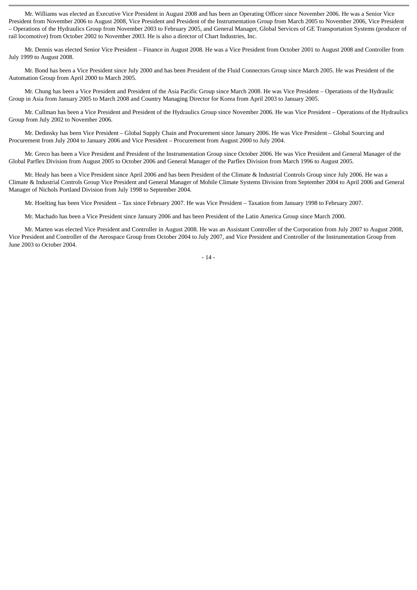Mr. Williams was elected an Executive Vice President in August 2008 and has been an Operating Officer since November 2006. He was a Senior Vice President from November 2006 to August 2008, Vice President and President of the Instrumentation Group from March 2005 to November 2006, Vice President – Operations of the Hydraulics Group from November 2003 to February 2005, and General Manager, Global Services of GE Transportation Systems (producer of rail locomotive) from October 2002 to November 2003. He is also a director of Chart Industries, Inc.

Mr. Dennis was elected Senior Vice President – Finance in August 2008. He was a Vice President from October 2001 to August 2008 and Controller from July 1999 to August 2008.

Mr. Bond has been a Vice President since July 2000 and has been President of the Fluid Connectors Group since March 2005. He was President of the Automation Group from April 2000 to March 2005.

Mr. Chung has been a Vice President and President of the Asia Pacific Group since March 2008. He was Vice President – Operations of the Hydraulic Group in Asia from January 2005 to March 2008 and Country Managing Director for Korea from April 2003 to January 2005.

Mr. Cullman has been a Vice President and President of the Hydraulics Group since November 2006. He was Vice President – Operations of the Hydraulics Group from July 2002 to November 2006.

Mr. Dedinsky has been Vice President – Global Supply Chain and Procurement since January 2006. He was Vice President – Global Sourcing and Procurement from July 2004 to January 2006 and Vice President – Procurement from August 2000 to July 2004.

Mr. Greco has been a Vice President and President of the Instrumentation Group since October 2006. He was Vice President and General Manager of the Global Parflex Division from August 2005 to October 2006 and General Manager of the Parflex Division from March 1996 to August 2005.

Mr. Healy has been a Vice President since April 2006 and has been President of the Climate & Industrial Controls Group since July 2006. He was a Climate & Industrial Controls Group Vice President and General Manager of Mobile Climate Systems Division from September 2004 to April 2006 and General Manager of Nichols Portland Division from July 1998 to September 2004.

Mr. Hoelting has been Vice President – Tax since February 2007. He was Vice President – Taxation from January 1998 to February 2007.

Mr. Machado has been a Vice President since January 2006 and has been President of the Latin America Group since March 2000.

Mr. Marten was elected Vice President and Controller in August 2008. He was an Assistant Controller of the Corporation from July 2007 to August 2008, Vice President and Controller of the Aerospace Group from October 2004 to July 2007, and Vice President and Controller of the Instrumentation Group from June 2003 to October 2004.

- 14 -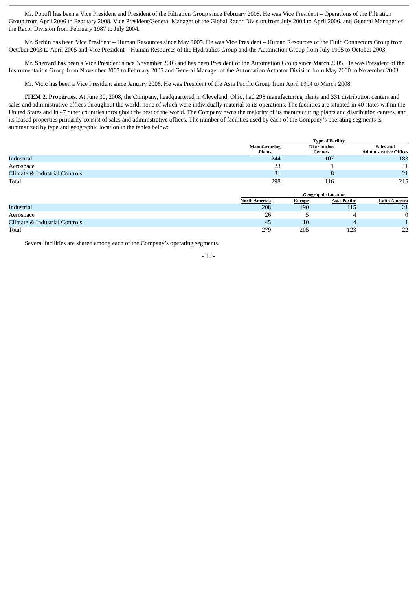Mr. Popoff has been a Vice President and President of the Filtration Group since February 2008. He was Vice President – Operations of the Filtration Group from April 2006 to February 2008, Vice President/General Manager of the Global Racor Division from July 2004 to April 2006, and General Manager of the Racor Division from February 1987 to July 2004.

Mr. Serbin has been Vice President – Human Resources since May 2005. He was Vice President – Human Resources of the Fluid Connectors Group from October 2003 to April 2005 and Vice President – Human Resources of the Hydraulics Group and the Automation Group from July 1995 to October 2003.

Mr. Sherrard has been a Vice President since November 2003 and has been President of the Automation Group since March 2005. He was President of the Instrumentation Group from November 2003 to February 2005 and General Manager of the Automation Actuator Division from May 2000 to November 2003.

Mr. Vicic has been a Vice President since January 2006. He was President of the Asia Pacific Group from April 1994 to March 2008.

**ITEM 2. Properties.** At June 30, 2008, the Company, headquartered in Cleveland, Ohio, had 298 manufacturing plants and 331 distribution centers and sales and administrative offices throughout the world, none of which were individually material to its operations. The facilities are situated in 40 states within the United States and in 47 other countries throughout the rest of the world. The Company owns the majority of its manufacturing plants and distribution centers, and its leased properties primarily consist of sales and administrative offices. The number of facilities used by each of the Company's operating segments is summarized by type and geographic location in the tables below:

|                               |                                       | <b>Type of Facility</b>               |                                            |  |
|-------------------------------|---------------------------------------|---------------------------------------|--------------------------------------------|--|
|                               | <b>Manufacturing</b><br><b>Plants</b> | <b>Distribution</b><br><b>Centers</b> | Sales and<br><b>Administrative Offices</b> |  |
| <b>Industrial</b>             | 244                                   | 107                                   | 183                                        |  |
| Aerospace                     | 23                                    |                                       |                                            |  |
| Climate & Industrial Controls | 31                                    |                                       | 21                                         |  |
| Total                         | 298                                   | 116                                   | 215                                        |  |

|                               |                      | <b>Geographic Location</b> |                     |                             |  |
|-------------------------------|----------------------|----------------------------|---------------------|-----------------------------|--|
|                               | <b>North America</b> | Europe                     | <b>Asia-Pacific</b> | Latin America               |  |
| Industrial                    | 208                  | 190                        | 115                 | $\mathcal{D}$ 1<br>$\sim$ 1 |  |
| Aerospace                     | 26                   |                            |                     | $\Omega$                    |  |
| Climate & Industrial Controls | 45                   | 10                         |                     |                             |  |
| Total                         | 279                  | 205                        | 123                 | 22                          |  |

Several facilities are shared among each of the Company's operating segments.

- 15 -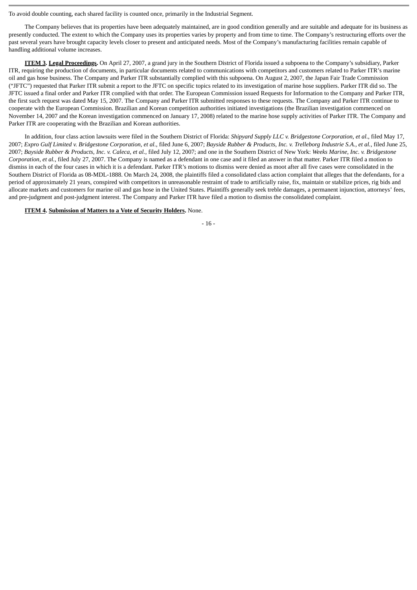To avoid double counting, each shared facility is counted once, primarily in the Industrial Segment.

The Company believes that its properties have been adequately maintained, are in good condition generally and are suitable and adequate for its business as presently conducted. The extent to which the Company uses its properties varies by property and from time to time. The Company's restructuring efforts over the past several years have brought capacity levels closer to present and anticipated needs. Most of the Company's manufacturing facilities remain capable of handling additional volume increases.

**ITEM 3. Legal Proceedings.** On April 27, 2007, a grand jury in the Southern District of Florida issued a subpoena to the Company's subsidiary, Parker ITR, requiring the production of documents, in particular documents related to communications with competitors and customers related to Parker ITR's marine oil and gas hose business. The Company and Parker ITR substantially complied with this subpoena. On August 2, 2007, the Japan Fair Trade Commission ("JFTC") requested that Parker ITR submit a report to the JFTC on specific topics related to its investigation of marine hose suppliers. Parker ITR did so. The JFTC issued a final order and Parker ITR complied with that order. The European Commission issued Requests for Information to the Company and Parker ITR, the first such request was dated May 15, 2007. The Company and Parker ITR submitted responses to these requests. The Company and Parker ITR continue to cooperate with the European Commission. Brazilian and Korean competition authorities initiated investigations (the Brazilian investigation commenced on November 14, 2007 and the Korean investigation commenced on January 17, 2008) related to the marine hose supply activities of Parker ITR. The Company and Parker ITR are cooperating with the Brazilian and Korean authorities.

In addition, four class action lawsuits were filed in the Southern District of Florida: *Shipyard Supply LLC v. Bridgestone Corporation, et al*., filed May 17, 2007; *Expro Gulf Limited v. Bridgestone Corporation, et al.*, filed June 6, 2007; *Bayside Rubber & Products, Inc. v. Trelleborg Industrie S.A., et al.*, filed June 25, 2007; *Bayside Rubber & Products, Inc. v. Caleca, et al.*, filed July 12, 2007; and one in the Southern District of New York: *Weeks Marine, Inc. v. Bridgestone Corporation, et al.*, filed July 27, 2007. The Company is named as a defendant in one case and it filed an answer in that matter. Parker ITR filed a motion to dismiss in each of the four cases in which it is a defendant. Parker ITR's motions to dismiss were denied as moot after all five cases were consolidated in the Southern District of Florida as 08-MDL-1888. On March 24, 2008, the plaintiffs filed a consolidated class action complaint that alleges that the defendants, for a period of approximately 21 years, conspired with competitors in unreasonable restraint of trade to artificially raise, fix, maintain or stabilize prices, rig bids and allocate markets and customers for marine oil and gas hose in the United States. Plaintiffs generally seek treble damages, a permanent injunction, attorneys' fees, and pre-judgment and post-judgment interest. The Company and Parker ITR have filed a motion to dismiss the consolidated complaint.

**ITEM 4. Submission of Matters to a Vote of Security Holders.** None.

- 16 -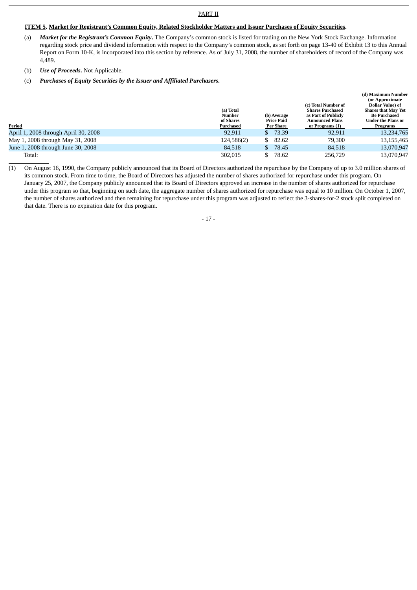#### PART II

# **ITEM 5. Market for Registrant's Common Equity, Related Stockholder Matters and Issuer Purchases of Equity Securities.**

- (a) *Market for the Registrant's Common Equity***.** The Company's common stock is listed for trading on the New York Stock Exchange. Information regarding stock price and dividend information with respect to the Company's common stock, as set forth on page 13-40 of Exhibit 13 to this Annual Report on Form 10-K, is incorporated into this section by reference. As of July 31, 2008, the number of shareholders of record of the Company was 4,489.
- (b) *Use of Proceeds***.** Not Applicable.
- (c) *Purchases of Equity Securities by the Issuer and Affiliated Purchasers***.**

|                                      | (a) Total<br>Number<br>of Shares | (b) Average<br><b>Price Paid</b> | (c) Total Number of<br><b>Shares Purchased</b><br>as Part of Publicly<br><b>Announced Plans</b> | (d) Maximum Number<br>(or Approximate)<br>Dollar Value) of<br><b>Shares that May Yet</b><br><b>Be Purchased</b><br><b>Under the Plans or</b> |
|--------------------------------------|----------------------------------|----------------------------------|-------------------------------------------------------------------------------------------------|----------------------------------------------------------------------------------------------------------------------------------------------|
| Period                               | Purchased                        | Per Share                        | or Programs (1)                                                                                 | Programs                                                                                                                                     |
| April 1, 2008 through April 30, 2008 | 92.911                           | 73.39                            | 92,911                                                                                          | 13,234,765                                                                                                                                   |
| May 1, 2008 through May 31, 2008     | 124,586(2)                       | 82.62<br>SS.                     | 79.300                                                                                          | 13,155,465                                                                                                                                   |
| June 1, 2008 through June 30, 2008   | 84,518                           | 78.45                            | 84.518                                                                                          | 13,070,947                                                                                                                                   |
| Total:                               | 302,015                          | 78.62                            | 256,729                                                                                         | 13.070.947                                                                                                                                   |

(1) On August 16, 1990, the Company publicly announced that its Board of Directors authorized the repurchase by the Company of up to 3.0 million shares of its common stock. From time to time, the Board of Directors has adjusted the number of shares authorized for repurchase under this program. On January 25, 2007, the Company publicly announced that its Board of Directors approved an increase in the number of shares authorized for repurchase under this program so that, beginning on such date, the aggregate number of shares authorized for repurchase was equal to 10 million. On October 1, 2007, the number of shares authorized and then remaining for repurchase under this program was adjusted to reflect the 3-shares-for-2 stock split completed on that date. There is no expiration date for this program.

- 17 -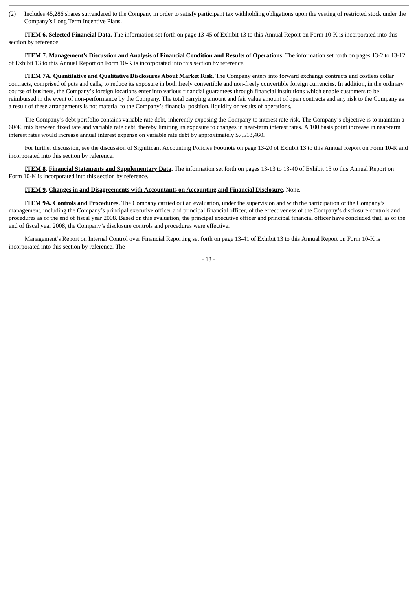(2) Includes 45,286 shares surrendered to the Company in order to satisfy participant tax withholding obligations upon the vesting of restricted stock under the Company's Long Term Incentive Plans.

**ITEM 6. Selected Financial Data.** The information set forth on page 13-45 of Exhibit 13 to this Annual Report on Form 10-K is incorporated into this section by reference.

**ITEM 7. Management's Discussion and Analysis of Financial Condition and Results of Operations.** The information set forth on pages 13-2 to 13-12 of Exhibit 13 to this Annual Report on Form 10-K is incorporated into this section by reference.

**ITEM 7A**. **Quantitative and Qualitative Disclosures About Market Risk.** The Company enters into forward exchange contracts and costless collar contracts, comprised of puts and calls, to reduce its exposure in both freely convertible and non-freely convertible foreign currencies. In addition, in the ordinary course of business, the Company's foreign locations enter into various financial guarantees through financial institutions which enable customers to be reimbursed in the event of non-performance by the Company. The total carrying amount and fair value amount of open contracts and any risk to the Company as a result of these arrangements is not material to the Company's financial position, liquidity or results of operations.

The Company's debt portfolio contains variable rate debt, inherently exposing the Company to interest rate risk. The Company's objective is to maintain a 60/40 mix between fixed rate and variable rate debt, thereby limiting its exposure to changes in near-term interest rates. A 100 basis point increase in near-term interest rates would increase annual interest expense on variable rate debt by approximately \$7,518,460.

For further discussion, see the discussion of Significant Accounting Policies Footnote on page 13-20 of Exhibit 13 to this Annual Report on Form 10-K and incorporated into this section by reference.

**ITEM 8. Financial Statements and Supplementary Data.** The information set forth on pages 13-13 to 13-40 of Exhibit 13 to this Annual Report on Form 10-K is incorporated into this section by reference.

#### **ITEM 9. Changes in and Disagreements with Accountants on Accounting and Financial Disclosure.** None.

**ITEM 9A. Controls and Procedures.** The Company carried out an evaluation, under the supervision and with the participation of the Company's management, including the Company's principal executive officer and principal financial officer, of the effectiveness of the Company's disclosure controls and procedures as of the end of fiscal year 2008. Based on this evaluation, the principal executive officer and principal financial officer have concluded that, as of the end of fiscal year 2008, the Company's disclosure controls and procedures were effective.

Management's Report on Internal Control over Financial Reporting set forth on page 13-41 of Exhibit 13 to this Annual Report on Form 10-K is incorporated into this section by reference. The

- 18 -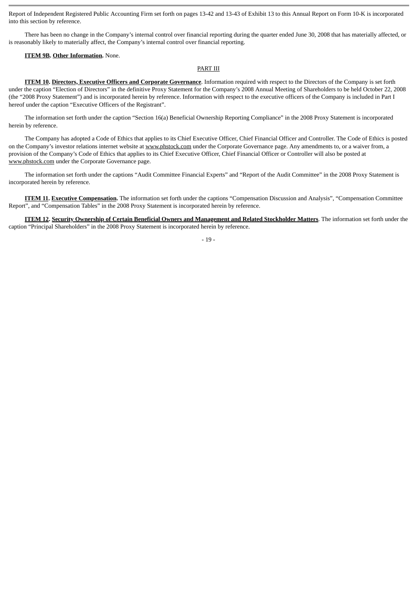Report of Independent Registered Public Accounting Firm set forth on pages 13-42 and 13-43 of Exhibit 13 to this Annual Report on Form 10-K is incorporated into this section by reference.

There has been no change in the Company's internal control over financial reporting during the quarter ended June 30, 2008 that has materially affected, or is reasonably likely to materially affect, the Company's internal control over financial reporting.

#### **ITEM 9B. Other Information.** None.

#### PART III

**ITEM 10. Directors, Executive Officers and Corporate Governance**. Information required with respect to the Directors of the Company is set forth under the caption "Election of Directors" in the definitive Proxy Statement for the Company's 2008 Annual Meeting of Shareholders to be held October 22, 2008 (the "2008 Proxy Statement") and is incorporated herein by reference. Information with respect to the executive officers of the Company is included in Part I hereof under the caption "Executive Officers of the Registrant".

The information set forth under the caption "Section 16(a) Beneficial Ownership Reporting Compliance" in the 2008 Proxy Statement is incorporated herein by reference.

The Company has adopted a Code of Ethics that applies to its Chief Executive Officer, Chief Financial Officer and Controller. The Code of Ethics is posted on the Company's investor relations internet website at www.phstock.com under the Corporate Governance page. Any amendments to, or a waiver from, a provision of the Company's Code of Ethics that applies to its Chief Executive Officer, Chief Financial Officer or Controller will also be posted at www.phstock.com under the Corporate Governance page.

The information set forth under the captions "Audit Committee Financial Experts" and "Report of the Audit Committee" in the 2008 Proxy Statement is incorporated herein by reference.

**ITEM 11. Executive Compensation.** The information set forth under the captions "Compensation Discussion and Analysis", "Compensation Committee Report", and "Compensation Tables" in the 2008 Proxy Statement is incorporated herein by reference.

**ITEM 12. Security Ownership of Certain Beneficial Owners and Management and Related Stockholder Matters**. The information set forth under the caption "Principal Shareholders" in the 2008 Proxy Statement is incorporated herein by reference.

- 19 -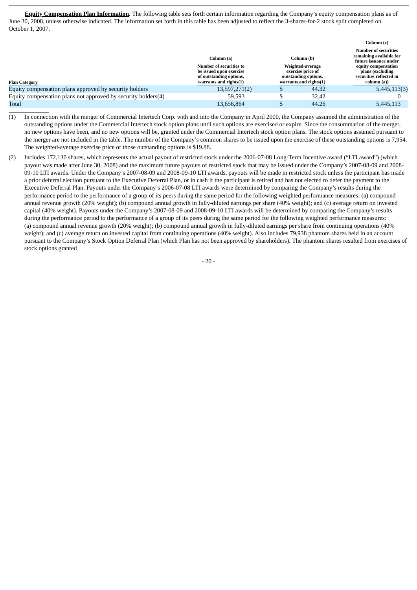**Equity Compensation Plan Information**. The following table sets forth certain information regarding the Company's equity compensation plans as of June 30, 2008, unless otherwise indicated. The information set forth in this table has been adjusted to reflect the 3-shares-for-2 stock split completed on October 1, 2007.

| <b>Number of securities</b><br>remaining available for<br>Column (b)<br>Column (a)<br>future issuance under                                                                                                                                                                                                     |  |
|-----------------------------------------------------------------------------------------------------------------------------------------------------------------------------------------------------------------------------------------------------------------------------------------------------------------|--|
| Number of securities to<br>Weighted-average<br>equity compensation<br>be issued upon exercise<br>plans (excluding<br>exercise price of<br>securities reflected in<br>outstanding options,<br>of outstanding options,<br>warrants and rights(1)<br>warrants and rights(1)<br>column (a))<br><b>Plan Category</b> |  |
| Equity compensation plans approved by security holders<br>44.32<br>13,597,271(2)<br>5,445,113(3)                                                                                                                                                                                                                |  |
| Equity compensation plans not approved by security holders(4)<br>32.42<br>59.593                                                                                                                                                                                                                                |  |
| Total<br>13,656,864<br>44.26<br>5,445,113                                                                                                                                                                                                                                                                       |  |

- (1) In connection with the merger of Commercial Intertech Corp. with and into the Company in April 2000, the Company assumed the administration of the outstanding options under the Commercial Intertech stock option plans until such options are exercised or expire. Since the consummation of the merger, no new options have been, and no new options will be, granted under the Commercial Intertech stock option plans. The stock options assumed pursuant to the merger are not included in the table. The number of the Company's common shares to be issued upon the exercise of these outstanding options is 7,954. The weighted-average exercise price of those outstanding options is \$19.88.
- (2) Includes 172,130 shares, which represents the actual payout of restricted stock under the 2006-07-08 Long-Term Incentive award ("LTI award") (which payout was made after June 30, 2008) and the maximum future payouts of restricted stock that may be issued under the Company's 2007-08-09 and 2008- 09-10 LTI awards. Under the Company's 2007-08-09 and 2008-09-10 LTI awards, payouts will be made in restricted stock unless the participant has made a prior deferral election pursuant to the Executive Deferral Plan, or in cash if the participant is retired and has not elected to defer the payment to the Executive Deferral Plan. Payouts under the Company's 2006-07-08 LTI awards were determined by comparing the Company's results during the performance period to the performance of a group of its peers during the same period for the following weighted performance measures: (a) compound annual revenue growth (20% weight); (b) compound annual growth in fully-diluted earnings per share (40% weight); and (c) average return on invested capital (40% weight). Payouts under the Company's 2007-08-09 and 2008-09-10 LTI awards will be determined by comparing the Company's results during the performance period to the performance of a group of its peers during the same period for the following weighted performance measures: (a) compound annual revenue growth (20% weight); (b) compound annual growth in fully-diluted earnings per share from continuing operations (40% weight); and (c) average return on invested capital from continuing operations (40% weight). Also includes 79,938 phantom shares held in an account pursuant to the Company's Stock Option Deferral Plan (which Plan has not been approved by shareholders). The phantom shares resulted from exercises of stock options granted

- 20 -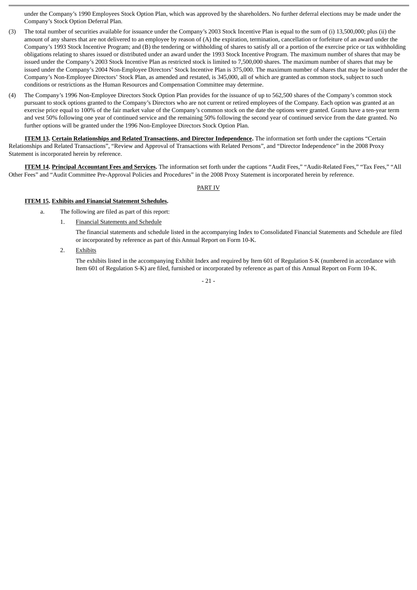under the Company's 1990 Employees Stock Option Plan, which was approved by the shareholders. No further deferral elections may be made under the Company's Stock Option Deferral Plan.

- (3) The total number of securities available for issuance under the Company's 2003 Stock Incentive Plan is equal to the sum of (i) 13,500,000; plus (ii) the amount of any shares that are not delivered to an employee by reason of (A) the expiration, termination, cancellation or forfeiture of an award under the Company's 1993 Stock Incentive Program; and (B) the tendering or withholding of shares to satisfy all or a portion of the exercise price or tax withholding obligations relating to shares issued or distributed under an award under the 1993 Stock Incentive Program. The maximum number of shares that may be issued under the Company's 2003 Stock Incentive Plan as restricted stock is limited to 7,500,000 shares. The maximum number of shares that may be issued under the Company's 2004 Non-Employee Directors' Stock Incentive Plan is 375,000. The maximum number of shares that may be issued under the Company's Non-Employee Directors' Stock Plan, as amended and restated, is 345,000, all of which are granted as common stock, subject to such conditions or restrictions as the Human Resources and Compensation Committee may determine.
- (4) The Company's 1996 Non-Employee Directors Stock Option Plan provides for the issuance of up to 562,500 shares of the Company's common stock pursuant to stock options granted to the Company's Directors who are not current or retired employees of the Company. Each option was granted at an exercise price equal to 100% of the fair market value of the Company's common stock on the date the options were granted. Grants have a ten-year term and vest 50% following one year of continued service and the remaining 50% following the second year of continued service from the date granted. No further options will be granted under the 1996 Non-Employee Directors Stock Option Plan.

**ITEM 13. Certain Relationships and Related Transactions, and Director Independence.** The information set forth under the captions "Certain Relationships and Related Transactions", "Review and Approval of Transactions with Related Persons", and "Director Independence" in the 2008 Proxy Statement is incorporated herein by reference.

**ITEM 14. Principal Accountant Fees and Services.** The information set forth under the captions "Audit Fees," "Audit-Related Fees," "Tax Fees," "All Other Fees" and "Audit Committee Pre-Approval Policies and Procedures" in the 2008 Proxy Statement is incorporated herein by reference.

PART IV

# **ITEM 15. Exhibits and Financial Statement Schedules.**

- a. The following are filed as part of this report:
	- 1. Financial Statements and Schedule

 The financial statements and schedule listed in the accompanying Index to Consolidated Financial Statements and Schedule are filed or incorporated by reference as part of this Annual Report on Form 10-K.

2. Exhibits

 The exhibits listed in the accompanying Exhibit Index and required by Item 601 of Regulation S-K (numbered in accordance with Item 601 of Regulation S-K) are filed, furnished or incorporated by reference as part of this Annual Report on Form 10-K.

- 21 -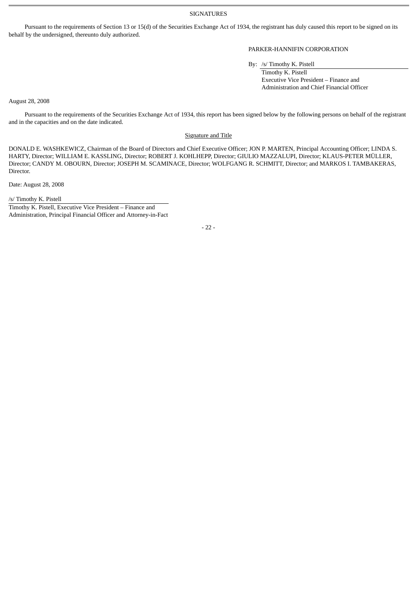**SIGNATURES** 

Pursuant to the requirements of Section 13 or 15(d) of the Securities Exchange Act of 1934, the registrant has duly caused this report to be signed on its behalf by the undersigned, thereunto duly authorized.

# PARKER-HANNIFIN CORPORATION

By: /s/ Timothy K. Pistell

Timothy K. Pistell Executive Vice President – Finance and Administration and Chief Financial Officer

August 28, 2008

Pursuant to the requirements of the Securities Exchange Act of 1934, this report has been signed below by the following persons on behalf of the registrant and in the capacities and on the date indicated.

#### Signature and Title

DONALD E. WASHKEWICZ, Chairman of the Board of Directors and Chief Executive Officer; JON P. MARTEN, Principal Accounting Officer; LINDA S. HARTY, Director; WILLIAM E. KASSLING, Director; ROBERT J. KOHLHEPP, Director; GIULIO MAZZALUPI, Director; KLAUS-PETER MÜLLER, Director; CANDY M. OBOURN, Director; JOSEPH M. SCAMINACE, Director; WOLFGANG R. SCHMITT, Director; and MARKOS I. TAMBAKERAS, Director.

Date: August 28, 2008

/s/ Timothy K. Pistell

Timothy K. Pistell, Executive Vice President – Finance and Administration, Principal Financial Officer and Attorney-in-Fact

- 22 -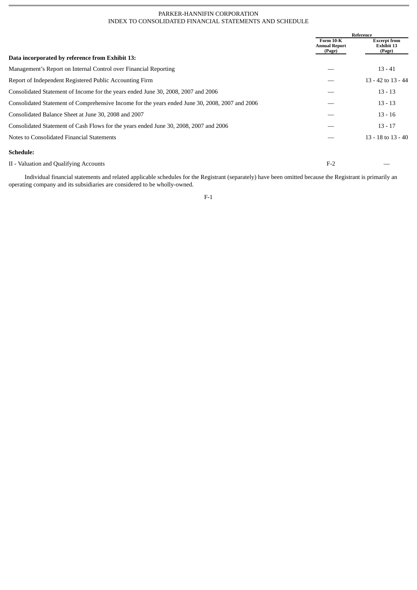# PARKER-HANNIFIN CORPORATION INDEX TO CONSOLIDATED FINANCIAL STATEMENTS AND SCHEDULE

|                                                                                                 |                                             | Reference                                          |
|-------------------------------------------------------------------------------------------------|---------------------------------------------|----------------------------------------------------|
|                                                                                                 | Form 10-K<br><b>Annual Report</b><br>(Page) | <b>Excerpt from</b><br><b>Exhibit 13</b><br>(Page) |
| Data incorporated by reference from Exhibit 13:                                                 |                                             |                                                    |
| Management's Report on Internal Control over Financial Reporting                                |                                             | $13 - 41$                                          |
| Report of Independent Registered Public Accounting Firm                                         |                                             | 13 - 42 to 13 - 44                                 |
| Consolidated Statement of Income for the years ended June 30, 2008, 2007 and 2006               |                                             | $13 - 13$                                          |
| Consolidated Statement of Comprehensive Income for the years ended June 30, 2008, 2007 and 2006 |                                             | $13 - 13$                                          |
| Consolidated Balance Sheet at June 30, 2008 and 2007                                            |                                             | $13 - 16$                                          |
| Consolidated Statement of Cash Flows for the years ended June 30, 2008, 2007 and 2006           |                                             | $13 - 17$                                          |
| Notes to Consolidated Financial Statements                                                      |                                             | 13 - 18 to 13 - 40                                 |
| <b>Schedule:</b>                                                                                |                                             |                                                    |

II - Valuation and Qualifying Accounts F-2

Individual financial statements and related applicable schedules for the Registrant (separately) have been omitted because the Registrant is primarily an operating company and its subsidiaries are considered to be wholly-owned.

F-1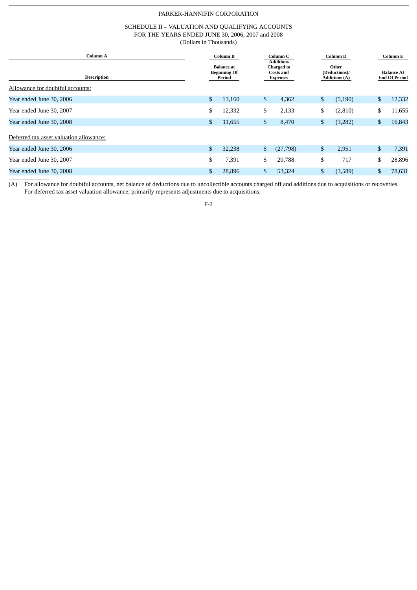## PARKER-HANNIFIN CORPORATION

# SCHEDULE II – VALUATION AND QUALIFYING ACCOUNTS FOR THE YEARS ENDED JUNE 30, 2006, 2007 and 2008 (Dollars in Thousands)

| Column A                                | Column B                                           | Column C                                                              |                | Column D                                       | Column E                                  |
|-----------------------------------------|----------------------------------------------------|-----------------------------------------------------------------------|----------------|------------------------------------------------|-------------------------------------------|
| <b>Description</b>                      | <b>Balance</b> at<br><b>Beginning Of</b><br>Period | <b>Additions</b><br><b>Charged to</b><br>Costs and<br><b>Expenses</b> |                | Other<br>(Deductions)/<br><b>Additions (A)</b> | <b>Balance At</b><br><b>End Of Period</b> |
| Allowance for doubtful accounts:        |                                                    |                                                                       |                |                                                |                                           |
| Year ended June 30, 2006                | \$<br>13,160                                       | \$<br>4,362                                                           | \$             | (5,190)                                        | \$<br>12,332                              |
| Year ended June 30, 2007                | \$<br>12,332                                       | \$<br>2,133                                                           | \$             | (2,810)                                        | \$<br>11,655                              |
| Year ended June 30, 2008                | \$<br>11,655                                       | \$<br>8,470                                                           | \$             | (3,282)                                        | \$<br>16,843                              |
| Deferred tax asset valuation allowance: |                                                    |                                                                       |                |                                                |                                           |
| Year ended June 30, 2006                | \$<br>32,238                                       | \$<br>(27,798)                                                        | $\mathfrak{S}$ | 2,951                                          | \$<br>7,391                               |
| Year ended June 30, 2007                | \$<br>7,391                                        | \$<br>20,788                                                          | \$             | 717                                            | \$<br>28,896                              |
| Year ended June 30, 2008                | \$<br>28,896                                       | \$<br>53,324                                                          | \$             | (3,589)                                        | \$<br>78,631                              |

(A) For allowance for doubtful accounts, net balance of deductions due to uncollectible accounts charged off and additions due to acquisitions or recoveries. For deferred tax asset valuation allowance, primarily represents adjustments due to acquisitions.

F-2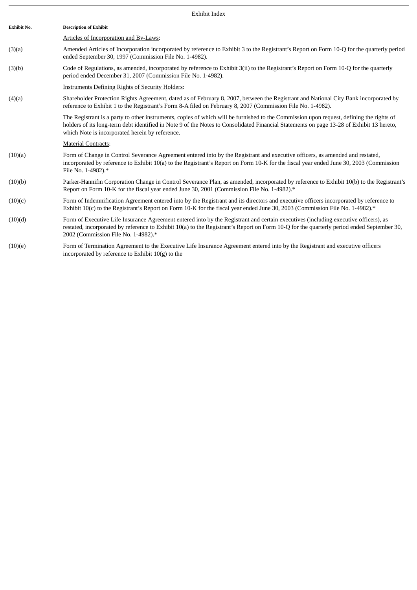|             | Exhibit Index                                                                                                                                                                                                                                                                                                                           |
|-------------|-----------------------------------------------------------------------------------------------------------------------------------------------------------------------------------------------------------------------------------------------------------------------------------------------------------------------------------------|
| Exhibit No. | <b>Description of Exhibit</b>                                                                                                                                                                                                                                                                                                           |
|             | Articles of Incorporation and By-Laws:                                                                                                                                                                                                                                                                                                  |
| (3)(a)      | Amended Articles of Incorporation incorporated by reference to Exhibit 3 to the Registrant's Report on Form 10-Q for the quarterly period<br>ended September 30, 1997 (Commission File No. 1-4982).                                                                                                                                     |
| (3)(b)      | Code of Regulations, as amended, incorporated by reference to Exhibit 3(ii) to the Registrant's Report on Form 10-Q for the quarterly<br>period ended December 31, 2007 (Commission File No. 1-4982).                                                                                                                                   |
|             | <b>Instruments Defining Rights of Security Holders:</b>                                                                                                                                                                                                                                                                                 |
| (4)(a)      | Shareholder Protection Rights Agreement, dated as of February 8, 2007, between the Registrant and National City Bank incorporated by<br>reference to Exhibit 1 to the Registrant's Form 8-A filed on February 8, 2007 (Commission File No. 1-4982).                                                                                     |
|             | The Registrant is a party to other instruments, copies of which will be furnished to the Commission upon request, defining the rights of<br>holders of its long-term debt identified in Note 9 of the Notes to Consolidated Financial Statements on page 13-28 of Exhibit 13 hereto,<br>which Note is incorporated herein by reference. |
|             | <b>Material Contracts:</b>                                                                                                                                                                                                                                                                                                              |
| (10)(a)     | Form of Change in Control Severance Agreement entered into by the Registrant and executive officers, as amended and restated,<br>incorporated by reference to Exhibit 10(a) to the Registrant's Report on Form 10-K for the fiscal year ended June 30, 2003 (Commission<br>File No. 1-4982).*                                           |
| (10)(b)     | Parker-Hannifin Corporation Change in Control Severance Plan, as amended, incorporated by reference to Exhibit 10(b) to the Registrant's<br>Report on Form 10-K for the fiscal year ended June 30, 2001 (Commission File No. 1-4982).*                                                                                                  |
| (10)(c)     | Form of Indemnification Agreement entered into by the Registrant and its directors and executive officers incorporated by reference to<br>Exhibit 10(c) to the Registrant's Report on Form 10-K for the fiscal year ended June 30, 2003 (Commission File No. 1-4982).*                                                                  |
| (10)(d)     | Form of Executive Life Insurance Agreement entered into by the Registrant and certain executives (including executive officers), as<br>restated, incorporated by reference to Exhibit 10(a) to the Registrant's Report on Form 10-Q for the quarterly period ended September 30,<br>2002 (Commission File No. 1-4982).*                 |
| (10)(e)     | Form of Termination Agreement to the Executive Life Insurance Agreement entered into by the Registrant and executive officers<br>incorporated by reference to Exhibit $10(g)$ to the                                                                                                                                                    |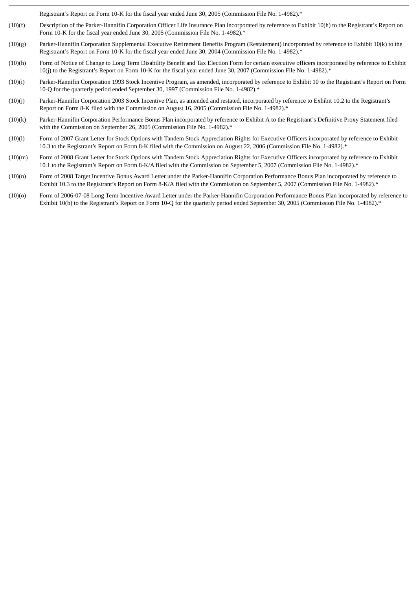Registrant's Report on Form 10-K for the fiscal year ended June 30, 2005 (Commission File No. 1-4982).\*

- (10)(f) Description of the Parker-Hannifin Corporation Officer Life Insurance Plan incorporated by reference to Exhibit 10(h) to the Registrant's Report on Form 10-K for the fiscal year ended June 30, 2005 (Commission File No. 1-4982).\*
- (10)(g) Parker-Hannifin Corporation Supplemental Executive Retirement Benefits Program (Restatement) incorporated by reference to Exhibit 10(k) to the Registrant's Report on Form 10-K for the fiscal year ended June 30, 2004 (Commission File No. 1-4982).\*
- (10)(h) Form of Notice of Change to Long Term Disability Benefit and Tax Election Form for certain executive officers incorporated by reference to Exhibit 10(j) to the Registrant's Report on Form 10-K for the fiscal year ended June 30, 2007 (Commission File No. 1-4982).\*
- (10)(i) Parker-Hannifin Corporation 1993 Stock Incentive Program, as amended, incorporated by reference to Exhibit 10 to the Registrant's Report on Form 10-Q for the quarterly period ended September 30, 1997 (Commission File No. 1-4982).\*
- (10)(j) Parker-Hannifin Corporation 2003 Stock Incentive Plan, as amended and restated, incorporated by reference to Exhibit 10.2 to the Registrant's Report on Form 8-K filed with the Commission on August 16, 2005 (Commission File No. 1-4982).\*
- (10)(k) Parker-Hannifin Corporation Performance Bonus Plan incorporated by reference to Exhibit A to the Registrant's Definitive Proxy Statement filed with the Commission on September 26, 2005 (Commission File No. 1-4982).\*
- (10)(l) Form of 2007 Grant Letter for Stock Options with Tandem Stock Appreciation Rights for Executive Officers incorporated by reference to Exhibit 10.3 to the Registrant's Report on Form 8-K filed with the Commission on August 22, 2006 (Commission File No. 1-4982).\*
- (10)(m) Form of 2008 Grant Letter for Stock Options with Tandem Stock Appreciation Rights for Executive Officers incorporated by reference to Exhibit 10.1 to the Registrant's Report on Form 8-K/A filed with the Commission on September 5, 2007 (Commission File No. 1-4982).\*
- (10)(n) Form of 2008 Target Incentive Bonus Award Letter under the Parker-Hannifin Corporation Performance Bonus Plan incorporated by reference to Exhibit 10.3 to the Registrant's Report on Form 8-K/A filed with the Commission on September 5, 2007 (Commission File No. 1-4982).\*
- (10)(o) Form of 2006-07-08 Long Term Incentive Award Letter under the Parker-Hannifin Corporation Performance Bonus Plan incorporated by reference to Exhibit 10(b) to the Registrant's Report on Form 10-Q for the quarterly period ended September 30, 2005 (Commission File No. 1-4982).\*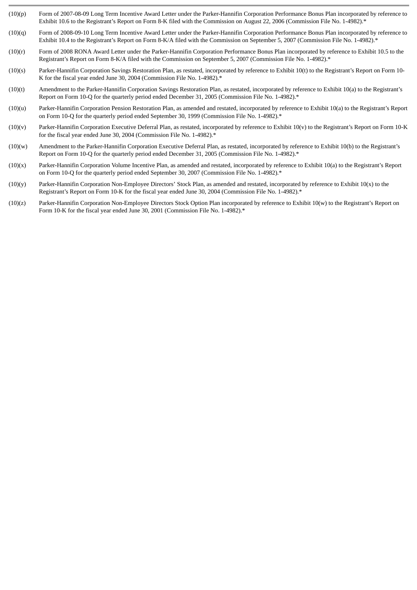- (10)(p) Form of 2007-08-09 Long Term Incentive Award Letter under the Parker-Hannifin Corporation Performance Bonus Plan incorporated by reference to Exhibit 10.6 to the Registrant's Report on Form 8-K filed with the Commission on August 22, 2006 (Commission File No. 1-4982).\*
- (10)(q) Form of 2008-09-10 Long Term Incentive Award Letter under the Parker-Hannifin Corporation Performance Bonus Plan incorporated by reference to Exhibit 10.4 to the Registrant's Report on Form 8-K/A filed with the Commission on September 5, 2007 (Commission File No. 1-4982).\*
- (10)(r) Form of 2008 RONA Award Letter under the Parker-Hannifin Corporation Performance Bonus Plan incorporated by reference to Exhibit 10.5 to the Registrant's Report on Form 8-K/A filed with the Commission on September 5, 2007 (Commission File No. 1-4982).\*
- (10)(s) Parker-Hannifin Corporation Savings Restoration Plan, as restated, incorporated by reference to Exhibit 10(t) to the Registrant's Report on Form 10- K for the fiscal year ended June 30, 2004 (Commission File No. 1-4982).\*
- (10)(t) Amendment to the Parker-Hannifin Corporation Savings Restoration Plan, as restated, incorporated by reference to Exhibit 10(a) to the Registrant's Report on Form 10-Q for the quarterly period ended December 31, 2005 (Commission File No. 1-4982).\*
- (10)(u) Parker-Hannifin Corporation Pension Restoration Plan, as amended and restated, incorporated by reference to Exhibit 10(a) to the Registrant's Report on Form 10-Q for the quarterly period ended September 30, 1999 (Commission File No. 1-4982).\*
- (10)(v) Parker-Hannifin Corporation Executive Deferral Plan, as restated, incorporated by reference to Exhibit 10(v) to the Registrant's Report on Form 10-K for the fiscal year ended June 30, 2004 (Commission File No. 1-4982).\*
- (10)(w) Amendment to the Parker-Hannifin Corporation Executive Deferral Plan, as restated, incorporated by reference to Exhibit 10(b) to the Registrant's Report on Form 10-Q for the quarterly period ended December 31, 2005 (Commission File No. 1-4982).\*
- (10)(x) Parker-Hannifin Corporation Volume Incentive Plan, as amended and restated, incorporated by reference to Exhibit 10(a) to the Registrant's Report on Form 10-Q for the quarterly period ended September 30, 2007 (Commission File No. 1-4982).\*
- $(10)(y)$  Parker-Hannifin Corporation Non-Employee Directors' Stock Plan, as amended and restated, incorporated by reference to Exhibit  $10(x)$  to the Registrant's Report on Form 10-K for the fiscal year ended June 30, 2004 (Commission File No. 1-4982).\*
- (10)(z) Parker-Hannifin Corporation Non-Employee Directors Stock Option Plan incorporated by reference to Exhibit 10(w) to the Registrant's Report on Form 10-K for the fiscal year ended June 30, 2001 (Commission File No. 1-4982).\*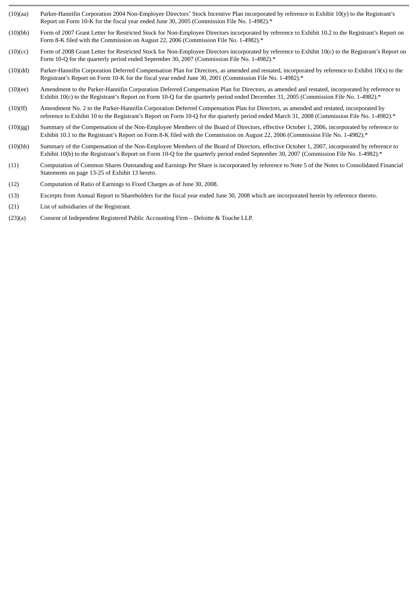- (10)(aa) Parker-Hannifin Corporation 2004 Non-Employee Directors' Stock Incentive Plan incorporated by reference to Exhibit 10(y) to the Registrant's Report on Form 10-K for the fiscal year ended June 30, 2005 (Commission File No. 1-4982).\*
- (10)(bb) Form of 2007 Grant Letter for Restricted Stock for Non-Employee Directors incorporated by reference to Exhibit 10.2 to the Registrant's Report on Form 8-K filed with the Commission on August 22, 2006 (Commission File No. 1-4982).\*
- (10)(cc) Form of 2008 Grant Letter for Restricted Stock for Non-Employee Directors incorporated by reference to Exhibit 10(c) to the Registrant's Report on Form 10-Q for the quarterly period ended September 30, 2007 (Commission File No. 1-4982).\*
- $(10)(dd)$  Parker-Hannifin Corporation Deferred Compensation Plan for Directors, as amended and restated, incorporated by reference to Exhibit  $10(x)$  to the Registrant's Report on Form 10-K for the fiscal year ended June 30, 2001 (Commission File No. 1-4982).\*
- (10)(ee) Amendment to the Parker-Hannifin Corporation Deferred Compensation Plan for Directors, as amended and restated, incorporated by reference to Exhibit 10(c) to the Registrant's Report on Form 10-Q for the quarterly period ended December 31, 2005 (Commission File No. 1-4982).\*
- (10)(ff) Amendment No. 2 to the Parker-Hannifin Corporation Deferred Compensation Plan for Directors, as amended and restated, incorporated by reference to Exhibit 10 to the Registrant's Report on Form 10-Q for the quarterly period ended March 31, 2008 (Commission File No. 1-4982).\*
- (10)(gg) Summary of the Compensation of the Non-Employee Members of the Board of Directors, effective October 1, 2006, incorporated by reference to Exhibit 10.1 to the Registrant's Report on Form 8-K filed with the Commission on August 22, 2006 (Commission File No. 1-4982).\*
- (10)(hh) Summary of the Compensation of the Non-Employee Members of the Board of Directors, effective October 1, 2007, incorporated by reference to Exhibit 10(b) to the Registrant's Report on Form 10-Q for the quarterly period ended September 30, 2007 (Commission File No. 1-4982).\*
- (11) Computation of Common Shares Outstanding and Earnings Per Share is incorporated by reference to Note 5 of the Notes to Consolidated Financial Statements on page 13-25 of Exhibit 13 hereto.
- (12) Computation of Ratio of Earnings to Fixed Charges as of June 30, 2008.
- (13) Excerpts from Annual Report to Shareholders for the fiscal year ended June 30, 2008 which are incorporated herein by reference thereto.
- (21) List of subsidiaries of the Registrant.
- (23)(a) Consent of Independent Registered Public Accounting Firm Deloitte & Touche LLP.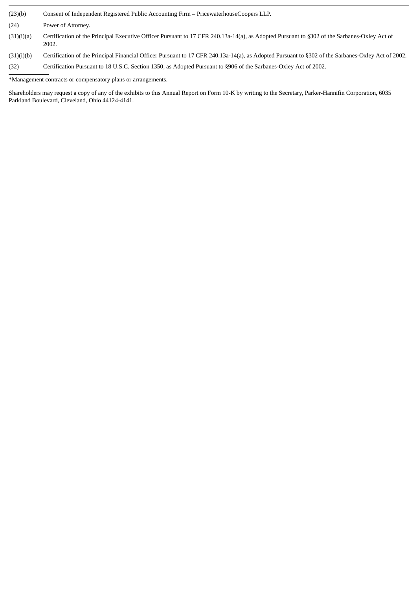| (23)(b)    | Consent of Independent Registered Public Accounting Firm – PricewaterhouseCoopers LLP.                                                               |
|------------|------------------------------------------------------------------------------------------------------------------------------------------------------|
| (24)       | Power of Attorney.                                                                                                                                   |
| (31)(i)(a) | Certification of the Principal Executive Officer Pursuant to 17 CFR 240.13a-14(a), as Adopted Pursuant to §302 of the Sarbanes-Oxley Act of<br>2002. |
| (31)(i)(b) | Certification of the Principal Financial Officer Pursuant to 17 CFR 240.13a-14(a), as Adopted Pursuant to §302 of the Sarbanes-Oxley Act of 2002.    |
| (32)       | Certification Pursuant to 18 U.S.C. Section 1350, as Adopted Pursuant to §906 of the Sarbanes-Oxley Act of 2002.                                     |
|            |                                                                                                                                                      |

\*Management contracts or compensatory plans or arrangements.

Shareholders may request a copy of any of the exhibits to this Annual Report on Form 10-K by writing to the Secretary, Parker-Hannifin Corporation, 6035 Parkland Boulevard, Cleveland, Ohio 44124-4141.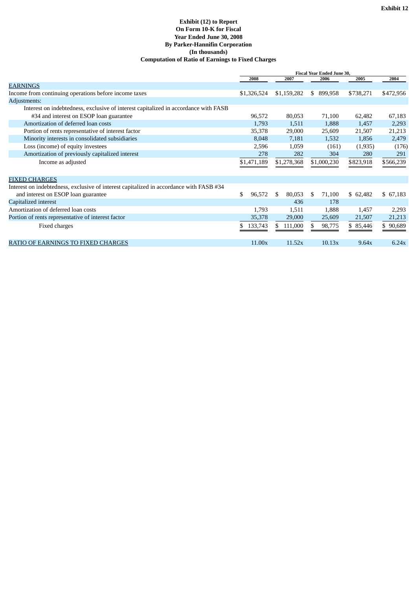# **Exhibit (12) to Report On Form 10-K for Fiscal Year Ended June 30, 2008 By Parker-Hannifin Corporation (In thousands) Computation of Ratio of Earnings to Fixed Charges**

|                                                                                         | <b>Fiscal Year Ended June 30.</b> |               |               |           |           |  |
|-----------------------------------------------------------------------------------------|-----------------------------------|---------------|---------------|-----------|-----------|--|
|                                                                                         | 2008                              | 2007          | 2006          | 2005      | 2004      |  |
| <b>EARNINGS</b>                                                                         |                                   |               |               |           |           |  |
| Income from continuing operations before income taxes                                   | \$1,326,524                       | \$1,159,282   | \$899,958     | \$738,271 | \$472,956 |  |
| Adjustments:                                                                            |                                   |               |               |           |           |  |
| Interest on indebtedness, exclusive of interest capitalized in accordance with FASB     |                                   |               |               |           |           |  |
| #34 and interest on ESOP loan guarantee                                                 | 96,572                            | 80,053        | 71,100        | 62,482    | 67,183    |  |
| Amortization of deferred loan costs                                                     | 1,793                             | 1,511         | 1,888         | 1,457     | 2,293     |  |
| Portion of rents representative of interest factor                                      | 35,378                            | 29,000        | 25,609        | 21,507    | 21,213    |  |
| Minority interests in consolidated subsidiaries                                         | 8,048                             | 7,181         | 1,532         | 1,856     | 2,479     |  |
| Loss (income) of equity investees                                                       | 2,596                             | 1,059         | (161)         | (1,935)   | (176)     |  |
| Amortization of previously capitalized interest                                         | 278                               | 282           | 304           | 280       | 291       |  |
| Income as adjusted                                                                      | \$1,471,189                       | \$1,278,368   | \$1,000,230   | \$823,918 | \$566,239 |  |
|                                                                                         |                                   |               |               |           |           |  |
| <b>FIXED CHARGES</b>                                                                    |                                   |               |               |           |           |  |
| Interest on indebtedness, exclusive of interest capitalized in accordance with FASB #34 |                                   |               |               |           |           |  |
| and interest on ESOP loan guarantee                                                     | \$<br>96,572                      | 80,053<br>\$. | \$.<br>71,100 | \$62,482  | \$67,183  |  |
| Capitalized interest                                                                    |                                   | 436           | 178           |           |           |  |
| Amortization of deferred loan costs                                                     | 1.793                             | 1,511         | 1,888         | 1,457     | 2,293     |  |
| Portion of rents representative of interest factor                                      | 35,378                            | 29,000        | 25,609        | 21,507    | 21,213    |  |
| Fixed charges                                                                           | 133,743                           | \$111,000     | 98,775<br>\$. | \$ 85,446 | \$90,689  |  |
|                                                                                         |                                   |               |               |           |           |  |
| RATIO OF EARNINGS TO FIXED CHARGES                                                      | 11.00x                            | 11.52x        | 10.13x        | 9.64x     | 6.24x     |  |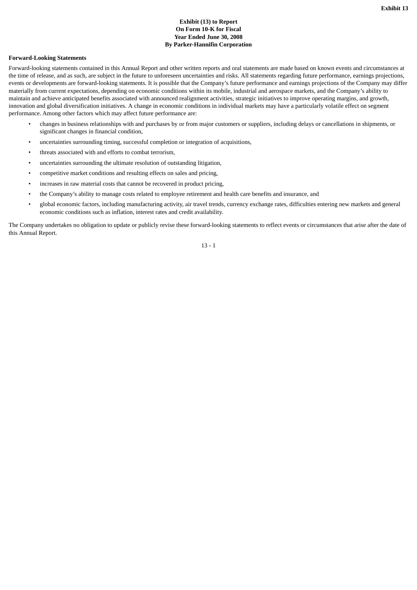# **Exhibit (13) to Report On Form 10-K for Fiscal Year Ended June 30, 2008 By Parker-Hannifin Corporation**

#### **Forward-Looking Statements**

Forward-looking statements contained in this Annual Report and other written reports and oral statements are made based on known events and circumstances at the time of release, and as such, are subject in the future to unforeseen uncertainties and risks. All statements regarding future performance, earnings projections, events or developments are forward-looking statements. It is possible that the Company's future performance and earnings projections of the Company may differ materially from current expectations, depending on economic conditions within its mobile, industrial and aerospace markets, and the Company's ability to maintain and achieve anticipated benefits associated with announced realignment activities, strategic initiatives to improve operating margins, and growth, innovation and global diversification initiatives. A change in economic conditions in individual markets may have a particularly volatile effect on segment performance. Among other factors which may affect future performance are:

- changes in business relationships with and purchases by or from major customers or suppliers, including delays or cancellations in shipments, or significant changes in financial condition,
- uncertainties surrounding timing, successful completion or integration of acquisitions,
- threats associated with and efforts to combat terrorism,
- uncertainties surrounding the ultimate resolution of outstanding litigation,
- competitive market conditions and resulting effects on sales and pricing,
- increases in raw material costs that cannot be recovered in product pricing,
- the Company's ability to manage costs related to employee retirement and health care benefits and insurance, and
- global economic factors, including manufacturing activity, air travel trends, currency exchange rates, difficulties entering new markets and general economic conditions such as inflation, interest rates and credit availability.

The Company undertakes no obligation to update or publicly revise these forward-looking statements to reflect events or circumstances that arise after the date of this Annual Report.

 $13 - 1$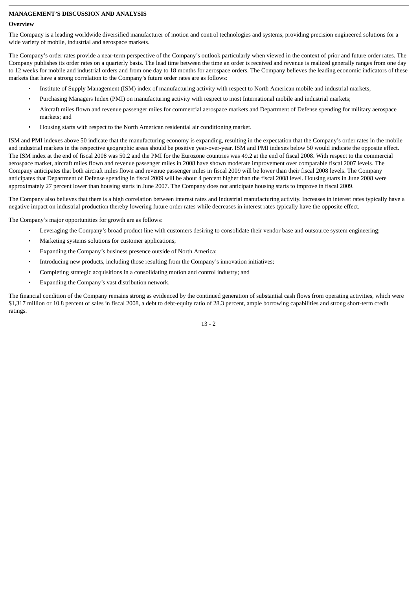# **MANAGEMENT'S DISCUSSION AND ANALYSIS**

#### **Overview**

The Company is a leading worldwide diversified manufacturer of motion and control technologies and systems, providing precision engineered solutions for a wide variety of mobile, industrial and aerospace markets.

The Company's order rates provide a near-term perspective of the Company's outlook particularly when viewed in the context of prior and future order rates. The Company publishes its order rates on a quarterly basis. The lead time between the time an order is received and revenue is realized generally ranges from one day to 12 weeks for mobile and industrial orders and from one day to 18 months for aerospace orders. The Company believes the leading economic indicators of these markets that have a strong correlation to the Company's future order rates are as follows:

- Institute of Supply Management (ISM) index of manufacturing activity with respect to North American mobile and industrial markets;
- Purchasing Managers Index (PMI) on manufacturing activity with respect to most International mobile and industrial markets;
- Aircraft miles flown and revenue passenger miles for commercial aerospace markets and Department of Defense spending for military aerospace markets; and
- Housing starts with respect to the North American residential air conditioning market.

ISM and PMI indexes above 50 indicate that the manufacturing economy is expanding, resulting in the expectation that the Company's order rates in the mobile and industrial markets in the respective geographic areas should be positive year-over-year. ISM and PMI indexes below 50 would indicate the opposite effect. The ISM index at the end of fiscal 2008 was 50.2 and the PMI for the Eurozone countries was 49.2 at the end of fiscal 2008. With respect to the commercial aerospace market, aircraft miles flown and revenue passenger miles in 2008 have shown moderate improvement over comparable fiscal 2007 levels. The Company anticipates that both aircraft miles flown and revenue passenger miles in fiscal 2009 will be lower than their fiscal 2008 levels. The Company anticipates that Department of Defense spending in fiscal 2009 will be about 4 percent higher than the fiscal 2008 level. Housing starts in June 2008 were approximately 27 percent lower than housing starts in June 2007. The Company does not anticipate housing starts to improve in fiscal 2009.

The Company also believes that there is a high correlation between interest rates and Industrial manufacturing activity. Increases in interest rates typically have a negative impact on industrial production thereby lowering future order rates while decreases in interest rates typically have the opposite effect.

The Company's major opportunities for growth are as follows:

- Leveraging the Company's broad product line with customers desiring to consolidate their vendor base and outsource system engineering;
- Marketing systems solutions for customer applications;
- Expanding the Company's business presence outside of North America;
- Introducing new products, including those resulting from the Company's innovation initiatives;
- Completing strategic acquisitions in a consolidating motion and control industry; and
- Expanding the Company's vast distribution network.

The financial condition of the Company remains strong as evidenced by the continued generation of substantial cash flows from operating activities, which were \$1,317 million or 10.8 percent of sales in fiscal 2008, a debt to debt-equity ratio of 28.3 percent, ample borrowing capabilities and strong short-term credit ratings.

13 - 2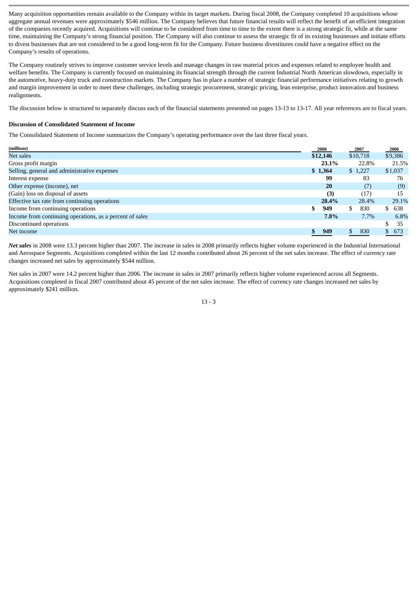Many acquisition opportunities remain available to the Company within its target markets. During fiscal 2008, the Company completed 10 acquisitions whose aggregate annual revenues were approximately \$546 million. The Company believes that future financial results will reflect the benefit of an efficient integration of the companies recently acquired. Acquisitions will continue to be considered from time to time to the extent there is a strong strategic fit, while at the same time, maintaining the Company's strong financial position. The Company will also continue to assess the strategic fit of its existing businesses and initiate efforts to divest businesses that are not considered to be a good long-term fit for the Company. Future business divestitures could have a negative effect on the Company's results of operations.

The Company routinely strives to improve customer service levels and manage changes in raw material prices and expenses related to employee health and welfare benefits. The Company is currently focused on maintaining its financial strength through the current Industrial North American slowdown, especially in the automotive, heavy-duty truck and construction markets. The Company has in place a number of strategic financial performance initiatives relating to growth and margin improvement in order to meet these challenges, including strategic procurement, strategic pricing, lean enterprise, product innovation and business realignments.

The discussion below is structured to separately discuss each of the financial statements presented on pages 13-13 to 13-17. All year references are to fiscal years.

# **Discussion of Consolidated Statement of Income**

The Consolidated Statement of Income summarizes the Company's operating performance over the last three fiscal years.

| (millions)                                               | 2008     |    | 2007     |    | 2006    |  |
|----------------------------------------------------------|----------|----|----------|----|---------|--|
| Net sales                                                | \$12,146 |    | \$10,718 |    | \$9,386 |  |
| Gross profit margin                                      | 23.1%    |    | 22.8%    |    | 21.5%   |  |
| Selling, general and administrative expenses             | \$1,364  |    | \$1,227  |    | \$1,037 |  |
| Interest expense                                         | 99       |    | 83       |    | 76      |  |
| Other expense (income), net                              | 20       |    | (7)      |    | (9)     |  |
| (Gain) loss on disposal of assets                        | (3)      |    | (17)     |    | 15      |  |
| Effective tax rate from continuing operations            | 28.4%    |    | 28.4%    |    | 29.1%   |  |
| Income from continuing operations                        | 949      | S. | 830      |    | \$638   |  |
| Income from continuing operations, as a percent of sales | 7.8%     |    | 7.7%     |    | 6.8%    |  |
| Discontinued operations                                  |          |    |          | \$ | 35      |  |
| Net income                                               | 949      |    | 830      | \$ | 673     |  |

*Net sales* in 2008 were 13.3 percent higher than 2007. The increase in sales in 2008 primarily reflects higher volume experienced in the Industrial International and Aerospace Segments. Acquisitions completed within the last 12 months contributed about 26 percent of the net sales increase. The effect of currency rate changes increased net sales by approximately \$544 million.

Net sales in 2007 were 14.2 percent higher than 2006. The increase in sales in 2007 primarily reflects higher volume experienced across all Segments. Acquisitions completed in fiscal 2007 contributed about 45 percent of the net sales increase. The effect of currency rate changes increased net sales by approximately \$241 million.

13 - 3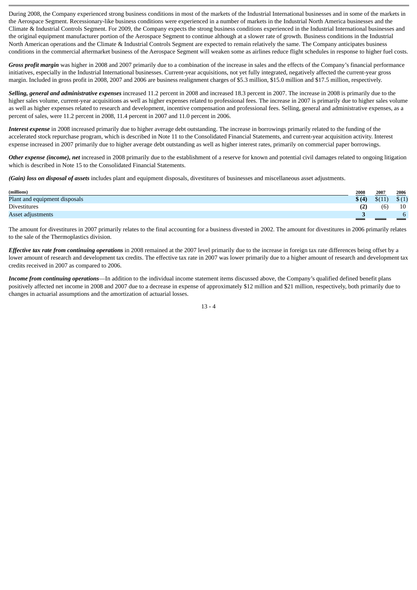During 2008, the Company experienced strong business conditions in most of the markets of the Industrial International businesses and in some of the markets in the Aerospace Segment. Recessionary-like business conditions were experienced in a number of markets in the Industrial North America businesses and the Climate & Industrial Controls Segment. For 2009, the Company expects the strong business conditions experienced in the Industrial International businesses and the original equipment manufacturer portion of the Aerospace Segment to continue although at a slower rate of growth. Business conditions in the Industrial North American operations and the Climate & Industrial Controls Segment are expected to remain relatively the same. The Company anticipates business conditions in the commercial aftermarket business of the Aerospace Segment will weaken some as airlines reduce flight schedules in response to higher fuel costs.

**Gross profit margin** was higher in 2008 and 2007 primarily due to a combination of the increase in sales and the effects of the Company's financial performance initiatives, especially in the Industrial International businesses. Current-year acquisitions, not yet fully integrated, negatively affected the current-year gross margin. Included in gross profit in 2008, 2007 and 2006 are business realignment charges of \$5.3 million, \$15.0 million and \$17.5 million, respectively.

*Selling, general and administrative expenses* increased 11.2 percent in 2008 and increased 18.3 percent in 2007. The increase in 2008 is primarily due to the higher sales volume, current-year acquisitions as well as higher expenses related to professional fees. The increase in 2007 is primarily due to higher sales volume as well as higher expenses related to research and development, incentive compensation and professional fees. Selling, general and administrative expenses, as a percent of sales, were 11.2 percent in 2008, 11.4 percent in 2007 and 11.0 percent in 2006.

*Interest expense* in 2008 increased primarily due to higher average debt outstanding. The increase in borrowings primarily related to the funding of the accelerated stock repurchase program, which is described in Note 11 to the Consolidated Financial Statements, and current-year acquisition activity. Interest expense increased in 2007 primarily due to higher average debt outstanding as well as higher interest rates, primarily on commercial paper borrowings.

*Other expense (income), net* increased in 2008 primarily due to the establishment of a reserve for known and potential civil damages related to ongoing litigation which is described in Note 15 to the Consolidated Financial Statements.

*(Gain) loss on disposal of assets* includes plant and equipment disposals, divestitures of businesses and miscellaneous asset adjustments.

| (millions)                    | 2008  | 2007   | 2006           |
|-------------------------------|-------|--------|----------------|
| Plant and equipment disposals | \$(4) | $+711$ | \$(1)          |
| Divestitures                  | (2)   | (6)    | 1 <sub>0</sub> |
| Asset adjustments             |       |        | b.             |
|                               |       |        |                |

The amount for divestitures in 2007 primarily relates to the final accounting for a business divested in 2002. The amount for divestitures in 2006 primarily relates to the sale of the Thermoplastics division.

*Effective tax rate from continuing operations* in 2008 remained at the 2007 level primarily due to the increase in foreign tax rate differences being offset by a lower amount of research and development tax credits. The effective tax rate in 2007 was lower primarily due to a higher amount of research and development tax credits received in 2007 as compared to 2006.

*Income from continuing operations*—In addition to the individual income statement items discussed above, the Company's qualified defined benefit plans positively affected net income in 2008 and 2007 due to a decrease in expense of approximately \$12 million and \$21 million, respectively, both primarily due to changes in actuarial assumptions and the amortization of actuarial losses.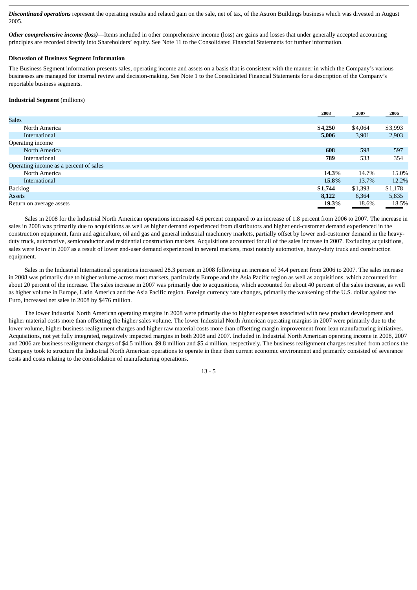*Discontinued operations* represent the operating results and related gain on the sale, net of tax, of the Astron Buildings business which was divested in August 2005.

*Other comprehensive income (loss)*—Items included in other comprehensive income (loss) are gains and losses that under generally accepted accounting principles are recorded directly into Shareholders' equity. See Note 11 to the Consolidated Financial Statements for further information.

#### **Discussion of Business Segment Information**

The Business Segment information presents sales, operating income and assets on a basis that is consistent with the manner in which the Company's various businesses are managed for internal review and decision-making. See Note 1 to the Consolidated Financial Statements for a description of the Company's reportable business segments.

#### **Industrial Segment** (millions)

|                                        | 2008    | 2007    | 2006    |
|----------------------------------------|---------|---------|---------|
| <b>Sales</b>                           |         |         |         |
| North America                          | \$4,250 | \$4,064 | \$3,993 |
| International                          | 5,006   | 3,901   | 2,903   |
| Operating income                       |         |         |         |
| North America                          | 608     | 598     | 597     |
| International                          | 789     | 533     | 354     |
| Operating income as a percent of sales |         |         |         |
| North America                          | 14.3%   | 14.7%   | 15.0%   |
| International                          | 15.8%   | 13.7%   | 12.2%   |
| <b>Backlog</b>                         | \$1,744 | \$1,393 | \$1,178 |
| <b>Assets</b>                          | 8,122   | 6,364   | 5,835   |
| Return on average assets               | 19.3%   | 18.6%   | 18.5%   |

Sales in 2008 for the Industrial North American operations increased 4.6 percent compared to an increase of 1.8 percent from 2006 to 2007. The increase in sales in 2008 was primarily due to acquisitions as well as higher demand experienced from distributors and higher end-customer demand experienced in the construction equipment, farm and agriculture, oil and gas and general industrial machinery markets, partially offset by lower end-customer demand in the heavyduty truck, automotive, semiconductor and residential construction markets. Acquisitions accounted for all of the sales increase in 2007. Excluding acquisitions, sales were lower in 2007 as a result of lower end-user demand experienced in several markets, most notably automotive, heavy-duty truck and construction equipment.

Sales in the Industrial International operations increased 28.3 percent in 2008 following an increase of 34.4 percent from 2006 to 2007. The sales increase in 2008 was primarily due to higher volume across most markets, particularly Europe and the Asia Pacific region as well as acquisitions, which accounted for about 20 percent of the increase. The sales increase in 2007 was primarily due to acquisitions, which accounted for about 40 percent of the sales increase, as well as higher volume in Europe, Latin America and the Asia Pacific region. Foreign currency rate changes, primarily the weakening of the U.S. dollar against the Euro, increased net sales in 2008 by \$476 million.

The lower Industrial North American operating margins in 2008 were primarily due to higher expenses associated with new product development and higher material costs more than offsetting the higher sales volume. The lower Industrial North American operating margins in 2007 were primarily due to the lower volume, higher business realignment charges and higher raw material costs more than offsetting margin improvement from lean manufacturing initiatives. Acquisitions, not yet fully integrated, negatively impacted margins in both 2008 and 2007. Included in Industrial North American operating income in 2008, 2007 and 2006 are business realignment charges of \$4.5 million, \$9.8 million and \$5.4 million, respectively. The business realignment charges resulted from actions the Company took to structure the Industrial North American operations to operate in their then current economic environment and primarily consisted of severance costs and costs relating to the consolidation of manufacturing operations.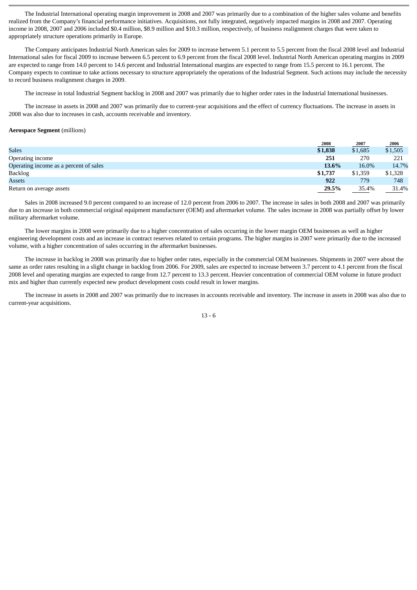The Industrial International operating margin improvement in 2008 and 2007 was primarily due to a combination of the higher sales volume and benefits realized from the Company's financial performance initiatives. Acquisitions, not fully integrated, negatively impacted margins in 2008 and 2007. Operating income in 2008, 2007 and 2006 included \$0.4 million, \$8.9 million and \$10.3 million, respectively, of business realignment charges that were taken to appropriately structure operations primarily in Europe.

The Company anticipates Industrial North American sales for 2009 to increase between 5.1 percent to 5.5 percent from the fiscal 2008 level and Industrial International sales for fiscal 2009 to increase between 6.5 percent to 6.9 percent from the fiscal 2008 level. Industrial North American operating margins in 2009 are expected to range from 14.0 percent to 14.6 percent and Industrial International margins are expected to range from 15.5 percent to 16.1 percent. The Company expects to continue to take actions necessary to structure appropriately the operations of the Industrial Segment. Such actions may include the necessity to record business realignment charges in 2009.

The increase in total Industrial Segment backlog in 2008 and 2007 was primarily due to higher order rates in the Industrial International businesses.

The increase in assets in 2008 and 2007 was primarily due to current-year acquisitions and the effect of currency fluctuations. The increase in assets in 2008 was also due to increases in cash, accounts receivable and inventory.

## **Aerospace Segment** (millions)

|                                        | 2008    | 2007    | 2006    |
|----------------------------------------|---------|---------|---------|
| <b>Sales</b>                           | \$1,838 | \$1,685 | \$1,505 |
| Operating income                       | 251     | 270     | 221     |
| Operating income as a percent of sales | 13.6%   | 16.0%   | 14.7%   |
| <b>Backlog</b>                         | \$1,737 | \$1,359 | \$1,328 |
| Assets                                 | 922     | 779     | 748     |
| Return on average assets               | 29.5%   | 35.4%   | 31.4%   |

Sales in 2008 increased 9.0 percent compared to an increase of 12.0 percent from 2006 to 2007. The increase in sales in both 2008 and 2007 was primarily due to an increase in both commercial original equipment manufacturer (OEM) and aftermarket volume. The sales increase in 2008 was partially offset by lower military aftermarket volume.

The lower margins in 2008 were primarily due to a higher concentration of sales occurring in the lower margin OEM businesses as well as higher engineering development costs and an increase in contract reserves related to certain programs. The higher margins in 2007 were primarily due to the increased volume, with a higher concentration of sales occurring in the aftermarket businesses.

The increase in backlog in 2008 was primarily due to higher order rates, especially in the commercial OEM businesses. Shipments in 2007 were about the same as order rates resulting in a slight change in backlog from 2006. For 2009, sales are expected to increase between 3.7 percent to 4.1 percent from the fiscal 2008 level and operating margins are expected to range from 12.7 percent to 13.3 percent. Heavier concentration of commercial OEM volume in future product mix and higher than currently expected new product development costs could result in lower margins.

The increase in assets in 2008 and 2007 was primarily due to increases in accounts receivable and inventory. The increase in assets in 2008 was also due to current-year acquisitions.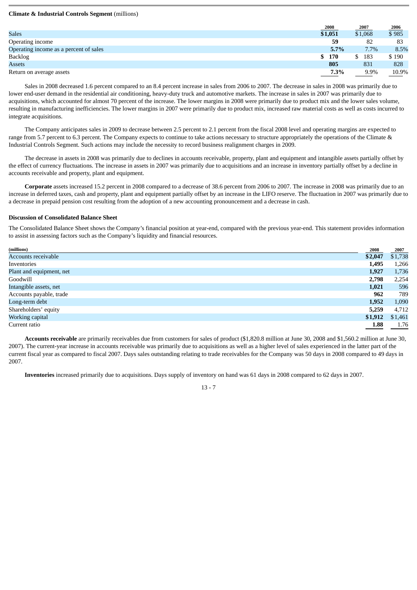### **Climate & Industrial Controls Segment** (millions)

|                                        | 2008       | 2007    | 2006  |
|----------------------------------------|------------|---------|-------|
| <b>Sales</b>                           | \$1,051    | \$1,068 | \$985 |
| Operating income                       | 59         | 82      | 83    |
| Operating income as a percent of sales | 5.7%       | $7.7\%$ | 8.5%  |
| <b>Backlog</b>                         | 170<br>\$. | \$ 183  | \$190 |
| <b>Assets</b>                          | 805        | 831     | 828   |
| Return on average assets               | 7.3%       | 9.9%    | 10.9% |

Sales in 2008 decreased 1.6 percent compared to an 8.4 percent increase in sales from 2006 to 2007. The decrease in sales in 2008 was primarily due to lower end-user demand in the residential air conditioning, heavy-duty truck and automotive markets. The increase in sales in 2007 was primarily due to acquisitions, which accounted for almost 70 percent of the increase. The lower margins in 2008 were primarily due to product mix and the lower sales volume, resulting in manufacturing inefficiencies. The lower margins in 2007 were primarily due to product mix, increased raw material costs as well as costs incurred to integrate acquisitions.

The Company anticipates sales in 2009 to decrease between 2.5 percent to 2.1 percent from the fiscal 2008 level and operating margins are expected to range from 5.7 percent to 6.3 percent. The Company expects to continue to take actions necessary to structure appropriately the operations of the Climate & Industrial Controls Segment. Such actions may include the necessity to record business realignment charges in 2009.

The decrease in assets in 2008 was primarily due to declines in accounts receivable, property, plant and equipment and intangible assets partially offset by the effect of currency fluctuations. The increase in assets in 2007 was primarily due to acquisitions and an increase in inventory partially offset by a decline in accounts receivable and property, plant and equipment.

**Corporate** assets increased 15.2 percent in 2008 compared to a decrease of 38.6 percent from 2006 to 2007. The increase in 2008 was primarily due to an increase in deferred taxes, cash and property, plant and equipment partially offset by an increase in the LIFO reserve. The fluctuation in 2007 was primarily due to a decrease in prepaid pension cost resulting from the adoption of a new accounting pronouncement and a decrease in cash.

## **Discussion of Consolidated Balance Sheet**

The Consolidated Balance Sheet shows the Company's financial position at year-end, compared with the previous year-end. This statement provides information to assist in assessing factors such as the Company's liquidity and financial resources.

| 2008    | 2007    |
|---------|---------|
| \$2,047 | \$1,738 |
| 1,495   | 1,266   |
| 1,927   | 1,736   |
| 2,798   | 2,254   |
| 1,021   | 596     |
| 962     | 789     |
| 1,952   | 1,090   |
| 5,259   | 4,712   |
| \$1,912 | \$1,461 |
| 1.88    | 1.76    |
|         |         |

**Accounts receivable** are primarily receivables due from customers for sales of product (\$1,820.8 million at June 30, 2008 and \$1,560.2 million at June 30, 2007). The current-year increase in accounts receivable was primarily due to acquisitions as well as a higher level of sales experienced in the latter part of the current fiscal year as compared to fiscal 2007. Days sales outstanding relating to trade receivables for the Company was 50 days in 2008 compared to 49 days in 2007.

**Inventories** increased primarily due to acquisitions. Days supply of inventory on hand was 61 days in 2008 compared to 62 days in 2007.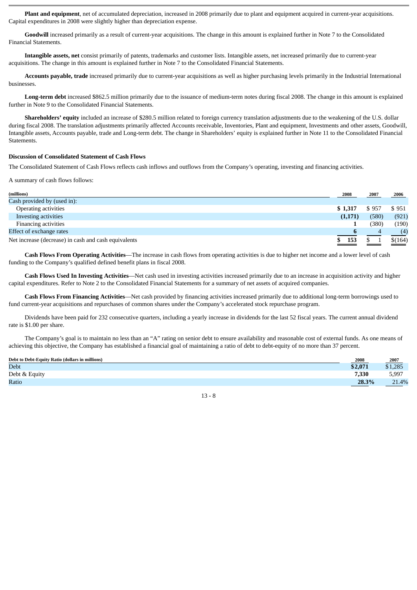**Plant and equipment**, net of accumulated depreciation, increased in 2008 primarily due to plant and equipment acquired in current-year acquisitions. Capital expenditures in 2008 were slightly higher than depreciation expense.

**Goodwill** increased primarily as a result of current-year acquisitions. The change in this amount is explained further in Note 7 to the Consolidated Financial Statements.

**Intangible assets, net** consist primarily of patents, trademarks and customer lists. Intangible assets, net increased primarily due to current-year acquisitions. The change in this amount is explained further in Note 7 to the Consolidated Financial Statements.

**Accounts payable, trade** increased primarily due to current-year acquisitions as well as higher purchasing levels primarily in the Industrial International businesses.

**Long-term debt** increased \$862.5 million primarily due to the issuance of medium-term notes during fiscal 2008. The change in this amount is explained further in Note 9 to the Consolidated Financial Statements.

**Shareholders' equity** included an increase of \$280.5 million related to foreign currency translation adjustments due to the weakening of the U.S. dollar during fiscal 2008. The translation adjustments primarily affected Accounts receivable, Inventories, Plant and equipment, Investments and other assets, Goodwill, Intangible assets, Accounts payable, trade and Long-term debt. The change in Shareholders' equity is explained further in Note 11 to the Consolidated Financial Statements.

### **Discussion of Consolidated Statement of Cash Flows**

The Consolidated Statement of Cash Flows reflects cash inflows and outflows from the Company's operating, investing and financing activities.

A summary of cash flows follows:

| (millions)                                           | 2008    | 2007  | 2006    |
|------------------------------------------------------|---------|-------|---------|
| Cash provided by (used in):                          |         |       |         |
| Operating activities                                 | \$1,317 | \$957 | \$951   |
| Investing activities                                 | (1,171) | (580) | (921)   |
| <b>Financing activities</b>                          |         | (380) | (190)   |
| Effect of exchange rates                             |         |       | (4)     |
| Net increase (decrease) in cash and cash equivalents | 153     |       | \$(164) |

**Cash Flows From Operating Activities**—The increase in cash flows from operating activities is due to higher net income and a lower level of cash funding to the Company's qualified defined benefit plans in fiscal 2008.

**Cash Flows Used In Investing Activities**—Net cash used in investing activities increased primarily due to an increase in acquisition activity and higher capital expenditures. Refer to Note 2 to the Consolidated Financial Statements for a summary of net assets of acquired companies.

**Cash Flows From Financing Activities**—Net cash provided by financing activities increased primarily due to additional long-term borrowings used to fund current-year acquisitions and repurchases of common shares under the Company's accelerated stock repurchase program.

Dividends have been paid for 232 consecutive quarters, including a yearly increase in dividends for the last 52 fiscal years. The current annual dividend rate is \$1.00 per share.

The Company's goal is to maintain no less than an "A" rating on senior debt to ensure availability and reasonable cost of external funds. As one means of achieving this objective, the Company has established a financial goal of maintaining a ratio of debt to debt-equity of no more than 37 percent.

| Debt to Debt-Equity Ratio (dollars in millions) | 2008    | 2007    |
|-------------------------------------------------|---------|---------|
| Debt                                            | \$2,071 | \$1,285 |
| Debt & Equity                                   | 7,330   | 5,997   |
| Ratio                                           | 28.3%   | 21.4%   |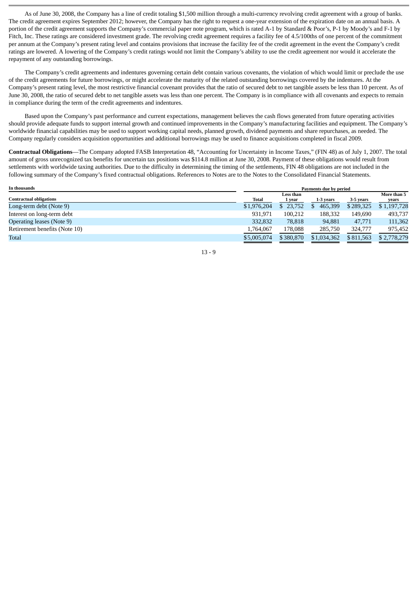As of June 30, 2008, the Company has a line of credit totaling \$1,500 million through a multi-currency revolving credit agreement with a group of banks. The credit agreement expires September 2012; however, the Company has the right to request a one-year extension of the expiration date on an annual basis. A portion of the credit agreement supports the Company's commercial paper note program, which is rated A-1 by Standard & Poor's, P-1 by Moody's and F-1 by Fitch, Inc. These ratings are considered investment grade. The revolving credit agreement requires a facility fee of 4.5/100ths of one percent of the commitment per annum at the Company's present rating level and contains provisions that increase the facility fee of the credit agreement in the event the Company's credit ratings are lowered. A lowering of the Company's credit ratings would not limit the Company's ability to use the credit agreement nor would it accelerate the repayment of any outstanding borrowings.

The Company's credit agreements and indentures governing certain debt contain various covenants, the violation of which would limit or preclude the use of the credit agreements for future borrowings, or might accelerate the maturity of the related outstanding borrowings covered by the indentures. At the Company's present rating level, the most restrictive financial covenant provides that the ratio of secured debt to net tangible assets be less than 10 percent. As of June 30, 2008, the ratio of secured debt to net tangible assets was less than one percent. The Company is in compliance with all covenants and expects to remain in compliance during the term of the credit agreements and indentures.

Based upon the Company's past performance and current expectations, management believes the cash flows generated from future operating activities should provide adequate funds to support internal growth and continued improvements in the Company's manufacturing facilities and equipment. The Company's worldwide financial capabilities may be used to support working capital needs, planned growth, dividend payments and share repurchases, as needed. The Company regularly considers acquisition opportunities and additional borrowings may be used to finance acquisitions completed in fiscal 2009.

**Contractual Obligations**—The Company adopted FASB Interpretation 48, "Accounting for Uncertainty in Income Taxes," (FIN 48) as of July 1, 2007. The total amount of gross unrecognized tax benefits for uncertain tax positions was \$114.8 million at June 30, 2008. Payment of these obligations would result from settlements with worldwide taxing authorities. Due to the difficulty in determining the timing of the settlements, FIN 48 obligations are not included in the following summary of the Company's fixed contractual obligations. References to Notes are to the Notes to the Consolidated Financial Statements.

| In thousands                   | Payments due by period |           |             |           |             |
|--------------------------------|------------------------|-----------|-------------|-----------|-------------|
|                                |                        | Less than |             |           | More than 5 |
| <b>Contractual obligations</b> | Total                  | 1 year    | 1-3 years   | 3-5 years | years       |
| Long-term debt (Note 9)        | \$1,976,204            | \$23,752  | 465.399     | \$289,325 | \$1,197,728 |
| Interest on long-term debt     | 931,971                | 100,212   | 188,332     | 149,690   | 493,737     |
| Operating leases (Note 9)      | 332,832                | 78,818    | 94,881      | 47,771    | 111,362     |
| Retirement benefits (Note 10)  | 1,764,067              | 178,088   | 285,750     | 324,777   | 975,452     |
| <b>Total</b>                   | \$5,005,074            | \$380,870 | \$1,034,362 | \$811,563 | \$2,778,279 |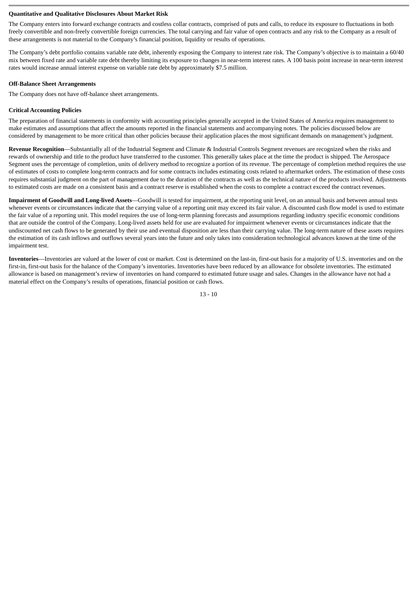## **Quantitative and Qualitative Disclosures About Market Risk**

The Company enters into forward exchange contracts and costless collar contracts, comprised of puts and calls, to reduce its exposure to fluctuations in both freely convertible and non-freely convertible foreign currencies. The total carrying and fair value of open contracts and any risk to the Company as a result of these arrangements is not material to the Company's financial position, liquidity or results of operations.

The Company's debt portfolio contains variable rate debt, inherently exposing the Company to interest rate risk. The Company's objective is to maintain a 60/40 mix between fixed rate and variable rate debt thereby limiting its exposure to changes in near-term interest rates. A 100 basis point increase in near-term interest rates would increase annual interest expense on variable rate debt by approximately \$7.5 million.

#### **Off-Balance Sheet Arrangements**

The Company does not have off-balance sheet arrangements.

## **Critical Accounting Policies**

The preparation of financial statements in conformity with accounting principles generally accepted in the United States of America requires management to make estimates and assumptions that affect the amounts reported in the financial statements and accompanying notes. The policies discussed below are considered by management to be more critical than other policies because their application places the most significant demands on management's judgment.

**Revenue Recognition**—Substantially all of the Industrial Segment and Climate & Industrial Controls Segment revenues are recognized when the risks and rewards of ownership and title to the product have transferred to the customer. This generally takes place at the time the product is shipped. The Aerospace Segment uses the percentage of completion, units of delivery method to recognize a portion of its revenue. The percentage of completion method requires the use of estimates of costs to complete long-term contracts and for some contracts includes estimating costs related to aftermarket orders. The estimation of these costs requires substantial judgment on the part of management due to the duration of the contracts as well as the technical nature of the products involved. Adjustments to estimated costs are made on a consistent basis and a contract reserve is established when the costs to complete a contract exceed the contract revenues.

**Impairment of Goodwill and Long-lived Assets**—Goodwill is tested for impairment, at the reporting unit level, on an annual basis and between annual tests whenever events or circumstances indicate that the carrying value of a reporting unit may exceed its fair value. A discounted cash flow model is used to estimate the fair value of a reporting unit. This model requires the use of long-term planning forecasts and assumptions regarding industry specific economic conditions that are outside the control of the Company. Long-lived assets held for use are evaluated for impairment whenever events or circumstances indicate that the undiscounted net cash flows to be generated by their use and eventual disposition are less than their carrying value. The long-term nature of these assets requires the estimation of its cash inflows and outflows several years into the future and only takes into consideration technological advances known at the time of the impairment test.

**Inventories**—Inventories are valued at the lower of cost or market. Cost is determined on the last-in, first-out basis for a majority of U.S. inventories and on the first-in, first-out basis for the balance of the Company's inventories. Inventories have been reduced by an allowance for obsolete inventories. The estimated allowance is based on management's review of inventories on hand compared to estimated future usage and sales. Changes in the allowance have not had a material effect on the Company's results of operations, financial position or cash flows.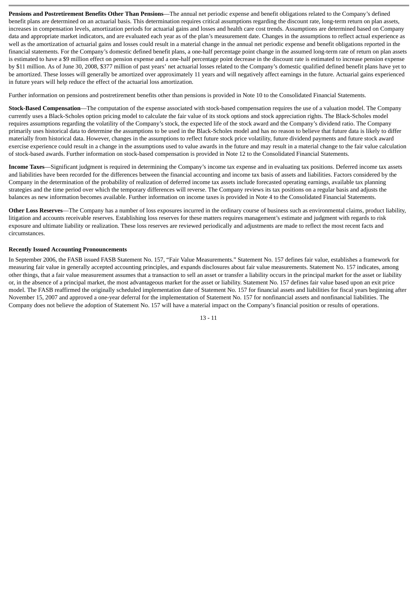**Pensions and Postretirement Benefits Other Than Pensions**—The annual net periodic expense and benefit obligations related to the Company's defined benefit plans are determined on an actuarial basis. This determination requires critical assumptions regarding the discount rate, long-term return on plan assets, increases in compensation levels, amortization periods for actuarial gains and losses and health care cost trends. Assumptions are determined based on Company data and appropriate market indicators, and are evaluated each year as of the plan's measurement date. Changes in the assumptions to reflect actual experience as well as the amortization of actuarial gains and losses could result in a material change in the annual net periodic expense and benefit obligations reported in the financial statements. For the Company's domestic defined benefit plans, a one-half percentage point change in the assumed long-term rate of return on plan assets is estimated to have a \$9 million effect on pension expense and a one-half percentage point decrease in the discount rate is estimated to increase pension expense by \$11 million. As of June 30, 2008, \$377 million of past years' net actuarial losses related to the Company's domestic qualified defined benefit plans have yet to be amortized. These losses will generally be amortized over approximately 11 years and will negatively affect earnings in the future. Actuarial gains experienced in future years will help reduce the effect of the actuarial loss amortization.

Further information on pensions and postretirement benefits other than pensions is provided in Note 10 to the Consolidated Financial Statements.

**Stock-Based Compensation**—The computation of the expense associated with stock-based compensation requires the use of a valuation model. The Company currently uses a Black-Scholes option pricing model to calculate the fair value of its stock options and stock appreciation rights. The Black-Scholes model requires assumptions regarding the volatility of the Company's stock, the expected life of the stock award and the Company's dividend ratio. The Company primarily uses historical data to determine the assumptions to be used in the Black-Scholes model and has no reason to believe that future data is likely to differ materially from historical data. However, changes in the assumptions to reflect future stock price volatility, future dividend payments and future stock award exercise experience could result in a change in the assumptions used to value awards in the future and may result in a material change to the fair value calculation of stock-based awards. Further information on stock-based compensation is provided in Note 12 to the Consolidated Financial Statements.

**Income Taxes**—Significant judgment is required in determining the Company's income tax expense and in evaluating tax positions. Deferred income tax assets and liabilities have been recorded for the differences between the financial accounting and income tax basis of assets and liabilities. Factors considered by the Company in the determination of the probability of realization of deferred income tax assets include forecasted operating earnings, available tax planning strategies and the time period over which the temporary differences will reverse. The Company reviews its tax positions on a regular basis and adjusts the balances as new information becomes available. Further information on income taxes is provided in Note 4 to the Consolidated Financial Statements.

**Other Loss Reserves**—The Company has a number of loss exposures incurred in the ordinary course of business such as environmental claims, product liability, litigation and accounts receivable reserves. Establishing loss reserves for these matters requires management's estimate and judgment with regards to risk exposure and ultimate liability or realization. These loss reserves are reviewed periodically and adjustments are made to reflect the most recent facts and circumstances.

### **Recently Issued Accounting Pronouncements**

In September 2006, the FASB issued FASB Statement No. 157, "Fair Value Measurements." Statement No. 157 defines fair value, establishes a framework for measuring fair value in generally accepted accounting principles, and expands disclosures about fair value measurements. Statement No. 157 indicates, among other things, that a fair value measurement assumes that a transaction to sell an asset or transfer a liability occurs in the principal market for the asset or liability or, in the absence of a principal market, the most advantageous market for the asset or liability. Statement No. 157 defines fair value based upon an exit price model. The FASB reaffirmed the originally scheduled implementation date of Statement No. 157 for financial assets and liabilities for fiscal years beginning after November 15, 2007 and approved a one-year deferral for the implementation of Statement No. 157 for nonfinancial assets and nonfinancial liabilities. The Company does not believe the adoption of Statement No. 157 will have a material impact on the Company's financial position or results of operations.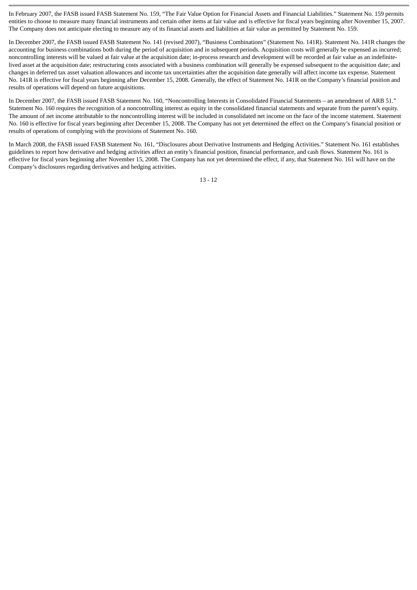In February 2007, the FASB issued FASB Statement No. 159, "The Fair Value Option for Financial Assets and Financial Liabilities." Statement No. 159 permits entities to choose to measure many financial instruments and certain other items at fair value and is effective for fiscal years beginning after November 15, 2007. The Company does not anticipate electing to measure any of its financial assets and liabilities at fair value as permitted by Statement No. 159.

In December 2007, the FASB issued FASB Statement No. 141 (revised 2007), "Business Combinations" (Statement No. 141R). Statement No. 141R changes the accounting for business combinations both during the period of acquisition and in subsequent periods. Acquisition costs will generally be expensed as incurred; noncontrolling interests will be valued at fair value at the acquisition date; in-process research and development will be recorded at fair value as an indefinitelived asset at the acquisition date; restructuring costs associated with a business combination will generally be expensed subsequent to the acquisition date; and changes in deferred tax asset valuation allowances and income tax uncertainties after the acquisition date generally will affect income tax expense. Statement No. 141R is effective for fiscal years beginning after December 15, 2008. Generally, the effect of Statement No. 141R on the Company's financial position and results of operations will depend on future acquisitions.

In December 2007, the FASB issued FASB Statement No. 160, "Noncontrolling Interests in Consolidated Financial Statements – an amendment of ARB 51." Statement No. 160 requires the recognition of a noncontrolling interest as equity in the consolidated financial statements and separate from the parent's equity. The amount of net income attributable to the noncontrolling interest will be included in consolidated net income on the face of the income statement. Statement No. 160 is effective for fiscal years beginning after December 15, 2008. The Company has not yet determined the effect on the Company's financial position or results of operations of complying with the provisions of Statement No. 160.

In March 2008, the FASB issued FASB Statement No. 161, "Disclosures about Derivative Instruments and Hedging Activities." Statement No. 161 establishes guidelines to report how derivative and hedging activities affect an entity's financial position, financial performance, and cash flows. Statement No. 161 is effective for fiscal years beginning after November 15, 2008. The Company has not yet determined the effect, if any, that Statement No. 161 will have on the Company's disclosures regarding derivatives and hedging activities.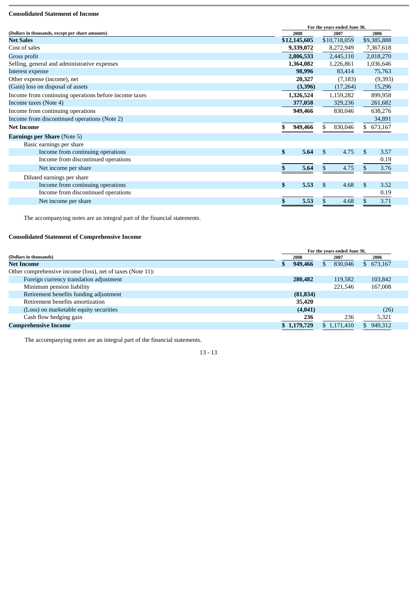## **Consolidated Statement of Income**

|                                                       |              | For the years ended June 30, |             |
|-------------------------------------------------------|--------------|------------------------------|-------------|
| (Dollars in thousands, except per share amounts)      | 2008         | 2007                         | 2006        |
| <b>Net Sales</b>                                      | \$12,145,605 | \$10,718,059                 | \$9,385,888 |
| Cost of sales                                         | 9,339,072    | 8,272,949                    | 7,367,618   |
| Gross profit                                          | 2,806,533    | 2,445,110                    | 2,018,270   |
| Selling, general and administrative expenses          | 1,364,082    | 1,226,861                    | 1,036,646   |
| Interest expense                                      | 98,996       | 83,414                       | 75,763      |
| Other expense (income), net                           | 20,327       | (7, 183)                     | (9,393)     |
| (Gain) loss on disposal of assets                     | (3,396)      | (17,264)                     | 15,296      |
| Income from continuing operations before income taxes | 1,326,524    | 1,159,282                    | 899,958     |
| Income taxes (Note 4)                                 | 377,058      | 329,236                      | 261,682     |
| Income from continuing operations                     | 949,466      | 830,046                      | 638,276     |
| Income from discontinued operations (Note 2)          |              |                              | 34,891      |
| <b>Net Income</b>                                     | 949,466      | 830,046<br>S.                | 673,167     |
| <b>Earnings per Share (Note 5)</b>                    |              |                              |             |
| Basic earnings per share                              |              |                              |             |
| Income from continuing operations                     | \$<br>5.64   | \$<br>4.75                   | \$.<br>3.57 |
| Income from discontinued operations                   |              |                              | 0.19        |
| Net income per share                                  | 5.64         | 4.75                         | 3.76        |
| Diluted earnings per share                            |              |                              |             |
| Income from continuing operations                     | \$<br>5.53   | \$<br>4.68                   | \$.<br>3.52 |
| Income from discontinued operations                   |              |                              | 0.19        |
| Net income per share                                  | 5.53<br>\$   | 4.68                         | 3.71<br>S   |
|                                                       |              |                              |             |

The accompanying notes are an integral part of the financial statements.

# **Consolidated Statement of Comprehensive Income**

|                                                            | For the years ended June 30, |             |  |             |              |         |
|------------------------------------------------------------|------------------------------|-------------|--|-------------|--------------|---------|
| (Dollars in thousands)                                     | 2006<br>2008<br>2007         |             |  |             |              |         |
| Net Income                                                 |                              | 949,466     |  | 830,046     | $\mathbf{b}$ | 673,167 |
| Other comprehensive income (loss), net of taxes (Note 11): |                              |             |  |             |              |         |
| Foreign currency translation adjustment                    |                              | 280,482     |  | 119,582     |              | 103,842 |
| Minimum pension liability                                  |                              |             |  | 221,546     |              | 167,008 |
| Retirement benefits funding adjustment                     |                              | (81, 834)   |  |             |              |         |
| Retirement benefits amortization                           |                              | 35,420      |  |             |              |         |
| (Loss) on marketable equity securities                     |                              | (4,041)     |  |             |              | (26)    |
| Cash flow hedging gain                                     |                              | 236         |  | 236         |              | 5,321   |
| <b>Comprehensive Income</b>                                |                              | \$1,179,729 |  | \$1,171,410 |              | 949,312 |
|                                                            |                              |             |  |             |              |         |

The accompanying notes are an integral part of the financial statements.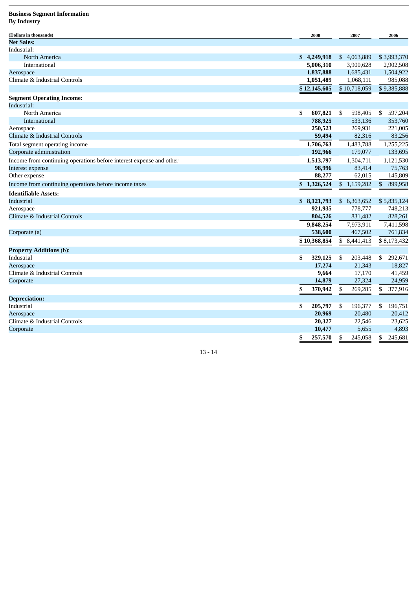## **Business Segment Information By Industry**

| (Dollars in thousands)                                              | 2008          |      | 2007         |              | 2006        |
|---------------------------------------------------------------------|---------------|------|--------------|--------------|-------------|
| <b>Net Sales:</b>                                                   |               |      |              |              |             |
| Industrial:                                                         |               |      |              |              |             |
| North America                                                       | \$4,249,918   |      | \$4,063,889  |              | \$3,993,370 |
| International                                                       | 5,006,310     |      | 3,900,628    |              | 2,902,508   |
| Aerospace                                                           | 1,837,888     |      | 1,685,431    |              | 1,504,922   |
| Climate & Industrial Controls                                       | 1,051,489     |      | 1,068,111    |              | 985,088     |
|                                                                     | \$12,145,605  |      | \$10,718,059 |              | \$9,385,888 |
| <b>Segment Operating Income:</b>                                    |               |      |              |              |             |
| Industrial:                                                         |               |      |              |              |             |
| North America                                                       | \$<br>607,821 | - \$ | 598,405      | \$           | 597,204     |
| International                                                       | 788,925       |      | 533,136      |              | 353,760     |
| Aerospace                                                           | 250,523       |      | 269,931      |              | 221,005     |
| Climate & Industrial Controls                                       | 59,494        |      | 82,316       |              | 83,256      |
| Total segment operating income                                      | 1,706,763     |      | 1,483,788    |              | 1,255,225   |
| Corporate administration                                            | 192,966       |      | 179,077      |              | 133,695     |
| Income from continuing operations before interest expense and other | 1,513,797     |      | 1,304,711    |              | 1,121,530   |
| Interest expense                                                    | 98,996        |      | 83,414       |              | 75,763      |
| Other expense                                                       | 88,277        |      | 62,015       |              | 145,809     |
| Income from continuing operations before income taxes               | \$1,326,524   |      | \$1,159,282  | $\mathbb{S}$ | 899,958     |
| <b>Identifiable Assets:</b>                                         |               |      |              |              |             |
| Industrial                                                          | \$8,121,793   |      | \$ 6,363,652 |              | \$5,835,124 |
| Aerospace                                                           | 921,935       |      | 778,777      |              | 748,213     |
| Climate & Industrial Controls                                       | 804,526       |      | 831,482      |              | 828,261     |
|                                                                     | 9,848,254     |      | 7,973,911    |              | 7,411,598   |
| Corporate (a)                                                       | 538,600       |      | 467,502      |              | 761,834     |
|                                                                     | \$10,368,854  | \$   | 8,441,413    |              | \$8,173,432 |
| <b>Property Additions (b):</b>                                      |               |      |              |              |             |
| Industrial                                                          | \$<br>329,125 | \$   | 203,448      | \$           | 292,671     |
| Aerospace                                                           | 17,274        |      | 21,343       |              | 18,827      |
| Climate & Industrial Controls                                       | 9,664         |      | 17,170       |              | 41,459      |
| Corporate                                                           | 14,879        |      | 27,324       |              | 24,959      |
|                                                                     | \$<br>370,942 | \$   | 269,285      | \$           | 377,916     |
| <b>Depreciation:</b>                                                |               |      |              |              |             |
| Industrial                                                          | \$<br>205,797 | - \$ | 196,377      | \$           | 196,751     |
| Aerospace                                                           | 20,969        |      | 20,480       |              | 20,412      |
| Climate & Industrial Controls                                       | 20,327        |      | 22,546       |              | 23,625      |
| Corporate                                                           | 10,477        |      | 5,655        |              | 4,893       |
|                                                                     | \$<br>257,570 | \$   | 245,058      | \$           | 245,681     |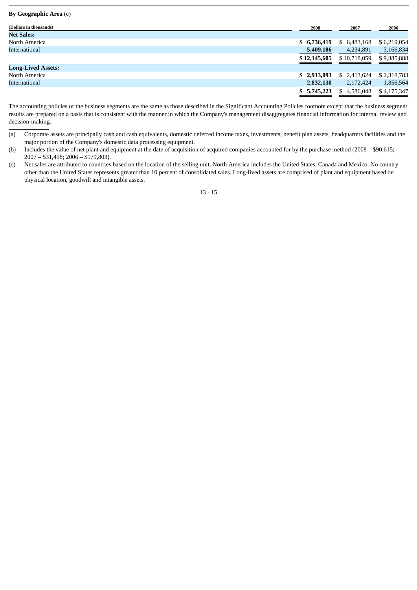### **By Geographic Area** (c)

| (Dollars in thousands)    | 2008         | 2007         | 2006        |
|---------------------------|--------------|--------------|-------------|
| <b>Net Sales:</b>         |              |              |             |
| North America             | \$6,736,419  | \$6,483,168  | \$6,219,054 |
| International             | 5,409,186    | 4,234,891    | 3,166,834   |
|                           | \$12,145,605 | \$10,718,059 | \$9,385,888 |
| <b>Long-Lived Assets:</b> |              |              |             |
| North America             | \$2,913,093  | \$2,413,624  | \$2,318,783 |
| International             | 2,832,130    | 2,172,424    | 1,856,564   |
|                           | \$5,745,223  | \$4,586,048  | \$4,175,347 |

The accounting policies of the business segments are the same as those described in the Significant Accounting Policies footnote except that the business segment results are prepared on a basis that is consistent with the manner in which the Company's management disaggregates financial information for internal review and decision-making.

- (a) Corporate assets are principally cash and cash equivalents, domestic deferred income taxes, investments, benefit plan assets, headquarters facilities and the major portion of the Company's domestic data processing equipment.
- (b) Includes the value of net plant and equipment at the date of acquisition of acquired companies accounted for by the purchase method (2008 \$90,615; 2007 – \$31,458; 2006 – \$179,803).
- (c) Net sales are attributed to countries based on the location of the selling unit. North America includes the United States, Canada and Mexico. No country other than the United States represents greater than 10 percent of consolidated sales. Long-lived assets are comprised of plant and equipment based on physical location, goodwill and intangible assets.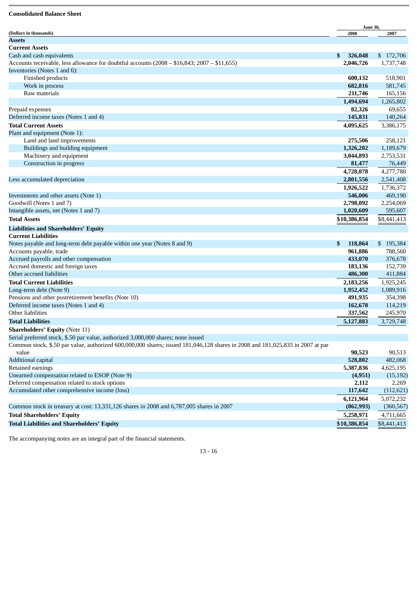## **Consolidated Balance Sheet**

|                                                                                                                                | <b>June 30,</b> |             |
|--------------------------------------------------------------------------------------------------------------------------------|-----------------|-------------|
| (Dollars in thousands)                                                                                                         | 2008            | 2007        |
| Assets                                                                                                                         |                 |             |
| <b>Current Assets</b>                                                                                                          |                 |             |
| Cash and cash equivalents                                                                                                      | \$<br>326,048   | \$172,706   |
| Accounts receivable, less allowance for doubtful accounts (2008 - \$16,843; 2007 - \$11,655)                                   | 2,046,726       | 1,737,748   |
| Inventories (Notes 1 and 6):                                                                                                   |                 |             |
| Finished products                                                                                                              | 600,132         | 518,901     |
| Work in process                                                                                                                | 682,816         | 581,745     |
| Raw materials                                                                                                                  | 211,746         | 165,156     |
|                                                                                                                                | 1,494,694       | 1,265,802   |
| Prepaid expenses                                                                                                               | 82,326          | 69,655      |
| Deferred income taxes (Notes 1 and 4)                                                                                          | 145,831         | 140,264     |
| <b>Total Current Assets</b>                                                                                                    | 4,095,625       | 3,386,175   |
| Plant and equipment (Note 1):                                                                                                  |                 |             |
| Land and land improvements                                                                                                     | 275,506         | 258,121     |
| Buildings and building equipment                                                                                               | 1,326,202       | 1,189,679   |
| Machinery and equipment                                                                                                        | 3,044,893       | 2,753,531   |
| Construction in progress                                                                                                       | 81,477          | 76,449      |
|                                                                                                                                | 4,728,078       | 4,277,780   |
| Less accumulated depreciation                                                                                                  | 2,801,556       | 2,541,408   |
|                                                                                                                                |                 | 1,736,372   |
|                                                                                                                                | 1,926,522       |             |
| Investments and other assets (Note 1)                                                                                          | 546,006         | 469,190     |
| Goodwill (Notes 1 and 7)                                                                                                       | 2,798,092       | 2,254,069   |
| Intangible assets, net (Notes 1 and 7)                                                                                         | 1,020,609       | 595,607     |
| <b>Total Assets</b>                                                                                                            | \$10,386,854    | \$8,441,413 |
| <b>Liabilities and Shareholders' Equity</b>                                                                                    |                 |             |
| <b>Current Liabilities</b>                                                                                                     |                 |             |
| Notes payable and long-term debt payable within one year (Notes 8 and 9)                                                       | \$<br>118,864   | \$195,384   |
| Accounts payable, trade                                                                                                        | 961,886         | 788,560     |
| Accrued payrolls and other compensation                                                                                        | 433,070         | 376,678     |
| Accrued domestic and foreign taxes                                                                                             | 183,136         | 152,739     |
| Other accrued liabilities                                                                                                      | 486,300         | 411,884     |
| <b>Total Current Liabilities</b>                                                                                               | 2,183,256       | 1,925,245   |
| Long-term debt (Note 9)                                                                                                        | 1,952,452       | 1,089,916   |
| Pensions and other postretirement benefits (Note 10)                                                                           | 491,935         | 354,398     |
| Deferred income taxes (Notes 1 and 4)                                                                                          | 162,678         | 114,219     |
| Other liabilities                                                                                                              | 337,562         | 245,970     |
| Total Liabilities                                                                                                              | 5,127,883       | 3,729,748   |
| <b>Shareholders' Equity (Note 11)</b>                                                                                          |                 |             |
| Serial preferred stock, \$.50 par value, authorized 3,000,000 shares; none issued                                              |                 |             |
| Common stock, \$.50 par value, authorized 600,000,000 shares; issued 181,046,128 shares in 2008 and 181,025,835 in 2007 at par |                 |             |
| value                                                                                                                          | 90,523          | 90,513      |
| <b>Additional capital</b>                                                                                                      | 528,802         | 482,068     |
| Retained earnings                                                                                                              | 5,387,836       | 4,625,195   |
| Unearned compensation related to ESOP (Note 9)                                                                                 | (4,951)         | (15, 192)   |
| Deferred compensation related to stock options                                                                                 | 2,112           | 2,269       |
| Accumulated other comprehensive income (loss)                                                                                  | 117,642         | (112, 621)  |
|                                                                                                                                | 6,121,964       | 5,072,232   |
| Common stock in treasury at cost: 13,331,126 shares in 2008 and 6,787,005 shares in 2007                                       |                 |             |
|                                                                                                                                | (862,993)       | (360, 567)  |
| <b>Total Shareholders' Equity</b>                                                                                              | 5,258,971       | 4,711,665   |

The accompanying notes are an integral part of the financial statements.

13 - 16

**Total Liabilities and Shareholders' Equity \$10,386,854** \$8,441,413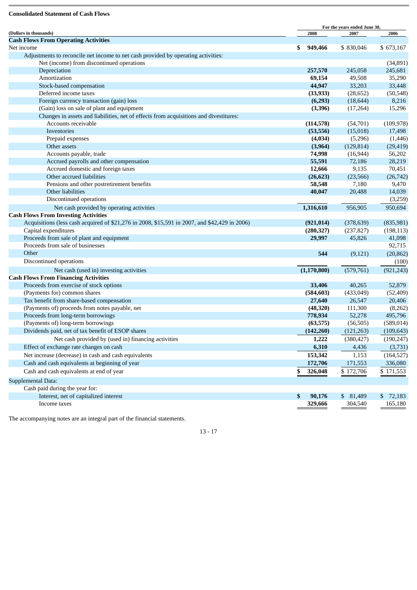# **Consolidated Statement of Cash Flows**

| 2007<br><b>Cash Flows From Operating Activities</b><br>949,466<br>\$830,046<br>\$673,167<br>Net income<br>\$<br>Adjustments to reconcile net income to net cash provided by operating activities:<br>Net (income) from discontinued operations<br>Depreciation<br>245,681<br>257,570<br>245,058<br>35,290<br>Amortization<br>69,154<br>49,508<br>Stock-based compensation<br>44,947<br>33,203<br>33,448<br>Deferred income taxes<br>(33, 933)<br>(28, 652)<br>Foreign currency transaction (gain) loss<br>8,216<br>(6,293)<br>(18, 644)<br>(Gain) loss on sale of plant and equipment<br>(3, 396)<br>15,296<br>(17,264)<br>Changes in assets and liabilities, net of effects from acquisitions and divestitures:<br>Accounts receivable<br>(114, 578)<br>(54, 701)<br>Inventories<br>(53, 556)<br>(15,018)<br>17,498<br>Prepaid expenses<br>(4,034)<br>(5,296)<br>(3,964)<br>Other assets<br>(129, 814)<br>Accounts payable, trade<br>74,998<br>56,202<br>(16, 944)<br>Accrued payrolls and other compensation<br>55,591<br>28,219<br>72,186<br>Accrued domestic and foreign taxes<br>12,666<br>9,135<br>70,451<br>Other accrued liabilities<br>(26, 623)<br>(23, 566)<br>Pensions and other postretirement benefits<br>58,548<br>7,180<br>9,470<br>Other liabilities<br>40,047<br>14,039<br>20,488<br>Discontinued operations<br>Net cash provided by operating activities<br>1,316,610<br>956,905<br>950,694<br><b>Cash Flows From Investing Activities</b><br>Acquisitions (less cash acquired of \$21,276 in 2008, \$15,591 in 2007, and \$42,429 in 2006)<br>(835, 981)<br>(921, 014)<br>(378, 639)<br>Capital expenditures<br>(280, 327)<br>(237, 827)<br>Proceeds from sale of plant and equipment<br>29,997<br>41,098<br>45,826<br>Proceeds from sale of businesses<br>92,715<br>Other<br>544<br>(9,121)<br>Discontinued operations<br>(579, 761)<br>Net cash (used in) investing activities<br>(1,170,800)<br><b>Cash Flows From Financing Activities</b><br>Proceeds from exercise of stock options<br>33,406<br>40,265<br>52,879<br>(Payments for) common shares<br>(584, 603)<br>(433,049)<br>Tax benefit from share-based compensation<br>27,640<br>26,547<br>20,406<br>(Payments of) proceeds from notes payable, net<br>111,300<br>(48, 320)<br>Proceeds from long-term borrowings<br>778,934<br>52,278<br>495,796<br>(Payments of) long-term borrowings<br>(63, 575)<br>(56, 505)<br>Dividends paid, net of tax benefit of ESOP shares<br>(142, 260)<br>(121, 263)<br>1,222<br>Net cash provided by (used in) financing activities<br>(380, 427)<br>Effect of exchange rate changes on cash<br>6,310<br>4,436<br>Net increase (decrease) in cash and cash equivalents<br>153,342<br>1,153<br>Cash and cash equivalents at beginning of year<br>172,706<br>336,080<br>171,553<br>Cash and cash equivalents at end of year<br>\$<br>326,048<br>\$172,706<br>\$171,553<br>Supplemental Data:<br>Cash paid during the year for:<br>Interest, net of capitalized interest<br>90,176<br>\$81,489<br>\$72,183<br>\$ |                        |         | For the years ended June 30, |         |
|------------------------------------------------------------------------------------------------------------------------------------------------------------------------------------------------------------------------------------------------------------------------------------------------------------------------------------------------------------------------------------------------------------------------------------------------------------------------------------------------------------------------------------------------------------------------------------------------------------------------------------------------------------------------------------------------------------------------------------------------------------------------------------------------------------------------------------------------------------------------------------------------------------------------------------------------------------------------------------------------------------------------------------------------------------------------------------------------------------------------------------------------------------------------------------------------------------------------------------------------------------------------------------------------------------------------------------------------------------------------------------------------------------------------------------------------------------------------------------------------------------------------------------------------------------------------------------------------------------------------------------------------------------------------------------------------------------------------------------------------------------------------------------------------------------------------------------------------------------------------------------------------------------------------------------------------------------------------------------------------------------------------------------------------------------------------------------------------------------------------------------------------------------------------------------------------------------------------------------------------------------------------------------------------------------------------------------------------------------------------------------------------------------------------------------------------------------------------------------------------------------------------------------------------------------------------------------------------------------------------------------------------------------------------------------------------------------------------------------------------------------------------------------------------------------------------------------------------------------------------------------------------------------------------------------------------------------------------------------------------------------------------------|------------------------|---------|------------------------------|---------|
|                                                                                                                                                                                                                                                                                                                                                                                                                                                                                                                                                                                                                                                                                                                                                                                                                                                                                                                                                                                                                                                                                                                                                                                                                                                                                                                                                                                                                                                                                                                                                                                                                                                                                                                                                                                                                                                                                                                                                                                                                                                                                                                                                                                                                                                                                                                                                                                                                                                                                                                                                                                                                                                                                                                                                                                                                                                                                                                                                                                                                              | (Dollars in thousands) | 2008    |                              | 2006    |
| (34,891)<br>(50, 548)<br>(109, 978)<br>(1, 446)<br>(29, 419)<br>(26, 742)<br>(3,259)<br>(198, 113)<br>(20, 862)<br>(100)<br>(921, 243)<br>(52, 409)<br>(8,262)<br>(589, 014)<br>(109, 643)<br>(190, 247)<br>(3,731)<br>(164, 527)                                                                                                                                                                                                                                                                                                                                                                                                                                                                                                                                                                                                                                                                                                                                                                                                                                                                                                                                                                                                                                                                                                                                                                                                                                                                                                                                                                                                                                                                                                                                                                                                                                                                                                                                                                                                                                                                                                                                                                                                                                                                                                                                                                                                                                                                                                                                                                                                                                                                                                                                                                                                                                                                                                                                                                                            |                        |         |                              |         |
|                                                                                                                                                                                                                                                                                                                                                                                                                                                                                                                                                                                                                                                                                                                                                                                                                                                                                                                                                                                                                                                                                                                                                                                                                                                                                                                                                                                                                                                                                                                                                                                                                                                                                                                                                                                                                                                                                                                                                                                                                                                                                                                                                                                                                                                                                                                                                                                                                                                                                                                                                                                                                                                                                                                                                                                                                                                                                                                                                                                                                              |                        |         |                              |         |
|                                                                                                                                                                                                                                                                                                                                                                                                                                                                                                                                                                                                                                                                                                                                                                                                                                                                                                                                                                                                                                                                                                                                                                                                                                                                                                                                                                                                                                                                                                                                                                                                                                                                                                                                                                                                                                                                                                                                                                                                                                                                                                                                                                                                                                                                                                                                                                                                                                                                                                                                                                                                                                                                                                                                                                                                                                                                                                                                                                                                                              |                        |         |                              |         |
|                                                                                                                                                                                                                                                                                                                                                                                                                                                                                                                                                                                                                                                                                                                                                                                                                                                                                                                                                                                                                                                                                                                                                                                                                                                                                                                                                                                                                                                                                                                                                                                                                                                                                                                                                                                                                                                                                                                                                                                                                                                                                                                                                                                                                                                                                                                                                                                                                                                                                                                                                                                                                                                                                                                                                                                                                                                                                                                                                                                                                              |                        |         |                              |         |
|                                                                                                                                                                                                                                                                                                                                                                                                                                                                                                                                                                                                                                                                                                                                                                                                                                                                                                                                                                                                                                                                                                                                                                                                                                                                                                                                                                                                                                                                                                                                                                                                                                                                                                                                                                                                                                                                                                                                                                                                                                                                                                                                                                                                                                                                                                                                                                                                                                                                                                                                                                                                                                                                                                                                                                                                                                                                                                                                                                                                                              |                        |         |                              |         |
|                                                                                                                                                                                                                                                                                                                                                                                                                                                                                                                                                                                                                                                                                                                                                                                                                                                                                                                                                                                                                                                                                                                                                                                                                                                                                                                                                                                                                                                                                                                                                                                                                                                                                                                                                                                                                                                                                                                                                                                                                                                                                                                                                                                                                                                                                                                                                                                                                                                                                                                                                                                                                                                                                                                                                                                                                                                                                                                                                                                                                              |                        |         |                              |         |
|                                                                                                                                                                                                                                                                                                                                                                                                                                                                                                                                                                                                                                                                                                                                                                                                                                                                                                                                                                                                                                                                                                                                                                                                                                                                                                                                                                                                                                                                                                                                                                                                                                                                                                                                                                                                                                                                                                                                                                                                                                                                                                                                                                                                                                                                                                                                                                                                                                                                                                                                                                                                                                                                                                                                                                                                                                                                                                                                                                                                                              |                        |         |                              |         |
|                                                                                                                                                                                                                                                                                                                                                                                                                                                                                                                                                                                                                                                                                                                                                                                                                                                                                                                                                                                                                                                                                                                                                                                                                                                                                                                                                                                                                                                                                                                                                                                                                                                                                                                                                                                                                                                                                                                                                                                                                                                                                                                                                                                                                                                                                                                                                                                                                                                                                                                                                                                                                                                                                                                                                                                                                                                                                                                                                                                                                              |                        |         |                              |         |
|                                                                                                                                                                                                                                                                                                                                                                                                                                                                                                                                                                                                                                                                                                                                                                                                                                                                                                                                                                                                                                                                                                                                                                                                                                                                                                                                                                                                                                                                                                                                                                                                                                                                                                                                                                                                                                                                                                                                                                                                                                                                                                                                                                                                                                                                                                                                                                                                                                                                                                                                                                                                                                                                                                                                                                                                                                                                                                                                                                                                                              |                        |         |                              |         |
|                                                                                                                                                                                                                                                                                                                                                                                                                                                                                                                                                                                                                                                                                                                                                                                                                                                                                                                                                                                                                                                                                                                                                                                                                                                                                                                                                                                                                                                                                                                                                                                                                                                                                                                                                                                                                                                                                                                                                                                                                                                                                                                                                                                                                                                                                                                                                                                                                                                                                                                                                                                                                                                                                                                                                                                                                                                                                                                                                                                                                              |                        |         |                              |         |
|                                                                                                                                                                                                                                                                                                                                                                                                                                                                                                                                                                                                                                                                                                                                                                                                                                                                                                                                                                                                                                                                                                                                                                                                                                                                                                                                                                                                                                                                                                                                                                                                                                                                                                                                                                                                                                                                                                                                                                                                                                                                                                                                                                                                                                                                                                                                                                                                                                                                                                                                                                                                                                                                                                                                                                                                                                                                                                                                                                                                                              |                        |         |                              |         |
|                                                                                                                                                                                                                                                                                                                                                                                                                                                                                                                                                                                                                                                                                                                                                                                                                                                                                                                                                                                                                                                                                                                                                                                                                                                                                                                                                                                                                                                                                                                                                                                                                                                                                                                                                                                                                                                                                                                                                                                                                                                                                                                                                                                                                                                                                                                                                                                                                                                                                                                                                                                                                                                                                                                                                                                                                                                                                                                                                                                                                              |                        |         |                              |         |
|                                                                                                                                                                                                                                                                                                                                                                                                                                                                                                                                                                                                                                                                                                                                                                                                                                                                                                                                                                                                                                                                                                                                                                                                                                                                                                                                                                                                                                                                                                                                                                                                                                                                                                                                                                                                                                                                                                                                                                                                                                                                                                                                                                                                                                                                                                                                                                                                                                                                                                                                                                                                                                                                                                                                                                                                                                                                                                                                                                                                                              |                        |         |                              |         |
|                                                                                                                                                                                                                                                                                                                                                                                                                                                                                                                                                                                                                                                                                                                                                                                                                                                                                                                                                                                                                                                                                                                                                                                                                                                                                                                                                                                                                                                                                                                                                                                                                                                                                                                                                                                                                                                                                                                                                                                                                                                                                                                                                                                                                                                                                                                                                                                                                                                                                                                                                                                                                                                                                                                                                                                                                                                                                                                                                                                                                              |                        |         |                              |         |
|                                                                                                                                                                                                                                                                                                                                                                                                                                                                                                                                                                                                                                                                                                                                                                                                                                                                                                                                                                                                                                                                                                                                                                                                                                                                                                                                                                                                                                                                                                                                                                                                                                                                                                                                                                                                                                                                                                                                                                                                                                                                                                                                                                                                                                                                                                                                                                                                                                                                                                                                                                                                                                                                                                                                                                                                                                                                                                                                                                                                                              |                        |         |                              |         |
|                                                                                                                                                                                                                                                                                                                                                                                                                                                                                                                                                                                                                                                                                                                                                                                                                                                                                                                                                                                                                                                                                                                                                                                                                                                                                                                                                                                                                                                                                                                                                                                                                                                                                                                                                                                                                                                                                                                                                                                                                                                                                                                                                                                                                                                                                                                                                                                                                                                                                                                                                                                                                                                                                                                                                                                                                                                                                                                                                                                                                              |                        |         |                              |         |
|                                                                                                                                                                                                                                                                                                                                                                                                                                                                                                                                                                                                                                                                                                                                                                                                                                                                                                                                                                                                                                                                                                                                                                                                                                                                                                                                                                                                                                                                                                                                                                                                                                                                                                                                                                                                                                                                                                                                                                                                                                                                                                                                                                                                                                                                                                                                                                                                                                                                                                                                                                                                                                                                                                                                                                                                                                                                                                                                                                                                                              |                        |         |                              |         |
|                                                                                                                                                                                                                                                                                                                                                                                                                                                                                                                                                                                                                                                                                                                                                                                                                                                                                                                                                                                                                                                                                                                                                                                                                                                                                                                                                                                                                                                                                                                                                                                                                                                                                                                                                                                                                                                                                                                                                                                                                                                                                                                                                                                                                                                                                                                                                                                                                                                                                                                                                                                                                                                                                                                                                                                                                                                                                                                                                                                                                              |                        |         |                              |         |
|                                                                                                                                                                                                                                                                                                                                                                                                                                                                                                                                                                                                                                                                                                                                                                                                                                                                                                                                                                                                                                                                                                                                                                                                                                                                                                                                                                                                                                                                                                                                                                                                                                                                                                                                                                                                                                                                                                                                                                                                                                                                                                                                                                                                                                                                                                                                                                                                                                                                                                                                                                                                                                                                                                                                                                                                                                                                                                                                                                                                                              |                        |         |                              |         |
|                                                                                                                                                                                                                                                                                                                                                                                                                                                                                                                                                                                                                                                                                                                                                                                                                                                                                                                                                                                                                                                                                                                                                                                                                                                                                                                                                                                                                                                                                                                                                                                                                                                                                                                                                                                                                                                                                                                                                                                                                                                                                                                                                                                                                                                                                                                                                                                                                                                                                                                                                                                                                                                                                                                                                                                                                                                                                                                                                                                                                              |                        |         |                              |         |
|                                                                                                                                                                                                                                                                                                                                                                                                                                                                                                                                                                                                                                                                                                                                                                                                                                                                                                                                                                                                                                                                                                                                                                                                                                                                                                                                                                                                                                                                                                                                                                                                                                                                                                                                                                                                                                                                                                                                                                                                                                                                                                                                                                                                                                                                                                                                                                                                                                                                                                                                                                                                                                                                                                                                                                                                                                                                                                                                                                                                                              |                        |         |                              |         |
|                                                                                                                                                                                                                                                                                                                                                                                                                                                                                                                                                                                                                                                                                                                                                                                                                                                                                                                                                                                                                                                                                                                                                                                                                                                                                                                                                                                                                                                                                                                                                                                                                                                                                                                                                                                                                                                                                                                                                                                                                                                                                                                                                                                                                                                                                                                                                                                                                                                                                                                                                                                                                                                                                                                                                                                                                                                                                                                                                                                                                              |                        |         |                              |         |
|                                                                                                                                                                                                                                                                                                                                                                                                                                                                                                                                                                                                                                                                                                                                                                                                                                                                                                                                                                                                                                                                                                                                                                                                                                                                                                                                                                                                                                                                                                                                                                                                                                                                                                                                                                                                                                                                                                                                                                                                                                                                                                                                                                                                                                                                                                                                                                                                                                                                                                                                                                                                                                                                                                                                                                                                                                                                                                                                                                                                                              |                        |         |                              |         |
|                                                                                                                                                                                                                                                                                                                                                                                                                                                                                                                                                                                                                                                                                                                                                                                                                                                                                                                                                                                                                                                                                                                                                                                                                                                                                                                                                                                                                                                                                                                                                                                                                                                                                                                                                                                                                                                                                                                                                                                                                                                                                                                                                                                                                                                                                                                                                                                                                                                                                                                                                                                                                                                                                                                                                                                                                                                                                                                                                                                                                              |                        |         |                              |         |
|                                                                                                                                                                                                                                                                                                                                                                                                                                                                                                                                                                                                                                                                                                                                                                                                                                                                                                                                                                                                                                                                                                                                                                                                                                                                                                                                                                                                                                                                                                                                                                                                                                                                                                                                                                                                                                                                                                                                                                                                                                                                                                                                                                                                                                                                                                                                                                                                                                                                                                                                                                                                                                                                                                                                                                                                                                                                                                                                                                                                                              |                        |         |                              |         |
|                                                                                                                                                                                                                                                                                                                                                                                                                                                                                                                                                                                                                                                                                                                                                                                                                                                                                                                                                                                                                                                                                                                                                                                                                                                                                                                                                                                                                                                                                                                                                                                                                                                                                                                                                                                                                                                                                                                                                                                                                                                                                                                                                                                                                                                                                                                                                                                                                                                                                                                                                                                                                                                                                                                                                                                                                                                                                                                                                                                                                              |                        |         |                              |         |
|                                                                                                                                                                                                                                                                                                                                                                                                                                                                                                                                                                                                                                                                                                                                                                                                                                                                                                                                                                                                                                                                                                                                                                                                                                                                                                                                                                                                                                                                                                                                                                                                                                                                                                                                                                                                                                                                                                                                                                                                                                                                                                                                                                                                                                                                                                                                                                                                                                                                                                                                                                                                                                                                                                                                                                                                                                                                                                                                                                                                                              |                        |         |                              |         |
|                                                                                                                                                                                                                                                                                                                                                                                                                                                                                                                                                                                                                                                                                                                                                                                                                                                                                                                                                                                                                                                                                                                                                                                                                                                                                                                                                                                                                                                                                                                                                                                                                                                                                                                                                                                                                                                                                                                                                                                                                                                                                                                                                                                                                                                                                                                                                                                                                                                                                                                                                                                                                                                                                                                                                                                                                                                                                                                                                                                                                              |                        |         |                              |         |
|                                                                                                                                                                                                                                                                                                                                                                                                                                                                                                                                                                                                                                                                                                                                                                                                                                                                                                                                                                                                                                                                                                                                                                                                                                                                                                                                                                                                                                                                                                                                                                                                                                                                                                                                                                                                                                                                                                                                                                                                                                                                                                                                                                                                                                                                                                                                                                                                                                                                                                                                                                                                                                                                                                                                                                                                                                                                                                                                                                                                                              |                        |         |                              |         |
|                                                                                                                                                                                                                                                                                                                                                                                                                                                                                                                                                                                                                                                                                                                                                                                                                                                                                                                                                                                                                                                                                                                                                                                                                                                                                                                                                                                                                                                                                                                                                                                                                                                                                                                                                                                                                                                                                                                                                                                                                                                                                                                                                                                                                                                                                                                                                                                                                                                                                                                                                                                                                                                                                                                                                                                                                                                                                                                                                                                                                              |                        |         |                              |         |
|                                                                                                                                                                                                                                                                                                                                                                                                                                                                                                                                                                                                                                                                                                                                                                                                                                                                                                                                                                                                                                                                                                                                                                                                                                                                                                                                                                                                                                                                                                                                                                                                                                                                                                                                                                                                                                                                                                                                                                                                                                                                                                                                                                                                                                                                                                                                                                                                                                                                                                                                                                                                                                                                                                                                                                                                                                                                                                                                                                                                                              |                        |         |                              |         |
|                                                                                                                                                                                                                                                                                                                                                                                                                                                                                                                                                                                                                                                                                                                                                                                                                                                                                                                                                                                                                                                                                                                                                                                                                                                                                                                                                                                                                                                                                                                                                                                                                                                                                                                                                                                                                                                                                                                                                                                                                                                                                                                                                                                                                                                                                                                                                                                                                                                                                                                                                                                                                                                                                                                                                                                                                                                                                                                                                                                                                              |                        |         |                              |         |
|                                                                                                                                                                                                                                                                                                                                                                                                                                                                                                                                                                                                                                                                                                                                                                                                                                                                                                                                                                                                                                                                                                                                                                                                                                                                                                                                                                                                                                                                                                                                                                                                                                                                                                                                                                                                                                                                                                                                                                                                                                                                                                                                                                                                                                                                                                                                                                                                                                                                                                                                                                                                                                                                                                                                                                                                                                                                                                                                                                                                                              |                        |         |                              |         |
|                                                                                                                                                                                                                                                                                                                                                                                                                                                                                                                                                                                                                                                                                                                                                                                                                                                                                                                                                                                                                                                                                                                                                                                                                                                                                                                                                                                                                                                                                                                                                                                                                                                                                                                                                                                                                                                                                                                                                                                                                                                                                                                                                                                                                                                                                                                                                                                                                                                                                                                                                                                                                                                                                                                                                                                                                                                                                                                                                                                                                              |                        |         |                              |         |
|                                                                                                                                                                                                                                                                                                                                                                                                                                                                                                                                                                                                                                                                                                                                                                                                                                                                                                                                                                                                                                                                                                                                                                                                                                                                                                                                                                                                                                                                                                                                                                                                                                                                                                                                                                                                                                                                                                                                                                                                                                                                                                                                                                                                                                                                                                                                                                                                                                                                                                                                                                                                                                                                                                                                                                                                                                                                                                                                                                                                                              |                        |         |                              |         |
|                                                                                                                                                                                                                                                                                                                                                                                                                                                                                                                                                                                                                                                                                                                                                                                                                                                                                                                                                                                                                                                                                                                                                                                                                                                                                                                                                                                                                                                                                                                                                                                                                                                                                                                                                                                                                                                                                                                                                                                                                                                                                                                                                                                                                                                                                                                                                                                                                                                                                                                                                                                                                                                                                                                                                                                                                                                                                                                                                                                                                              |                        |         |                              |         |
|                                                                                                                                                                                                                                                                                                                                                                                                                                                                                                                                                                                                                                                                                                                                                                                                                                                                                                                                                                                                                                                                                                                                                                                                                                                                                                                                                                                                                                                                                                                                                                                                                                                                                                                                                                                                                                                                                                                                                                                                                                                                                                                                                                                                                                                                                                                                                                                                                                                                                                                                                                                                                                                                                                                                                                                                                                                                                                                                                                                                                              |                        |         |                              |         |
|                                                                                                                                                                                                                                                                                                                                                                                                                                                                                                                                                                                                                                                                                                                                                                                                                                                                                                                                                                                                                                                                                                                                                                                                                                                                                                                                                                                                                                                                                                                                                                                                                                                                                                                                                                                                                                                                                                                                                                                                                                                                                                                                                                                                                                                                                                                                                                                                                                                                                                                                                                                                                                                                                                                                                                                                                                                                                                                                                                                                                              |                        |         |                              |         |
|                                                                                                                                                                                                                                                                                                                                                                                                                                                                                                                                                                                                                                                                                                                                                                                                                                                                                                                                                                                                                                                                                                                                                                                                                                                                                                                                                                                                                                                                                                                                                                                                                                                                                                                                                                                                                                                                                                                                                                                                                                                                                                                                                                                                                                                                                                                                                                                                                                                                                                                                                                                                                                                                                                                                                                                                                                                                                                                                                                                                                              |                        |         |                              |         |
|                                                                                                                                                                                                                                                                                                                                                                                                                                                                                                                                                                                                                                                                                                                                                                                                                                                                                                                                                                                                                                                                                                                                                                                                                                                                                                                                                                                                                                                                                                                                                                                                                                                                                                                                                                                                                                                                                                                                                                                                                                                                                                                                                                                                                                                                                                                                                                                                                                                                                                                                                                                                                                                                                                                                                                                                                                                                                                                                                                                                                              |                        |         |                              |         |
|                                                                                                                                                                                                                                                                                                                                                                                                                                                                                                                                                                                                                                                                                                                                                                                                                                                                                                                                                                                                                                                                                                                                                                                                                                                                                                                                                                                                                                                                                                                                                                                                                                                                                                                                                                                                                                                                                                                                                                                                                                                                                                                                                                                                                                                                                                                                                                                                                                                                                                                                                                                                                                                                                                                                                                                                                                                                                                                                                                                                                              |                        |         |                              |         |
|                                                                                                                                                                                                                                                                                                                                                                                                                                                                                                                                                                                                                                                                                                                                                                                                                                                                                                                                                                                                                                                                                                                                                                                                                                                                                                                                                                                                                                                                                                                                                                                                                                                                                                                                                                                                                                                                                                                                                                                                                                                                                                                                                                                                                                                                                                                                                                                                                                                                                                                                                                                                                                                                                                                                                                                                                                                                                                                                                                                                                              |                        |         |                              |         |
|                                                                                                                                                                                                                                                                                                                                                                                                                                                                                                                                                                                                                                                                                                                                                                                                                                                                                                                                                                                                                                                                                                                                                                                                                                                                                                                                                                                                                                                                                                                                                                                                                                                                                                                                                                                                                                                                                                                                                                                                                                                                                                                                                                                                                                                                                                                                                                                                                                                                                                                                                                                                                                                                                                                                                                                                                                                                                                                                                                                                                              |                        |         |                              |         |
|                                                                                                                                                                                                                                                                                                                                                                                                                                                                                                                                                                                                                                                                                                                                                                                                                                                                                                                                                                                                                                                                                                                                                                                                                                                                                                                                                                                                                                                                                                                                                                                                                                                                                                                                                                                                                                                                                                                                                                                                                                                                                                                                                                                                                                                                                                                                                                                                                                                                                                                                                                                                                                                                                                                                                                                                                                                                                                                                                                                                                              |                        |         |                              |         |
|                                                                                                                                                                                                                                                                                                                                                                                                                                                                                                                                                                                                                                                                                                                                                                                                                                                                                                                                                                                                                                                                                                                                                                                                                                                                                                                                                                                                                                                                                                                                                                                                                                                                                                                                                                                                                                                                                                                                                                                                                                                                                                                                                                                                                                                                                                                                                                                                                                                                                                                                                                                                                                                                                                                                                                                                                                                                                                                                                                                                                              |                        |         |                              |         |
|                                                                                                                                                                                                                                                                                                                                                                                                                                                                                                                                                                                                                                                                                                                                                                                                                                                                                                                                                                                                                                                                                                                                                                                                                                                                                                                                                                                                                                                                                                                                                                                                                                                                                                                                                                                                                                                                                                                                                                                                                                                                                                                                                                                                                                                                                                                                                                                                                                                                                                                                                                                                                                                                                                                                                                                                                                                                                                                                                                                                                              |                        |         |                              |         |
|                                                                                                                                                                                                                                                                                                                                                                                                                                                                                                                                                                                                                                                                                                                                                                                                                                                                                                                                                                                                                                                                                                                                                                                                                                                                                                                                                                                                                                                                                                                                                                                                                                                                                                                                                                                                                                                                                                                                                                                                                                                                                                                                                                                                                                                                                                                                                                                                                                                                                                                                                                                                                                                                                                                                                                                                                                                                                                                                                                                                                              |                        |         |                              |         |
|                                                                                                                                                                                                                                                                                                                                                                                                                                                                                                                                                                                                                                                                                                                                                                                                                                                                                                                                                                                                                                                                                                                                                                                                                                                                                                                                                                                                                                                                                                                                                                                                                                                                                                                                                                                                                                                                                                                                                                                                                                                                                                                                                                                                                                                                                                                                                                                                                                                                                                                                                                                                                                                                                                                                                                                                                                                                                                                                                                                                                              | Income taxes           | 329,666 | 304,540                      | 165,180 |

The accompanying notes are an integral part of the financial statements.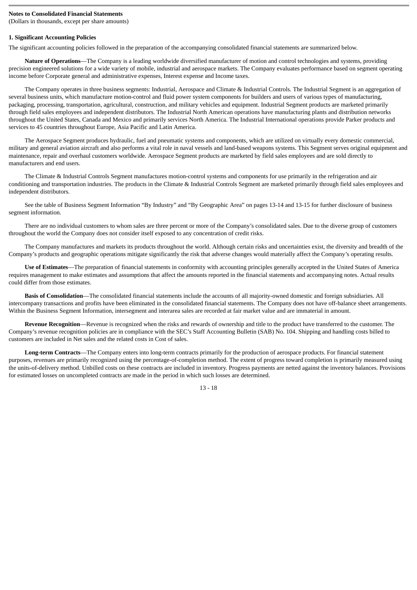# **Notes to Consolidated Financial Statements**

(Dollars in thousands, except per share amounts)

#### **1. Significant Accounting Policies**

The significant accounting policies followed in the preparation of the accompanying consolidated financial statements are summarized below.

**Nature of Operations**—The Company is a leading worldwide diversified manufacturer of motion and control technologies and systems, providing precision engineered solutions for a wide variety of mobile, industrial and aerospace markets. The Company evaluates performance based on segment operating income before Corporate general and administrative expenses, Interest expense and Income taxes.

The Company operates in three business segments: Industrial, Aerospace and Climate & Industrial Controls. The Industrial Segment is an aggregation of several business units, which manufacture motion-control and fluid power system components for builders and users of various types of manufacturing, packaging, processing, transportation, agricultural, construction, and military vehicles and equipment. Industrial Segment products are marketed primarily through field sales employees and independent distributors. The Industrial North American operations have manufacturing plants and distribution networks throughout the United States, Canada and Mexico and primarily services North America. The Industrial International operations provide Parker products and services to 45 countries throughout Europe, Asia Pacific and Latin America.

The Aerospace Segment produces hydraulic, fuel and pneumatic systems and components, which are utilized on virtually every domestic commercial, military and general aviation aircraft and also performs a vital role in naval vessels and land-based weapons systems. This Segment serves original equipment and maintenance, repair and overhaul customers worldwide. Aerospace Segment products are marketed by field sales employees and are sold directly to manufacturers and end users.

The Climate & Industrial Controls Segment manufactures motion-control systems and components for use primarily in the refrigeration and air conditioning and transportation industries. The products in the Climate & Industrial Controls Segment are marketed primarily through field sales employees and independent distributors.

See the table of Business Segment Information "By Industry" and "By Geographic Area" on pages 13-14 and 13-15 for further disclosure of business segment information.

There are no individual customers to whom sales are three percent or more of the Company's consolidated sales. Due to the diverse group of customers throughout the world the Company does not consider itself exposed to any concentration of credit risks.

The Company manufactures and markets its products throughout the world. Although certain risks and uncertainties exist, the diversity and breadth of the Company's products and geographic operations mitigate significantly the risk that adverse changes would materially affect the Company's operating results.

**Use of Estimates**—The preparation of financial statements in conformity with accounting principles generally accepted in the United States of America requires management to make estimates and assumptions that affect the amounts reported in the financial statements and accompanying notes. Actual results could differ from those estimates.

**Basis of Consolidation**—The consolidated financial statements include the accounts of all majority-owned domestic and foreign subsidiaries. All intercompany transactions and profits have been eliminated in the consolidated financial statements. The Company does not have off-balance sheet arrangements. Within the Business Segment Information, intersegment and interarea sales are recorded at fair market value and are immaterial in amount.

**Revenue Recognition**—Revenue is recognized when the risks and rewards of ownership and title to the product have transferred to the customer. The Company's revenue recognition policies are in compliance with the SEC's Staff Accounting Bulletin (SAB) No. 104. Shipping and handling costs billed to customers are included in Net sales and the related costs in Cost of sales.

**Long-term Contracts**—The Company enters into long-term contracts primarily for the production of aerospace products. For financial statement purposes, revenues are primarily recognized using the percentage-of-completion method. The extent of progress toward completion is primarily measured using the units-of-delivery method. Unbilled costs on these contracts are included in inventory. Progress payments are netted against the inventory balances. Provisions for estimated losses on uncompleted contracts are made in the period in which such losses are determined.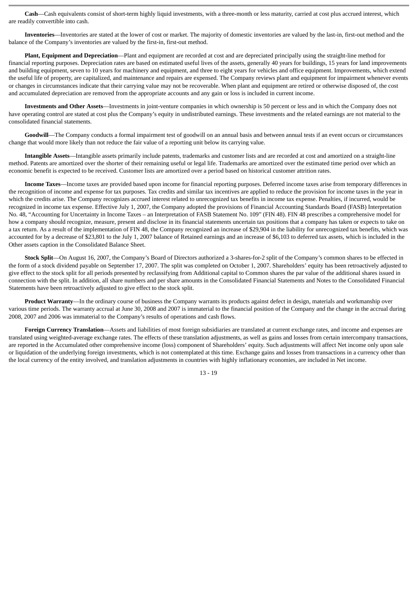**Cash**—Cash equivalents consist of short-term highly liquid investments, with a three-month or less maturity, carried at cost plus accrued interest, which are readily convertible into cash.

**Inventories**—Inventories are stated at the lower of cost or market. The majority of domestic inventories are valued by the last-in, first-out method and the balance of the Company's inventories are valued by the first-in, first-out method.

**Plant, Equipment and Depreciation**—Plant and equipment are recorded at cost and are depreciated principally using the straight-line method for financial reporting purposes. Depreciation rates are based on estimated useful lives of the assets, generally 40 years for buildings, 15 years for land improvements and building equipment, seven to 10 years for machinery and equipment, and three to eight years for vehicles and office equipment. Improvements, which extend the useful life of property, are capitalized, and maintenance and repairs are expensed. The Company reviews plant and equipment for impairment whenever events or changes in circumstances indicate that their carrying value may not be recoverable. When plant and equipment are retired or otherwise disposed of, the cost and accumulated depreciation are removed from the appropriate accounts and any gain or loss is included in current income.

**Investments and Other Assets**—Investments in joint-venture companies in which ownership is 50 percent or less and in which the Company does not have operating control are stated at cost plus the Company's equity in undistributed earnings. These investments and the related earnings are not material to the consolidated financial statements.

**Goodwill**—The Company conducts a formal impairment test of goodwill on an annual basis and between annual tests if an event occurs or circumstances change that would more likely than not reduce the fair value of a reporting unit below its carrying value.

**Intangible Assets**—Intangible assets primarily include patents, trademarks and customer lists and are recorded at cost and amortized on a straight-line method. Patents are amortized over the shorter of their remaining useful or legal life. Trademarks are amortized over the estimated time period over which an economic benefit is expected to be received. Customer lists are amortized over a period based on historical customer attrition rates.

**Income Taxes**—Income taxes are provided based upon income for financial reporting purposes. Deferred income taxes arise from temporary differences in the recognition of income and expense for tax purposes. Tax credits and similar tax incentives are applied to reduce the provision for income taxes in the year in which the credits arise. The Company recognizes accrued interest related to unrecognized tax benefits in income tax expense. Penalties, if incurred, would be recognized in income tax expense. Effective July 1, 2007, the Company adopted the provisions of Financial Accounting Standards Board (FASB) Interpretation No. 48, "Accounting for Uncertainty in Income Taxes – an Interpretation of FASB Statement No. 109" (FIN 48). FIN 48 prescribes a comprehensive model for how a company should recognize, measure, present and disclose in its financial statements uncertain tax positions that a company has taken or expects to take on a tax return. As a result of the implementation of FIN 48, the Company recognized an increase of \$29,904 in the liability for unrecognized tax benefits, which was accounted for by a decrease of \$23,801 to the July 1, 2007 balance of Retained earnings and an increase of \$6,103 to deferred tax assets, which is included in the Other assets caption in the Consolidated Balance Sheet.

**Stock Split**—On August 16, 2007, the Company's Board of Directors authorized a 3-shares-for-2 split of the Company's common shares to be effected in the form of a stock dividend payable on September 17, 2007. The split was completed on October 1, 2007. Shareholders' equity has been retroactively adjusted to give effect to the stock split for all periods presented by reclassifying from Additional capital to Common shares the par value of the additional shares issued in connection with the split. In addition, all share numbers and per share amounts in the Consolidated Financial Statements and Notes to the Consolidated Financial Statements have been retroactively adjusted to give effect to the stock split.

**Product Warranty**—In the ordinary course of business the Company warrants its products against defect in design, materials and workmanship over various time periods. The warranty accrual at June 30, 2008 and 2007 is immaterial to the financial position of the Company and the change in the accrual during 2008, 2007 and 2006 was immaterial to the Company's results of operations and cash flows.

**Foreign Currency Translation**—Assets and liabilities of most foreign subsidiaries are translated at current exchange rates, and income and expenses are translated using weighted-average exchange rates. The effects of these translation adjustments, as well as gains and losses from certain intercompany transactions, are reported in the Accumulated other comprehensive income (loss) component of Shareholders' equity. Such adjustments will affect Net income only upon sale or liquidation of the underlying foreign investments, which is not contemplated at this time. Exchange gains and losses from transactions in a currency other than the local currency of the entity involved, and translation adjustments in countries with highly inflationary economies, are included in Net income.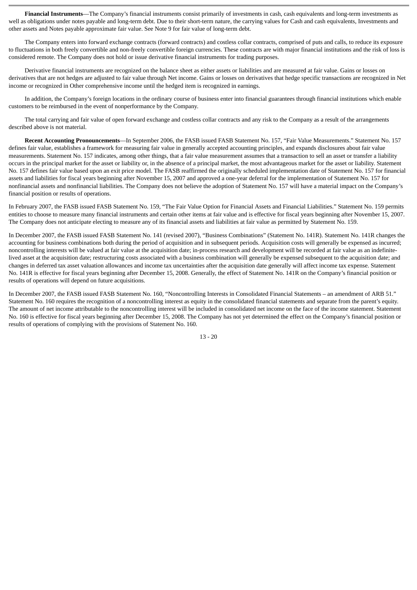**Financial Instruments**—The Company's financial instruments consist primarily of investments in cash, cash equivalents and long-term investments as well as obligations under notes payable and long-term debt. Due to their short-term nature, the carrying values for Cash and cash equivalents, Investments and other assets and Notes payable approximate fair value. See Note 9 for fair value of long-term debt.

The Company enters into forward exchange contracts (forward contracts) and costless collar contracts, comprised of puts and calls, to reduce its exposure to fluctuations in both freely convertible and non-freely convertible foreign currencies. These contracts are with major financial institutions and the risk of loss is considered remote. The Company does not hold or issue derivative financial instruments for trading purposes.

Derivative financial instruments are recognized on the balance sheet as either assets or liabilities and are measured at fair value. Gains or losses on derivatives that are not hedges are adjusted to fair value through Net income. Gains or losses on derivatives that hedge specific transactions are recognized in Net income or recognized in Other comprehensive income until the hedged item is recognized in earnings.

In addition, the Company's foreign locations in the ordinary course of business enter into financial guarantees through financial institutions which enable customers to be reimbursed in the event of nonperformance by the Company.

The total carrying and fair value of open forward exchange and costless collar contracts and any risk to the Company as a result of the arrangements described above is not material.

**Recent Accounting Pronouncements**—In September 2006, the FASB issued FASB Statement No. 157, "Fair Value Measurements." Statement No. 157 defines fair value, establishes a framework for measuring fair value in generally accepted accounting principles, and expands disclosures about fair value measurements. Statement No. 157 indicates, among other things, that a fair value measurement assumes that a transaction to sell an asset or transfer a liability occurs in the principal market for the asset or liability or, in the absence of a principal market, the most advantageous market for the asset or liability. Statement No. 157 defines fair value based upon an exit price model. The FASB reaffirmed the originally scheduled implementation date of Statement No. 157 for financial assets and liabilities for fiscal years beginning after November 15, 2007 and approved a one-year deferral for the implementation of Statement No. 157 for nonfinancial assets and nonfinancial liabilities. The Company does not believe the adoption of Statement No. 157 will have a material impact on the Company's financial position or results of operations.

In February 2007, the FASB issued FASB Statement No. 159, "The Fair Value Option for Financial Assets and Financial Liabilities." Statement No. 159 permits entities to choose to measure many financial instruments and certain other items at fair value and is effective for fiscal years beginning after November 15, 2007. The Company does not anticipate electing to measure any of its financial assets and liabilities at fair value as permitted by Statement No. 159.

In December 2007, the FASB issued FASB Statement No. 141 (revised 2007), "Business Combinations" (Statement No. 141R). Statement No. 141R changes the accounting for business combinations both during the period of acquisition and in subsequent periods. Acquisition costs will generally be expensed as incurred; noncontrolling interests will be valued at fair value at the acquisition date; in-process research and development will be recorded at fair value as an indefinitelived asset at the acquisition date; restructuring costs associated with a business combination will generally be expensed subsequent to the acquisition date; and changes in deferred tax asset valuation allowances and income tax uncertainties after the acquisition date generally will affect income tax expense. Statement No. 141R is effective for fiscal years beginning after December 15, 2008. Generally, the effect of Statement No. 141R on the Company's financial position or results of operations will depend on future acquisitions.

In December 2007, the FASB issued FASB Statement No. 160, "Noncontrolling Interests in Consolidated Financial Statements – an amendment of ARB 51." Statement No. 160 requires the recognition of a noncontrolling interest as equity in the consolidated financial statements and separate from the parent's equity. The amount of net income attributable to the noncontrolling interest will be included in consolidated net income on the face of the income statement. Statement No. 160 is effective for fiscal years beginning after December 15, 2008. The Company has not yet determined the effect on the Company's financial position or results of operations of complying with the provisions of Statement No. 160.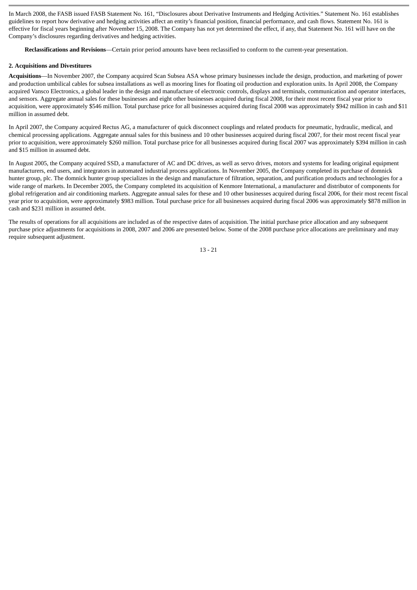In March 2008, the FASB issued FASB Statement No. 161, "Disclosures about Derivative Instruments and Hedging Activities." Statement No. 161 establishes guidelines to report how derivative and hedging activities affect an entity's financial position, financial performance, and cash flows. Statement No. 161 is effective for fiscal years beginning after November 15, 2008. The Company has not yet determined the effect, if any, that Statement No. 161 will have on the Company's disclosures regarding derivatives and hedging activities.

**Reclassifications and Revisions**—Certain prior period amounts have been reclassified to conform to the current-year presentation.

### **2. Acquisitions and Divestitures**

**Acquisitions**—In November 2007, the Company acquired Scan Subsea ASA whose primary businesses include the design, production, and marketing of power and production umbilical cables for subsea installations as well as mooring lines for floating oil production and exploration units. In April 2008, the Company acquired Vansco Electronics, a global leader in the design and manufacture of electronic controls, displays and terminals, communication and operator interfaces, and sensors. Aggregate annual sales for these businesses and eight other businesses acquired during fiscal 2008, for their most recent fiscal year prior to acquisition, were approximately \$546 million. Total purchase price for all businesses acquired during fiscal 2008 was approximately \$942 million in cash and \$11 million in assumed debt.

In April 2007, the Company acquired Rectus AG, a manufacturer of quick disconnect couplings and related products for pneumatic, hydraulic, medical, and chemical processing applications. Aggregate annual sales for this business and 10 other businesses acquired during fiscal 2007, for their most recent fiscal year prior to acquisition, were approximately \$260 million. Total purchase price for all businesses acquired during fiscal 2007 was approximately \$394 million in cash and \$15 million in assumed debt.

In August 2005, the Company acquired SSD, a manufacturer of AC and DC drives, as well as servo drives, motors and systems for leading original equipment manufacturers, end users, and integrators in automated industrial process applications. In November 2005, the Company completed its purchase of domnick hunter group, plc. The domnick hunter group specializes in the design and manufacture of filtration, separation, and purification products and technologies for a wide range of markets. In December 2005, the Company completed its acquisition of Kenmore International, a manufacturer and distributor of components for global refrigeration and air conditioning markets. Aggregate annual sales for these and 10 other businesses acquired during fiscal 2006, for their most recent fiscal year prior to acquisition, were approximately \$983 million. Total purchase price for all businesses acquired during fiscal 2006 was approximately \$878 million in cash and \$231 million in assumed debt.

The results of operations for all acquisitions are included as of the respective dates of acquisition. The initial purchase price allocation and any subsequent purchase price adjustments for acquisitions in 2008, 2007 and 2006 are presented below. Some of the 2008 purchase price allocations are preliminary and may require subsequent adjustment.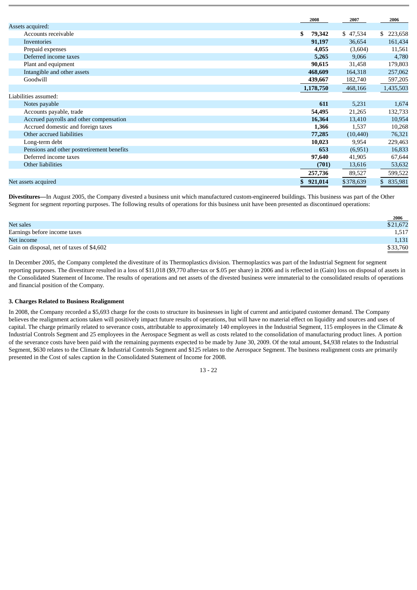|                                            | 2008          | 2007      | 2006                    |
|--------------------------------------------|---------------|-----------|-------------------------|
| Assets acquired:                           |               |           |                         |
| Accounts receivable                        | \$<br>79,342  | \$47,534  | 223,658<br>\$           |
| Inventories                                | 91,197        | 36,654    | 161,434                 |
| Prepaid expenses                           | 4,055         | (3,604)   | 11,561                  |
| Deferred income taxes                      | 5,265         | 9,066     | 4,780                   |
| Plant and equipment                        | 90,615        | 31,458    | 179,803                 |
| Intangible and other assets                | 468,609       | 164,318   | 257,062                 |
| Goodwill                                   | 439,667       | 182,740   | 597,205                 |
|                                            | 1,178,750     | 468,166   | 1,435,503               |
| Liabilities assumed:                       |               |           |                         |
| Notes payable                              | 611           | 5,231     | 1,674                   |
| Accounts payable, trade                    | 54,495        | 21,265    | 132,733                 |
| Accrued payrolls and other compensation    | 16,364        | 13,410    | 10,954                  |
| Accrued domestic and foreign taxes         | 1,366         | 1,537     | 10,268                  |
| Other accrued liabilities                  | 77,285        | (10, 440) | 76,321                  |
| Long-term debt                             | 10,023        | 9,954     | 229,463                 |
| Pensions and other postretirement benefits | 653           | (6,951)   | 16,833                  |
| Deferred income taxes                      | 97,640        | 41,905    | 67,644                  |
| Other liabilities                          | (701)         | 13,616    | 53,632                  |
|                                            | 257,736       | 89,527    | 599,522                 |
| Net assets acquired                        | 921,014<br>\$ | \$378,639 | $\mathbb{S}$<br>835,981 |

**Divestitures—**In August 2005, the Company divested a business unit which manufactured custom-engineered buildings. This business was part of the Other Segment for segment reporting purposes. The following results of operations for this business unit have been presented as discontinued operations:

| Net sales                                 | $\frac{2006}{$21,672}$ |
|-------------------------------------------|------------------------|
| Earnings before income taxes              | 1,517                  |
| Net income                                | 1,131                  |
| Gain on disposal, net of taxes of \$4,602 | \$33,760               |

In December 2005, the Company completed the divestiture of its Thermoplastics division. Thermoplastics was part of the Industrial Segment for segment reporting purposes. The divestiture resulted in a loss of \$11,018 (\$9,770 after-tax or \$.05 per share) in 2006 and is reflected in (Gain) loss on disposal of assets in the Consolidated Statement of Income. The results of operations and net assets of the divested business were immaterial to the consolidated results of operations and financial position of the Company.

## **3. Charges Related to Business Realignment**

In 2008, the Company recorded a \$5,693 charge for the costs to structure its businesses in light of current and anticipated customer demand. The Company believes the realignment actions taken will positively impact future results of operations, but will have no material effect on liquidity and sources and uses of capital. The charge primarily related to severance costs, attributable to approximately 140 employees in the Industrial Segment, 115 employees in the Climate & Industrial Controls Segment and 25 employees in the Aerospace Segment as well as costs related to the consolidation of manufacturing product lines. A portion of the severance costs have been paid with the remaining payments expected to be made by June 30, 2009. Of the total amount, \$4,938 relates to the Industrial Segment, \$630 relates to the Climate & Industrial Controls Segment and \$125 relates to the Aerospace Segment. The business realignment costs are primarily presented in the Cost of sales caption in the Consolidated Statement of Income for 2008.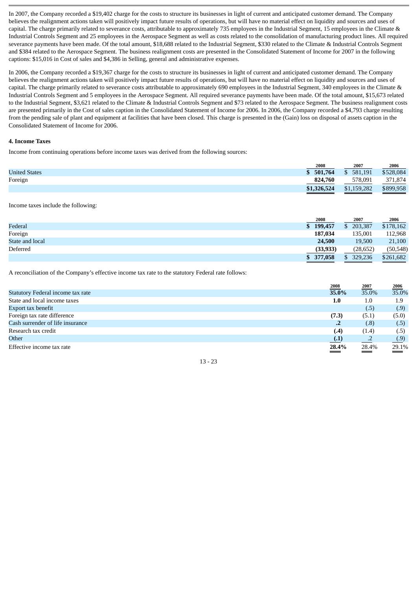In 2007, the Company recorded a \$19,402 charge for the costs to structure its businesses in light of current and anticipated customer demand. The Company believes the realignment actions taken will positively impact future results of operations, but will have no material effect on liquidity and sources and uses of capital. The charge primarily related to severance costs, attributable to approximately 735 employees in the Industrial Segment, 15 employees in the Climate & Industrial Controls Segment and 25 employees in the Aerospace Segment as well as costs related to the consolidation of manufacturing product lines. All required severance payments have been made. Of the total amount, \$18,688 related to the Industrial Segment, \$330 related to the Climate & Industrial Controls Segment and \$384 related to the Aerospace Segment. The business realignment costs are presented in the Consolidated Statement of Income for 2007 in the following captions: \$15,016 in Cost of sales and \$4,386 in Selling, general and administrative expenses.

In 2006, the Company recorded a \$19,367 charge for the costs to structure its businesses in light of current and anticipated customer demand. The Company believes the realignment actions taken will positively impact future results of operations, but will have no material effect on liquidity and sources and uses of capital. The charge primarily related to severance costs attributable to approximately 690 employees in the Industrial Segment, 340 employees in the Climate & Industrial Controls Segment and 5 employees in the Aerospace Segment. All required severance payments have been made. Of the total amount, \$15,673 related to the Industrial Segment, \$3,621 related to the Climate & Industrial Controls Segment and \$73 related to the Aerospace Segment. The business realignment costs are presented primarily in the Cost of sales caption in the Consolidated Statement of Income for 2006. In 2006, the Company recorded a \$4,793 charge resulting from the pending sale of plant and equipment at facilities that have been closed. This charge is presented in the (Gain) loss on disposal of assets caption in the Consolidated Statement of Income for 2006.

## **4. Income Taxes**

Income from continuing operations before income taxes was derived from the following sources:

|                      | 2008        | 2007        | 2006                                                                                                                                                                                                                                              |
|----------------------|-------------|-------------|---------------------------------------------------------------------------------------------------------------------------------------------------------------------------------------------------------------------------------------------------|
| <b>United States</b> | \$501,764   | \$ 581,191  | \$528,084                                                                                                                                                                                                                                         |
| Foreign              | 824.760     | 578,091     | 371,874                                                                                                                                                                                                                                           |
|                      | \$1,326,524 | \$1,159,282 | \$899,958<br><u> The Company of the Company of the Company of the Company of the Company of the Company of the Company of the Company of the Company of the Company of the Company of the Company of the Company of the Company of the Compan</u> |

Income taxes include the following:

|                 | 2008      | 2007      | 2006      |
|-----------------|-----------|-----------|-----------|
| Federal         | \$199,457 | 203,387   | \$178,162 |
| Foreign         | 187,034   | 135,001   | 112,968   |
| State and local | 24,500    | 19,500    | 21,100    |
| Deferred        | (33, 933) | (28, 652) | (50, 548) |
|                 | \$377,058 | 329,236   | \$261,682 |

A reconciliation of the Company's effective income tax rate to the statutory Federal rate follows:

|                                   | 2008       | 2007  | 2006  |
|-----------------------------------|------------|-------|-------|
| Statutory Federal income tax rate | 35.0%      | 35.0% | 35.0% |
| State and local income taxes      | 1.0        | 1.0   | 1.9   |
| Export tax benefit                |            | (.5)  | (.9)  |
| Foreign tax rate difference       | (7.3)      | (5.1) | (5.0) |
| Cash surrender of life insurance  | $\cdot$ .2 | (.8)  | (.5)  |
| Research tax credit               | (.4)       | (1.4) | (5.،  |
| Other                             | (.1)       |       | (.9)  |
| Effective income tax rate         | 28.4%      | 28.4% | 29.1% |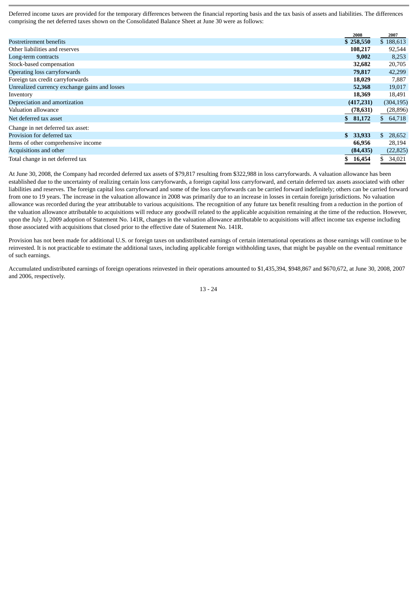Deferred income taxes are provided for the temporary differences between the financial reporting basis and the tax basis of assets and liabilities. The differences comprising the net deferred taxes shown on the Consolidated Balance Sheet at June 30 were as follows:

|                                               | 2008         | 2007          |
|-----------------------------------------------|--------------|---------------|
| Postretirement benefits                       | \$258,550    | \$188,613     |
| Other liabilities and reserves                | 108,217      | 92,544        |
| Long-term contracts                           | 9,002        | 8,253         |
| Stock-based compensation                      | 32,682       | 20,705        |
| Operating loss carryforwards                  | 79,817       | 42,299        |
| Foreign tax credit carryforwards              | 18,029       | 7,887         |
| Unrealized currency exchange gains and losses | 52,368       | 19,017        |
| Inventory                                     | 18,369       | 18,491        |
| Depreciation and amortization                 | (417,231)    | (304, 195)    |
| Valuation allowance                           | (78, 631)    | (28, 896)     |
| Net deferred tax asset                        | \$81,172     | \$ 64,718     |
| Change in net deferred tax asset:             |              |               |
| Provision for deferred tax                    | 33,933<br>\$ | 28,652<br>\$. |
| Items of other comprehensive income           | 66,956       | 28,194        |
| Acquisitions and other                        | (84, 435)    | (22, 825)     |
| Total change in net deferred tax              | 16,454       | 34,021        |

At June 30, 2008, the Company had recorded deferred tax assets of \$79,817 resulting from \$322,988 in loss carryforwards. A valuation allowance has been established due to the uncertainty of realizing certain loss carryforwards, a foreign capital loss carryforward, and certain deferred tax assets associated with other liabilities and reserves. The foreign capital loss carryforward and some of the loss carryforwards can be carried forward indefinitely; others can be carried forward from one to 19 years. The increase in the valuation allowance in 2008 was primarily due to an increase in losses in certain foreign jurisdictions. No valuation allowance was recorded during the year attributable to various acquisitions. The recognition of any future tax benefit resulting from a reduction in the portion of the valuation allowance attributable to acquisitions will reduce any goodwill related to the applicable acquisition remaining at the time of the reduction. However, upon the July 1, 2009 adoption of Statement No. 141R, changes in the valuation allowance attributable to acquisitions will affect income tax expense including those associated with acquisitions that closed prior to the effective date of Statement No. 141R.

Provision has not been made for additional U.S. or foreign taxes on undistributed earnings of certain international operations as those earnings will continue to be reinvested. It is not practicable to estimate the additional taxes, including applicable foreign withholding taxes, that might be payable on the eventual remittance of such earnings.

Accumulated undistributed earnings of foreign operations reinvested in their operations amounted to \$1,435,394, \$948,867 and \$670,672, at June 30, 2008, 2007 and 2006, respectively.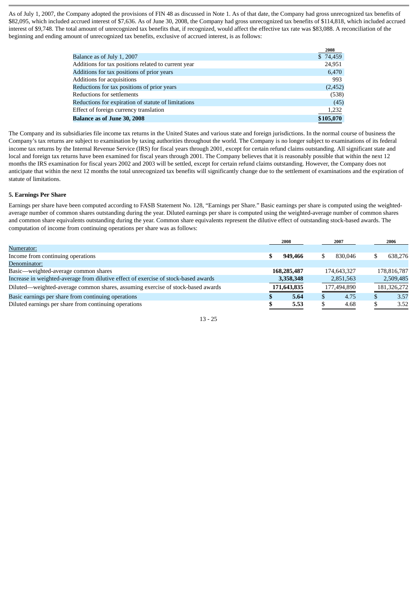As of July 1, 2007, the Company adopted the provisions of FIN 48 as discussed in Note 1. As of that date, the Company had gross unrecognized tax benefits of \$82,095, which included accrued interest of \$7,636. As of June 30, 2008, the Company had gross unrecognized tax benefits of \$114,818, which included accrued interest of \$9,748. The total amount of unrecognized tax benefits that, if recognized, would affect the effective tax rate was \$83,088. A reconciliation of the beginning and ending amount of unrecognized tax benefits, exclusive of accrued interest, is as follows:

|                                                     | 2008      |
|-----------------------------------------------------|-----------|
| Balance as of July 1, 2007                          | \$74,459  |
| Additions for tax positions related to current year | 24,951    |
| Additions for tax positions of prior years          | 6,470     |
| Additions for acquisitions                          | 993       |
| Reductions for tax positions of prior years         | (2,452)   |
| Reductions for settlements                          | (538)     |
| Reductions for expiration of statute of limitations | (45)      |
| Effect of foreign currency translation              | 1,232     |
| <b>Balance as of June 30, 2008</b>                  | \$105,070 |

The Company and its subsidiaries file income tax returns in the United States and various state and foreign jurisdictions. In the normal course of business the Company's tax returns are subject to examination by taxing authorities throughout the world. The Company is no longer subject to examinations of its federal income tax returns by the Internal Revenue Service (IRS) for fiscal years through 2001, except for certain refund claims outstanding. All significant state and local and foreign tax returns have been examined for fiscal years through 2001. The Company believes that it is reasonably possible that within the next 12 months the IRS examination for fiscal years 2002 and 2003 will be settled, except for certain refund claims outstanding. However, the Company does not anticipate that within the next 12 months the total unrecognized tax benefits will significantly change due to the settlement of examinations and the expiration of statute of limitations.

## **5. Earnings Per Share**

Earnings per share have been computed according to FASB Statement No. 128, "Earnings per Share." Basic earnings per share is computed using the weightedaverage number of common shares outstanding during the year. Diluted earnings per share is computed using the weighted-average number of common shares and common share equivalents outstanding during the year. Common share equivalents represent the dilutive effect of outstanding stock-based awards. The computation of income from continuing operations per share was as follows:

|                                                                                     | 2008 |             | 2007 |             |   | 2006        |
|-------------------------------------------------------------------------------------|------|-------------|------|-------------|---|-------------|
| Numerator:                                                                          |      |             |      |             |   |             |
| Income from continuing operations                                                   |      | 949,466     |      | 830.046     | S | 638,276     |
| Denominator:                                                                        |      |             |      |             |   |             |
| Basic—weighted-average common shares                                                |      | 168,285,487 |      | 174,643,327 |   | 178,816,787 |
| Increase in weighted-average from dilutive effect of exercise of stock-based awards |      | 3,358,348   |      | 2,851,563   |   | 2,509,485   |
| Diluted—weighted-average common shares, assuming exercise of stock-based awards     |      | 171,643,835 |      | 177,494,890 |   | 181,326,272 |
| Basic earnings per share from continuing operations                                 |      | 5.64        |      | 4.75        | S | 3.57        |
| Diluted earnings per share from continuing operations                               |      | 5.53        |      | 4.68        |   | 3.52        |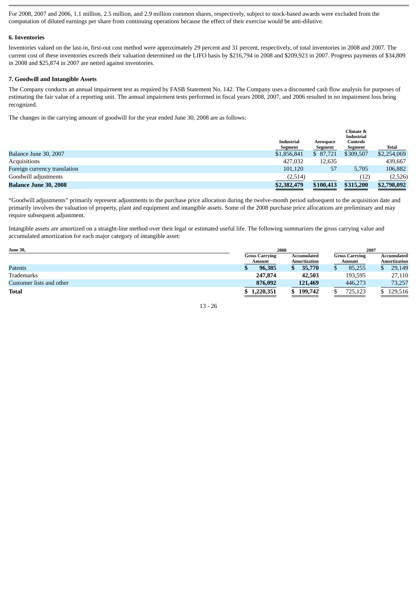For 2008, 2007 and 2006, 1.1 million, 2.5 million, and 2.9 million common shares, respectively, subject to stock-based awards were excluded from the computation of diluted earnings per share from continuing operations because the effect of their exercise would be anti-dilutive.

#### **6. Inventories**

Inventories valued on the last-in, first-out cost method were approximately 29 percent and 31 percent, respectively, of total inventories in 2008 and 2007. The current cost of these inventories exceeds their valuation determined on the LIFO basis by \$216,794 in 2008 and \$209,923 in 2007. Progress payments of \$34,809 in 2008 and \$25,874 in 2007 are netted against inventories.

#### **7. Goodwill and Intangible Assets**

The Company conducts an annual impairment test as required by FASB Statement No. 142. The Company uses a discounted cash flow analysis for purposes of estimating the fair value of a reporting unit. The annual impairment tests performed in fiscal years 2008, 2007, and 2006 resulted in no impairment loss being recognized.

The changes in the carrying amount of goodwill for the year ended June 30, 2008 are as follows:

|                              |                              |                      | Climate &                                |             |
|------------------------------|------------------------------|----------------------|------------------------------------------|-------------|
|                              | <b>Industrial</b><br>Segment | Aerospace<br>Segment | <b>Industrial</b><br>Controls<br>Segment | Total       |
| Balance June 30, 2007        | \$1,856,841                  | \$87,721             | \$309,507                                | \$2,254,069 |
| Acquisitions                 | 427,032                      | 12,635               |                                          | 439,667     |
| Foreign currency translation | 101,120                      | 57                   | 5.705                                    | 106,882     |
| Goodwill adjustments         | (2,514)                      |                      | (12)                                     | (2,526)     |
| <b>Balance June 30, 2008</b> | \$2,382,479                  | \$100,413            | \$315,200                                | \$2,798,092 |

"Goodwill adjustments" primarily represent adjustments to the purchase price allocation during the twelve-month period subsequent to the acquisition date and primarily involves the valuation of property, plant and equipment and intangible assets. Some of the 2008 purchase price allocations are preliminary and may require subsequent adjustment.

Intangible assets are amortized on a straight-line method over their legal or estimated useful life. The following summarizes the gross carrying value and accumulated amortization for each major category of intangible asset:

| <b>June 30,</b>          |                                 | 2007<br>2008                |                                 |                             |
|--------------------------|---------------------------------|-----------------------------|---------------------------------|-----------------------------|
|                          | <b>Gross Carrying</b><br>Amount | Accumulated<br>Amortization | <b>Gross Carrying</b><br>Amount | Accumulated<br>Amortization |
| Patents                  | 96,385                          | 35,770                      | 85,255                          | 29,149                      |
| Trademarks               | 247,874                         | 42,503                      | 193,595                         | 27,110                      |
| Customer lists and other | 876,092                         | 121,469                     | 446,273                         | 73,257                      |
| <b>Total</b>             | \$1,220,351                     | 199,742                     | 725.123                         | 129,516                     |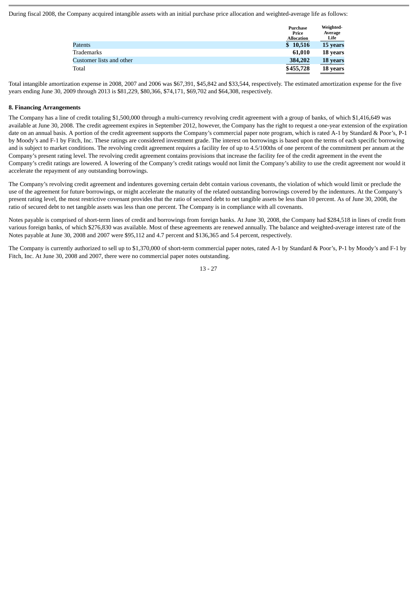During fiscal 2008, the Company acquired intangible assets with an initial purchase price allocation and weighted-average life as follows:

|                          | Purchase<br>Price<br><b>Allocation</b> | Weighted-<br>Average<br>Life |
|--------------------------|----------------------------------------|------------------------------|
| Patents                  | \$10,516                               | 15 years                     |
| Trademarks               | 61,010                                 | 18 years                     |
| Customer lists and other | 384,202                                | 18 years                     |
| Total                    | \$455,728                              | 18 years                     |

Total intangible amortization expense in 2008, 2007 and 2006 was \$67,391, \$45,842 and \$33,544, respectively. The estimated amortization expense for the five years ending June 30, 2009 through 2013 is \$81,229, \$80,366, \$74,171, \$69,702 and \$64,308, respectively.

### **8. Financing Arrangements**

The Company has a line of credit totaling \$1,500,000 through a multi-currency revolving credit agreement with a group of banks, of which \$1,416,649 was available at June 30, 2008. The credit agreement expires in September 2012, however, the Company has the right to request a one-year extension of the expiration date on an annual basis. A portion of the credit agreement supports the Company's commercial paper note program, which is rated A-1 by Standard & Poor's, P-1 by Moody's and F-1 by Fitch, Inc. These ratings are considered investment grade. The interest on borrowings is based upon the terms of each specific borrowing and is subject to market conditions. The revolving credit agreement requires a facility fee of up to 4.5/100ths of one percent of the commitment per annum at the Company's present rating level. The revolving credit agreement contains provisions that increase the facility fee of the credit agreement in the event the Company's credit ratings are lowered. A lowering of the Company's credit ratings would not limit the Company's ability to use the credit agreement nor would it accelerate the repayment of any outstanding borrowings.

The Company's revolving credit agreement and indentures governing certain debt contain various covenants, the violation of which would limit or preclude the use of the agreement for future borrowings, or might accelerate the maturity of the related outstanding borrowings covered by the indentures. At the Company's present rating level, the most restrictive covenant provides that the ratio of secured debt to net tangible assets be less than 10 percent. As of June 30, 2008, the ratio of secured debt to net tangible assets was less than one percent. The Company is in compliance with all covenants.

Notes payable is comprised of short-term lines of credit and borrowings from foreign banks. At June 30, 2008, the Company had \$284,518 in lines of credit from various foreign banks, of which \$276,830 was available. Most of these agreements are renewed annually. The balance and weighted-average interest rate of the Notes payable at June 30, 2008 and 2007 were \$95,112 and 4.7 percent and \$136,365 and 5.4 percent, respectively.

The Company is currently authorized to sell up to \$1,370,000 of short-term commercial paper notes, rated A-1 by Standard & Poor's, P-1 by Moody's and F-1 by Fitch, Inc. At June 30, 2008 and 2007, there were no commercial paper notes outstanding.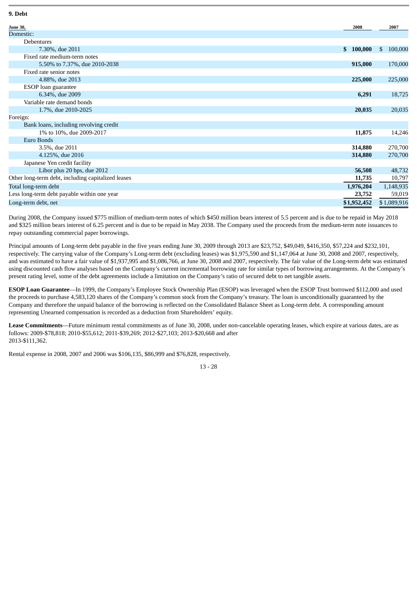### **9. Debt**

| <b>June 30,</b>                                    | 2008          |     | 2007        |
|----------------------------------------------------|---------------|-----|-------------|
| Domestic:                                          |               |     |             |
| <b>Debentures</b>                                  |               |     |             |
| 7.30%, due 2011                                    | 100,000<br>S. | \$. | 100,000     |
| Fixed rate medium-term notes                       |               |     |             |
| 5.50% to 7.37%, due 2010-2038                      | 915,000       |     | 170,000     |
| Fixed rate senior notes                            |               |     |             |
| 4.88%, due 2013                                    | 225,000       |     | 225,000     |
| ESOP loan guarantee                                |               |     |             |
| 6.34%, due 2009                                    | 6,291         |     | 18,725      |
| Variable rate demand bonds                         |               |     |             |
| 1.7%, due 2010-2025                                | 20,035        |     | 20,035      |
| Foreign:                                           |               |     |             |
| Bank loans, including revolving credit             |               |     |             |
| 1% to 10%, due 2009-2017                           | 11,875        |     | 14,246      |
| Euro Bonds                                         |               |     |             |
| 3.5%, due 2011                                     | 314,880       |     | 270,700     |
| 4.125%, due 2016                                   | 314,880       |     | 270,700     |
| Japanese Yen credit facility                       |               |     |             |
| Libor plus 20 bps, due 2012                        | 56,508        |     | 48,732      |
| Other long-term debt, including capitalized leases | 11,735        |     | 10,797      |
| Total long-term debt                               | 1,976,204     |     | 1,148,935   |
| Less long-term debt payable within one year        | 23,752        |     | 59,019      |
| Long-term debt, net                                | \$1,952,452   |     | \$1,089,916 |

During 2008, the Company issued \$775 million of medium-term notes of which \$450 million bears interest of 5.5 percent and is due to be repaid in May 2018 and \$325 million bears interest of 6.25 percent and is due to be repaid in May 2038. The Company used the proceeds from the medium-term note issuances to repay outstanding commercial paper borrowings.

Principal amounts of Long-term debt payable in the five years ending June 30, 2009 through 2013 are \$23,752, \$49,049, \$416,350, \$57,224 and \$232,101, respectively. The carrying value of the Company's Long-term debt (excluding leases) was \$1,975,590 and \$1,147,064 at June 30, 2008 and 2007, respectively, and was estimated to have a fair value of \$1,937,995 and \$1,086,766, at June 30, 2008 and 2007, respectively. The fair value of the Long-term debt was estimated using discounted cash flow analyses based on the Company's current incremental borrowing rate for similar types of borrowing arrangements. At the Company's present rating level, some of the debt agreements include a limitation on the Company's ratio of secured debt to net tangible assets.

**ESOP Loan Guarantee**—In 1999, the Company's Employee Stock Ownership Plan (ESOP) was leveraged when the ESOP Trust borrowed \$112,000 and used the proceeds to purchase 4,583,120 shares of the Company's common stock from the Company's treasury. The loan is unconditionally guaranteed by the Company and therefore the unpaid balance of the borrowing is reflected on the Consolidated Balance Sheet as Long-term debt. A corresponding amount representing Unearned compensation is recorded as a deduction from Shareholders' equity.

**Lease Commitments**—Future minimum rental commitments as of June 30, 2008, under non-cancelable operating leases, which expire at various dates, are as follows: 2009-\$78,818; 2010-\$55,612; 2011-\$39,269; 2012-\$27,103; 2013-\$20,668 and after 2013-\$111,362.

Rental expense in 2008, 2007 and 2006 was \$106,135, \$86,999 and \$76,828, respectively.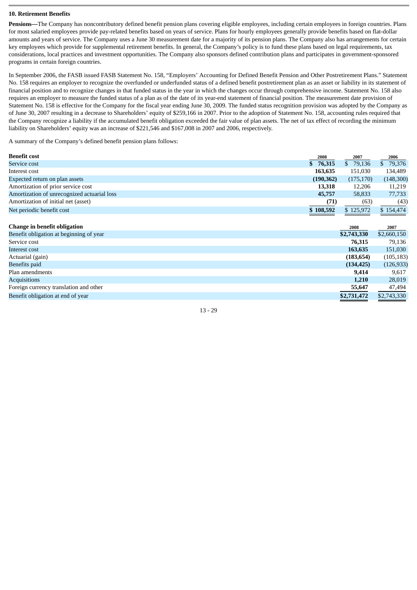## **10. Retirement Benefits**

**Pensions—**The Company has noncontributory defined benefit pension plans covering eligible employees, including certain employees in foreign countries. Plans for most salaried employees provide pay-related benefits based on years of service. Plans for hourly employees generally provide benefits based on flat-dollar amounts and years of service. The Company uses a June 30 measurement date for a majority of its pension plans. The Company also has arrangements for certain key employees which provide for supplemental retirement benefits. In general, the Company's policy is to fund these plans based on legal requirements, tax considerations, local practices and investment opportunities. The Company also sponsors defined contribution plans and participates in government-sponsored programs in certain foreign countries.

In September 2006, the FASB issued FASB Statement No. 158, "Employers' Accounting for Defined Benefit Pension and Other Postretirement Plans." Statement No. 158 requires an employer to recognize the overfunded or underfunded status of a defined benefit postretirement plan as an asset or liability in its statement of financial position and to recognize changes in that funded status in the year in which the changes occur through comprehensive income. Statement No. 158 also requires an employer to measure the funded status of a plan as of the date of its year-end statement of financial position. The measurement date provision of Statement No. 158 is effective for the Company for the fiscal year ending June 30, 2009. The funded status recognition provision was adopted by the Company as of June 30, 2007 resulting in a decrease to Shareholders' equity of \$259,166 in 2007. Prior to the adoption of Statement No. 158, accounting rules required that the Company recognize a liability if the accumulated benefit obligation exceeded the fair value of plan assets. The net of tax effect of recording the minimum liability on Shareholders' equity was an increase of \$221,546 and \$167,008 in 2007 and 2006, respectively.

A summary of the Company's defined benefit pension plans follows:

| <b>Benefit cost</b>                         | 2008       | 2007         | 2006      |
|---------------------------------------------|------------|--------------|-----------|
| Service cost                                | \$76,315   | 79,136<br>S. | \$79,376  |
| Interest cost                               | 163,635    | 151,030      | 134,489   |
| Expected return on plan assets              | (190, 362) | (175, 170)   | (148,300) |
| Amortization of prior service cost          | 13,318     | 12,206       | 11,219    |
| Amortization of unrecognized actuarial loss | 45,757     | 58,833       | 77,733    |
| Amortization of initial net (asset)         | (71)       | (63)         | (43)      |
| Net periodic benefit cost                   | \$108,592  | \$125,972    | \$154,474 |
|                                             |            |              |           |
| $\sim$<br>.                                 |            |              |           |

| Change in benefit obligation            | 2008        | 2007                                                        |
|-----------------------------------------|-------------|-------------------------------------------------------------|
| Benefit obligation at beginning of year | \$2,743,330 | \$2,660,150                                                 |
| Service cost                            | 76,315      | 79,136                                                      |
| Interest cost                           | 163,635     | 151,030                                                     |
| Actuarial (gain)                        | (183, 654)  | (105, 183)                                                  |
| Benefits paid                           | (134, 425)  | (126, 933)                                                  |
| Plan amendments                         | 9.414       | 9.617                                                       |
| <b>Acquisitions</b>                     | 1.210       | 28,019                                                      |
| Foreign currency translation and other  | 55,647      | 47,494                                                      |
| Benefit obligation at end of year       | \$2,731,472 | \$2,743,330<br>the control of the control of the control of |
|                                         |             |                                                             |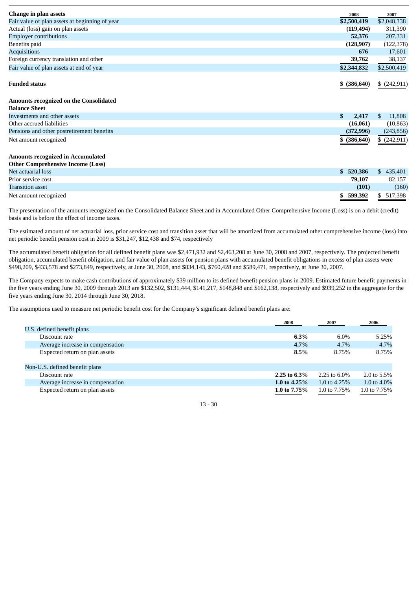| Change in plan assets                          | 2008        | 2007        |
|------------------------------------------------|-------------|-------------|
| Fair value of plan assets at beginning of year | \$2,500,419 | \$2,048,338 |
| Actual (loss) gain on plan assets              | (119, 494)  | 311,390     |
| <b>Employer contributions</b>                  | 52,376      | 207,331     |
| Benefits paid                                  | (128, 907)  | (122, 378)  |
| <b>Acquisitions</b>                            | 676         | 17.601      |
| Foreign currency translation and other         | 39,762      | 38,137      |
| Fair value of plan assets at end of year       | \$2,344,832 | \$2,500,419 |
|                                                |             |             |

### **Funded status \$ (386,640)** \$ (242,911)

| <b>Amounts recognized on the Consolidated</b><br><b>Balance Sheet</b> |               |             |
|-----------------------------------------------------------------------|---------------|-------------|
| Investments and other assets                                          | 2,417         | 11,808      |
| Other accrued liabilities                                             | (16,061)      | (10, 863)   |
| Pensions and other postretirement benefits                            | (372,996)     | (243, 856)  |
| Net amount recognized                                                 | \$ (386, 640) | \$(242,911) |

# **Amounts recognized in Accumulated Other Comprehensive Income (Loss)**

| Net actuarial loss      | $$520,386$ $$435,401$ |            |
|-------------------------|-----------------------|------------|
| Prior service cost      | 79,107                | 82.157     |
| <b>Transition asset</b> | (101)                 | (160)      |
| Net amount recognized   | \$599,392             | \$ 517,398 |

The presentation of the amounts recognized on the Consolidated Balance Sheet and in Accumulated Other Comprehensive Income (Loss) is on a debit (credit) basis and is before the effect of income taxes.

The estimated amount of net actuarial loss, prior service cost and transition asset that will be amortized from accumulated other comprehensive income (loss) into net periodic benefit pension cost in 2009 is \$31,247, \$12,438 and \$74, respectively

The accumulated benefit obligation for all defined benefit plans was \$2,471,932 and \$2,463,208 at June 30, 2008 and 2007, respectively. The projected benefit obligation, accumulated benefit obligation, and fair value of plan assets for pension plans with accumulated benefit obligations in excess of plan assets were \$498,209, \$433,578 and \$273,849, respectively, at June 30, 2008, and \$834,143, \$760,428 and \$589,471, respectively, at June 30, 2007.

The Company expects to make cash contributions of approximately \$39 million to its defined benefit pension plans in 2009. Estimated future benefit payments in the five years ending June 30, 2009 through 2013 are \$132,502, \$131,444, \$141,217, \$148,848 and \$162,138, respectively and \$939,252 in the aggregate for the five years ending June 30, 2014 through June 30, 2018.

The assumptions used to measure net periodic benefit cost for the Company's significant defined benefit plans are:

|                                  | 2008            | 2007         | 2006         |
|----------------------------------|-----------------|--------------|--------------|
| U.S. defined benefit plans       |                 |              |              |
| Discount rate                    | 6.3%            | $6.0\%$      | 5.25%        |
| Average increase in compensation | 4.7%            | 4.7%         | 4.7%         |
| Expected return on plan assets   | 8.5%            | 8.75%        | 8.75%        |
| Non-U.S. defined benefit plans   |                 |              |              |
| Discount rate                    | 2.25 to $6.3\%$ | 2.25 to 6.0% | 2.0 to 5.5%  |
| Average increase in compensation | 1.0 to $4.25\%$ | 1.0 to 4.25% | 1.0 to 4.0%  |
| Expected return on plan assets   | 1.0 to 7.75%    | 1.0 to 7.75% | 1.0 to 7.75% |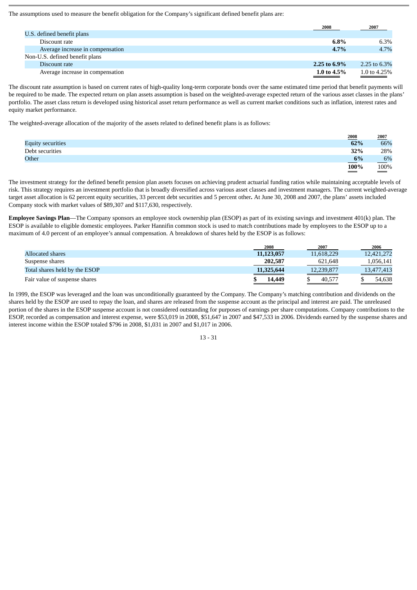The assumptions used to measure the benefit obligation for the Company's significant defined benefit plans are:

|                                  | 2008           | 2007         |
|----------------------------------|----------------|--------------|
| U.S. defined benefit plans       |                |              |
| Discount rate                    | $6.8\%$        | 6.3%         |
| Average increase in compensation | $4.7\%$        | 4.7%         |
| Non-U.S. defined benefit plans   |                |              |
| Discount rate                    | 2.25 to 6.9%   | 2.25 to 6.3% |
| Average increase in compensation | 1.0 to $4.5\%$ | 1.0 to 4.25% |

The discount rate assumption is based on current rates of high-quality long-term corporate bonds over the same estimated time period that benefit payments will be required to be made. The expected return on plan assets assumption is based on the weighted-average expected return of the various asset classes in the plans' portfolio. The asset class return is developed using historical asset return performance as well as current market conditions such as inflation, interest rates and equity market performance.

The weighted-average allocation of the majority of the assets related to defined benefit plans is as follows:

|                          | 2008         |                     |
|--------------------------|--------------|---------------------|
| <b>Equity securities</b> | 62%          | $\frac{2007}{66\%}$ |
| Debt securities          | 32%          | 28%                 |
| Other                    | 6%<br>$\sim$ | 6%<br>$\sim$        |
|                          | 100%         | 100%                |

The investment strategy for the defined benefit pension plan assets focuses on achieving prudent actuarial funding ratios while maintaining acceptable levels of risk. This strategy requires an investment portfolio that is broadly diversified across various asset classes and investment managers. The current weighted-average target asset allocation is 62 percent equity securities, 33 percent debt securities and 5 percent other**.** At June 30, 2008 and 2007, the plans' assets included Company stock with market values of \$89,307 and \$117,630, respectively.

**Employee Savings Plan**—The Company sponsors an employee stock ownership plan (ESOP) as part of its existing savings and investment 401(k) plan. The ESOP is available to eligible domestic employees. Parker Hannifin common stock is used to match contributions made by employees to the ESOP up to a maximum of 4.0 percent of an employee's annual compensation. A breakdown of shares held by the ESOP is as follows:

|                               | 2008       | 2007       | 2006       |
|-------------------------------|------------|------------|------------|
| Allocated shares              | 11,123,057 | 11,618,229 | 12,421,272 |
| Suspense shares               | 202,587    | 621.648    | 1,056,141  |
| Total shares held by the ESOP | 11,325,644 | 12,239,877 | 13,477,413 |
| Fair value of suspense shares | 14,449     | 40.577     | 54.638     |

In 1999, the ESOP was leveraged and the loan was unconditionally guaranteed by the Company. The Company's matching contribution and dividends on the shares held by the ESOP are used to repay the loan, and shares are released from the suspense account as the principal and interest are paid. The unreleased portion of the shares in the ESOP suspense account is not considered outstanding for purposes of earnings per share computations. Company contributions to the ESOP, recorded as compensation and interest expense, were \$53,019 in 2008, \$51,647 in 2007 and \$47,533 in 2006. Dividends earned by the suspense shares and interest income within the ESOP totaled \$796 in 2008, \$1,031 in 2007 and \$1,017 in 2006.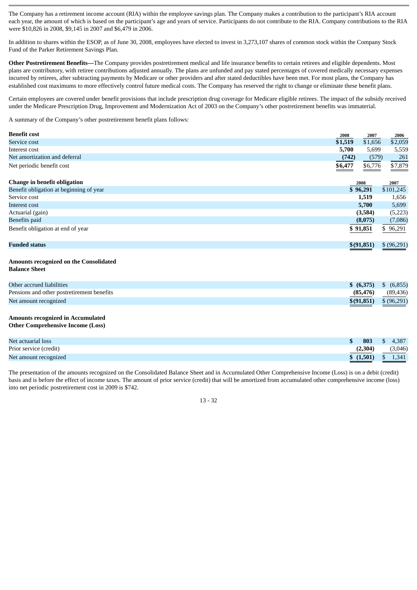The Company has a retirement income account (RIA) within the employee savings plan. The Company makes a contribution to the participant's RIA account each year, the amount of which is based on the participant's age and years of service. Participants do not contribute to the RIA. Company contributions to the RIA were \$10,826 in 2008, \$9,145 in 2007 and \$6,479 in 2006.

In addition to shares within the ESOP, as of June 30, 2008, employees have elected to invest in 3,273,107 shares of common stock within the Company Stock Fund of the Parker Retirement Savings Plan.

**Other Postretirement Benefits—**The Company provides postretirement medical and life insurance benefits to certain retirees and eligible dependents. Most plans are contributory, with retiree contributions adjusted annually. The plans are unfunded and pay stated percentages of covered medically necessary expenses incurred by retirees, after subtracting payments by Medicare or other providers and after stated deductibles have been met. For most plans, the Company has established cost maximums to more effectively control future medical costs. The Company has reserved the right to change or eliminate these benefit plans.

Certain employees are covered under benefit provisions that include prescription drug coverage for Medicare eligible retirees. The impact of the subsidy received under the Medicare Prescription Drug, Improvement and Modernization Act of 2003 on the Company's other postretirement benefits was immaterial.

A summary of the Company's other postretirement benefit plans follows:

| <b>Benefit cost</b>           | 2008    | 2007    | 2006            |
|-------------------------------|---------|---------|-----------------|
| Service cost                  | \$1,519 | \$1,656 | \$2,059         |
| Interest cost                 | 5,700   | 5,699   | 5,559           |
| Net amortization and deferral | (742)   | (579)   | 261             |
| Net periodic benefit cost     | \$6,477 | \$6,776 | \$7,879<br>$ -$ |
| Change in henefit obligation  |         | 2000    | 2007            |

| change in ochem congetion               | $\sim$ 000   | $-001$      |
|-----------------------------------------|--------------|-------------|
| Benefit obligation at beginning of year | \$96,291     | \$101,245   |
| Service cost                            | 1,519        | 1,656       |
| Interest cost                           | 5,700        | 5,699       |
| Actuarial (gain)                        | (3,584)      | (5,223)     |
| Benefits paid                           | (8,075)      | (7,086)     |
| Benefit obligation at end of year       | \$91,851     | \$96,291    |
| <b>Funded status</b>                    | \$ (91, 851) | \$ (96,291) |

# **Amounts recognized on the Consolidated Balance Sheet**

| Other accrued liabilitie |  |
|--------------------------|--|
|                          |  |

| Other accrued liabilities                  |              | $$$ (6,375) $$$ (6,855)  |
|--------------------------------------------|--------------|--------------------------|
| Pensions and other postretirement benefits | (85, 476)    | (89, 436)                |
| Net amount recognized                      | \$ (91, 851) | \$ (96,291)<br>_________ |

# **Amounts recognized in Accumulated**

**Other Comprehensive Income (Loss)**

| Net actuarial loss     | S. |         |                                |
|------------------------|----|---------|--------------------------------|
| Prior service (credit) |    | (2,304) | (3,046)                        |
| Net amount recognized  |    |         | $\frac{1}{2}$ (1,501) \$ 1,341 |

The presentation of the amounts recognized on the Consolidated Balance Sheet and in Accumulated Other Comprehensive Income (Loss) is on a debit (credit) basis and is before the effect of income taxes. The amount of prior service (credit) that will be amortized from accumulated other comprehensive income (loss) into net periodic postretirement cost in 2009 is \$742.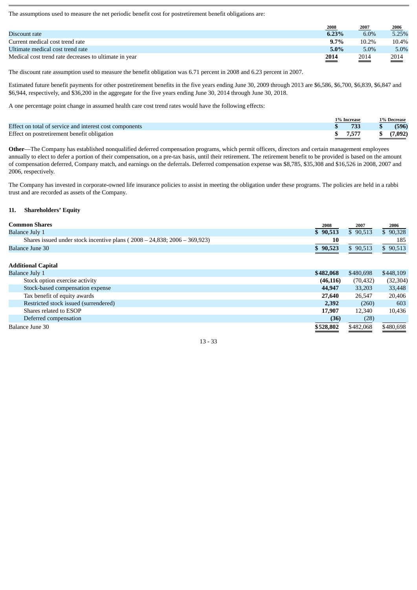The assumptions used to measure the net periodic benefit cost for postretirement benefit obligations are:

|                                                       | 2008                      | 2007             | 2006             |
|-------------------------------------------------------|---------------------------|------------------|------------------|
| Discount rate                                         | 6.23%                     | $6.0\%$          | 5.25%            |
| Current medical cost trend rate                       | $9.7\%$                   | 10.2%            | 10.4%            |
| Ultimate medical cost trend rate                      | $5.0\%$                   | 5.0%             | 5.0%             |
| Medical cost trend rate decreases to ultimate in year | 2014<br>$\qquad \qquad =$ | 2014<br>$\equiv$ | 2014<br>$\equiv$ |

The discount rate assumption used to measure the benefit obligation was 6.71 percent in 2008 and 6.23 percent in 2007.

Estimated future benefit payments for other postretirement benefits in the five years ending June 30, 2009 through 2013 are \$6,586, \$6,700, \$6,839, \$6,847 and \$6,944, respectively, and \$36,200 in the aggregate for the five years ending June 30, 2014 through June 30, 2018.

A one percentage point change in assumed health care cost trend rates would have the following effects:

|                                                         | 1% Increase |  | 1% Decrease |
|---------------------------------------------------------|-------------|--|-------------|
| Effect on total of service and interest cost components |             |  | (596)       |
| Effect on postretirement benefit obligation             | 7,577       |  | (7,092)     |

**Other**—The Company has established nonqualified deferred compensation programs, which permit officers, directors and certain management employees annually to elect to defer a portion of their compensation, on a pre-tax basis, until their retirement. The retirement benefit to be provided is based on the amount of compensation deferred, Company match, and earnings on the deferrals. Deferred compensation expense was \$8,785, \$35,308 and \$16,526 in 2008, 2007 and 2006, respectively.

The Company has invested in corporate-owned life insurance policies to assist in meeting the obligation under these programs. The policies are held in a rabbi trust and are recorded as assets of the Company.

### **11. Shareholders' Equity**

| <b>Common Shares</b>                                                             | 2008      | 2007      | 2006      |
|----------------------------------------------------------------------------------|-----------|-----------|-----------|
| Balance July 1                                                                   | \$90.513  | \$90,513  | \$90,328  |
| Shares issued under stock incentive plans ( $2008 - 24,838$ ; $2006 - 369,923$ ) | 10        |           | 185       |
| Balance June 30                                                                  | \$90,523  | \$90,513  | \$90,513  |
|                                                                                  |           |           |           |
| <b>Additional Capital</b>                                                        |           |           |           |
| Balance July 1                                                                   | \$482,068 | \$480,698 | \$448,109 |
| Stock option exercise activity                                                   | (46, 116) | (70, 432) | (32, 304) |
| Stock-based compensation expense                                                 | 44,947    | 33.203    | 33,448    |
| Tax benefit of equity awards                                                     | 27,640    | 26,547    | 20,406    |
| Restricted stock issued (surrendered)                                            | 2,392     | (260)     | 603       |
| Shares related to ESOP                                                           | 17,907    | 12,340    | 10,436    |
| Deferred compensation                                                            | (36)      | (28)      |           |
| Balance June 30                                                                  | \$528,802 | \$482,068 | \$480.698 |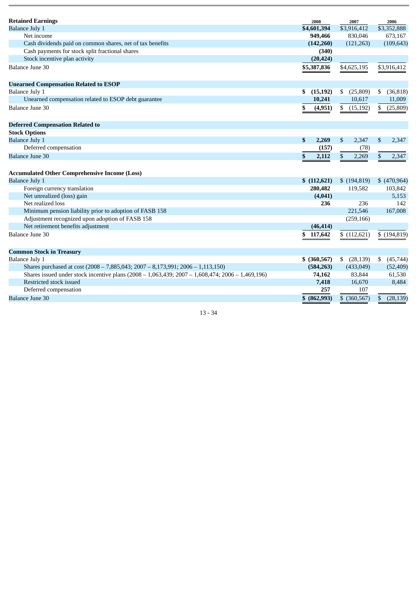| <b>Retained Earnings</b>                                                                         | 2008                  | 2007                  | 2006            |
|--------------------------------------------------------------------------------------------------|-----------------------|-----------------------|-----------------|
| <b>Balance July 1</b>                                                                            | \$4,601,394           | \$3,916,412           | \$3,352,888     |
| Net income                                                                                       | 949,466               | 830,046               | 673,167         |
| Cash dividends paid on common shares, net of tax benefits                                        | (142, 260)            | (121, 263)            | (109, 643)      |
| Cash payments for stock split fractional shares                                                  | (340)                 |                       |                 |
| Stock incentive plan activity                                                                    | (20, 424)             |                       |                 |
| Balance June 30                                                                                  | \$5,387,836           | \$4,625,195           | \$3,916,412     |
| <b>Unearned Compensation Related to ESOP</b>                                                     |                       |                       |                 |
| Balance July 1                                                                                   | \$<br>(15, 192)       | (25,809)<br>\$        | (36, 818)<br>S  |
| Unearned compensation related to ESOP debt guarantee                                             | 10,241                | 10,617                | 11,009          |
| Balance June 30                                                                                  | \$<br>(4,951)         | \$(15,192)            | \$<br>(25,809)  |
| <b>Deferred Compensation Related to</b>                                                          |                       |                       |                 |
| <b>Stock Options</b>                                                                             |                       |                       |                 |
| <b>Balance July 1</b>                                                                            | $\mathbf{s}$<br>2,269 | \$<br>2,347           | \$<br>2,347     |
| Deferred compensation                                                                            | (157)                 | (78)                  |                 |
| Balance June 30                                                                                  | \$<br>2,112           | $\mathbb{S}$<br>2,269 | \$<br>2,347     |
| <b>Accumulated Other Comprehensive Income (Loss)</b>                                             |                       |                       |                 |
| <b>Balance July 1</b>                                                                            | \$(112,621)           | \$(194, 819)          | \$ (470,964)    |
| Foreign currency translation                                                                     | 280,482               | 119,582               | 103,842         |
| Net unrealized (loss) gain                                                                       | (4,041)               |                       | 5,153           |
| Net realized loss                                                                                | 236                   | 236                   | 142             |
| Minimum pension liability prior to adoption of FASB 158                                          |                       | 221,546               | 167,008         |
| Adjustment recognized upon adoption of FASB 158                                                  |                       | (259, 166)            |                 |
| Net retirement benefits adjustment                                                               | (46, 414)             |                       |                 |
| Balance June 30                                                                                  | \$<br>117,642         | \$(112,621)           | \$(194, 819)    |
| <b>Common Stock in Treasury</b>                                                                  |                       |                       |                 |
| Balance July 1                                                                                   | \$ (360, 567)         | \$(28, 139)           | (45,744)<br>S.  |
| Shares purchased at cost (2008 - 7,885,043; 2007 - 8,173,991; 2006 - 1,113,150)                  | (584, 263)            | (433,049)             | (52, 409)       |
| Shares issued under stock incentive plans (2008 - 1,063,439; 2007 - 1,608,474; 2006 - 1,469,196) | 74,162                | 83,844                | 61,530          |
| Restricted stock issued                                                                          | 7,418                 | 16,670                | 8,484           |
| Deferred compensation                                                                            | 257                   | 107                   |                 |
| <b>Balance June 30</b>                                                                           | \$ (862,993)          | $$$ (360,567)         | \$<br>(28, 139) |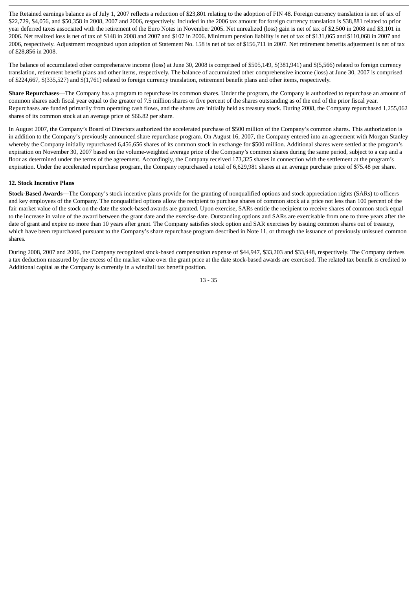The Retained earnings balance as of July 1, 2007 reflects a reduction of \$23,801 relating to the adoption of FIN 48. Foreign currency translation is net of tax of \$22,729, \$4,056, and \$50,358 in 2008, 2007 and 2006, respectively. Included in the 2006 tax amount for foreign currency translation is \$38,881 related to prior year deferred taxes associated with the retirement of the Euro Notes in November 2005. Net unrealized (loss) gain is net of tax of \$2,500 in 2008 and \$3,101 in 2006. Net realized loss is net of tax of \$148 in 2008 and 2007 and \$107 in 2006. Minimum pension liability is net of tax of \$131,065 and \$110,068 in 2007 and 2006, respectively. Adjustment recognized upon adoption of Statement No. 158 is net of tax of \$156,711 in 2007. Net retirement benefits adjustment is net of tax of \$28,856 in 2008.

The balance of accumulated other comprehensive income (loss) at June 30, 2008 is comprised of \$505,149, \$(381,941) and \$(5,566) related to foreign currency translation, retirement benefit plans and other items, respectively. The balance of accumulated other comprehensive income (loss) at June 30, 2007 is comprised of \$224,667, \$(335,527) and \$(1,761) related to foreign currency translation, retirement benefit plans and other items, respectively.

**Share Repurchases**—The Company has a program to repurchase its common shares. Under the program, the Company is authorized to repurchase an amount of common shares each fiscal year equal to the greater of 7.5 million shares or five percent of the shares outstanding as of the end of the prior fiscal year. Repurchases are funded primarily from operating cash flows, and the shares are initially held as treasury stock. During 2008, the Company repurchased 1,255,062 shares of its common stock at an average price of \$66.82 per share.

In August 2007, the Company's Board of Directors authorized the accelerated purchase of \$500 million of the Company's common shares. This authorization is in addition to the Company's previously announced share repurchase program. On August 16, 2007, the Company entered into an agreement with Morgan Stanley whereby the Company initially repurchased 6,456,656 shares of its common stock in exchange for \$500 million. Additional shares were settled at the program's expiration on November 30, 2007 based on the volume-weighted average price of the Company's common shares during the same period, subject to a cap and a floor as determined under the terms of the agreement. Accordingly, the Company received 173,325 shares in connection with the settlement at the program's expiration. Under the accelerated repurchase program, the Company repurchased a total of 6,629,981 shares at an average purchase price of \$75.48 per share.

## **12. Stock Incentive Plans**

**Stock-Based Awards—**The Company's stock incentive plans provide for the granting of nonqualified options and stock appreciation rights (SARs) to officers and key employees of the Company. The nonqualified options allow the recipient to purchase shares of common stock at a price not less than 100 percent of the fair market value of the stock on the date the stock-based awards are granted. Upon exercise, SARs entitle the recipient to receive shares of common stock equal to the increase in value of the award between the grant date and the exercise date. Outstanding options and SARs are exercisable from one to three years after the date of grant and expire no more than 10 years after grant. The Company satisfies stock option and SAR exercises by issuing common shares out of treasury, which have been repurchased pursuant to the Company's share repurchase program described in Note 11, or through the issuance of previously unissued common shares.

During 2008, 2007 and 2006, the Company recognized stock-based compensation expense of \$44,947, \$33,203 and \$33,448, respectively. The Company derives a tax deduction measured by the excess of the market value over the grant price at the date stock-based awards are exercised. The related tax benefit is credited to Additional capital as the Company is currently in a windfall tax benefit position.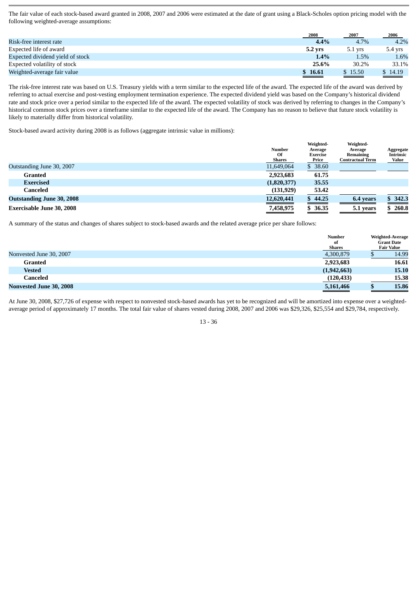The fair value of each stock-based award granted in 2008, 2007 and 2006 were estimated at the date of grant using a Black-Scholes option pricing model with the following weighted-average assumptions:

|                                  | 2008      | 2007      | 2006      |
|----------------------------------|-----------|-----------|-----------|
| Risk-free interest rate          | 4.4%      | 4.7%      | 4.2%      |
| Expected life of award           | $5.2$ yrs | $5.1$ yrs | $5.4$ yrs |
| Expected dividend yield of stock | 1.4%      | 1.5%      | 1.6%      |
| Expected volatility of stock     | 25.6%     | 30.2%     | 33.1%     |
| Weighted-average fair value      | \$16.61   | \$15.50   | \$14.19   |

The risk-free interest rate was based on U.S. Treasury yields with a term similar to the expected life of the award. The expected life of the award was derived by referring to actual exercise and post-vesting employment termination experience. The expected dividend yield was based on the Company's historical dividend rate and stock price over a period similar to the expected life of the award. The expected volatility of stock was derived by referring to changes in the Company's historical common stock prices over a timeframe similar to the expected life of the award. The Company has no reason to believe that future stock volatility is likely to materially differ from historical volatility.

Stock-based award activity during 2008 is as follows (aggregate intrinsic value in millions):

|                                  | Number<br>Of<br>Shares | Weighted-<br>Average<br>Exercise<br>Price | Weighted-<br>Average<br>Remaining<br><b>Contractual Term</b> | Aggregate<br>Intrinsic<br><b>Value</b> |
|----------------------------------|------------------------|-------------------------------------------|--------------------------------------------------------------|----------------------------------------|
| Outstanding June 30, 2007        | 11,649,064             | \$38.60                                   |                                                              |                                        |
| <b>Granted</b>                   | 2,923,683              | 61.75                                     |                                                              |                                        |
| <b>Exercised</b>                 | (1,820,377)            | 35.55                                     |                                                              |                                        |
| <b>Canceled</b>                  | (131, 929)             | 53.42                                     |                                                              |                                        |
| <b>Outstanding June 30, 2008</b> | 12,620,441             | \$44.25                                   | 6.4 years                                                    | \$342.3<br>_____                       |
| <b>Exercisable June 30, 2008</b> | 7,458,975              | \$36.35                                   | 5.1 years                                                    | 260.8                                  |

A summary of the status and changes of shares subject to stock-based awards and the related average price per share follows:

|                                | Number<br>of<br>Shares | Weighted-Average<br><b>Grant Date</b><br><b>Fair Value</b> |       |
|--------------------------------|------------------------|------------------------------------------------------------|-------|
| Nonvested June 30, 2007        | 4,300,879              |                                                            | 14.99 |
| <b>Granted</b>                 | 2,923,683              |                                                            | 16.61 |
| <b>Vested</b>                  | (1,942,663)            |                                                            | 15.10 |
| Canceled                       | (120, 433)             |                                                            | 15.38 |
| <b>Nonvested June 30, 2008</b> | 5,161,466              |                                                            | 15.86 |

At June 30, 2008, \$27,726 of expense with respect to nonvested stock-based awards has yet to be recognized and will be amortized into expense over a weightedaverage period of approximately 17 months. The total fair value of shares vested during 2008, 2007 and 2006 was \$29,326, \$25,554 and \$29,784, respectively.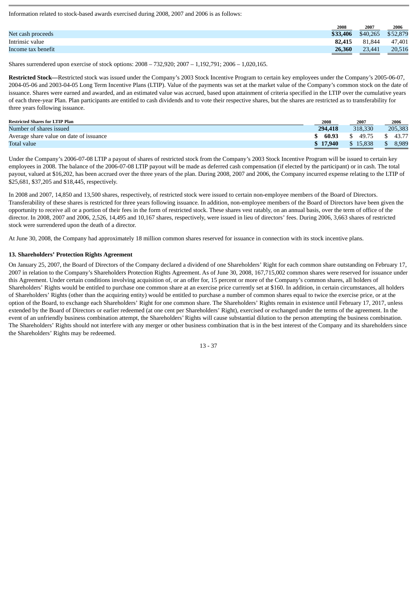Information related to stock-based awards exercised during 2008, 2007 and 2006 is as follows:

|                    | 2008     | 2007     | 2006                                                                                                                                                                                                                                           |
|--------------------|----------|----------|------------------------------------------------------------------------------------------------------------------------------------------------------------------------------------------------------------------------------------------------|
| Net cash proceeds  | \$33,406 | \$40,265 | \$52,879                                                                                                                                                                                                                                       |
| Intrinsic value    | 82,415   | 81.844   | 47,401                                                                                                                                                                                                                                         |
| Income tax benefit | 26,360   | 23,441   | 20,516<br><u> The Common State of the Common State of the Common State of the Common State of the Common State of the Common State of the Common State of the Common State of the Common State of the Common State of the Common State of </u> |

Shares surrendered upon exercise of stock options: 2008 – 732,920; 2007 – 1,192,791; 2006 – 1,020,165.

**Restricted Stock—**Restricted stock was issued under the Company's 2003 Stock Incentive Program to certain key employees under the Company's 2005-06-07, 2004-05-06 and 2003-04-05 Long Term Incentive Plans (LTIP). Value of the payments was set at the market value of the Company's common stock on the date of issuance. Shares were earned and awarded, and an estimated value was accrued, based upon attainment of criteria specified in the LTIP over the cumulative years of each three-year Plan. Plan participants are entitled to cash dividends and to vote their respective shares, but the shares are restricted as to transferability for three years following issuance.

| <b>Restricted Shares for LTIP Plan</b>  | 2008     | 2007        | 2006    |
|-----------------------------------------|----------|-------------|---------|
| Number of shares issued                 | 294,418  | 318,330     | 205,383 |
| Average share value on date of issuance | 60.93    | \$ 49.75 \$ | 43.77   |
| Total value                             | \$17,940 | \$15.838    | 8,989   |

Under the Company's 2006-07-08 LTIP a payout of shares of restricted stock from the Company's 2003 Stock Incentive Program will be issued to certain key employees in 2008. The balance of the 2006-07-08 LTIP payout will be made as deferred cash compensation (if elected by the participant) or in cash. The total payout, valued at \$16,202, has been accrued over the three years of the plan. During 2008, 2007 and 2006, the Company incurred expense relating to the LTIP of \$25,681, \$37,205 and \$18,445, respectively.

In 2008 and 2007, 14,850 and 13,500 shares, respectively, of restricted stock were issued to certain non-employee members of the Board of Directors. Transferability of these shares is restricted for three years following issuance. In addition, non-employee members of the Board of Directors have been given the opportunity to receive all or a portion of their fees in the form of restricted stock. These shares vest ratably, on an annual basis, over the term of office of the director. In 2008, 2007 and 2006, 2,526, 14,495 and 10,167 shares, respectively, were issued in lieu of directors' fees. During 2006, 3,663 shares of restricted stock were surrendered upon the death of a director.

At June 30, 2008, the Company had approximately 18 million common shares reserved for issuance in connection with its stock incentive plans.

## **13. Shareholders' Protection Rights Agreement**

On January 25, 2007, the Board of Directors of the Company declared a dividend of one Shareholders' Right for each common share outstanding on February 17, 2007 in relation to the Company's Shareholders Protection Rights Agreement. As of June 30, 2008, 167,715,002 common shares were reserved for issuance under this Agreement. Under certain conditions involving acquisition of, or an offer for, 15 percent or more of the Company's common shares, all holders of Shareholders' Rights would be entitled to purchase one common share at an exercise price currently set at \$160. In addition, in certain circumstances, all holders of Shareholders' Rights (other than the acquiring entity) would be entitled to purchase a number of common shares equal to twice the exercise price, or at the option of the Board, to exchange each Shareholders' Right for one common share. The Shareholders' Rights remain in existence until February 17, 2017, unless extended by the Board of Directors or earlier redeemed (at one cent per Shareholders' Right), exercised or exchanged under the terms of the agreement. In the event of an unfriendly business combination attempt, the Shareholders' Rights will cause substantial dilution to the person attempting the business combination. The Shareholders' Rights should not interfere with any merger or other business combination that is in the best interest of the Company and its shareholders since the Shareholders' Rights may be redeemed.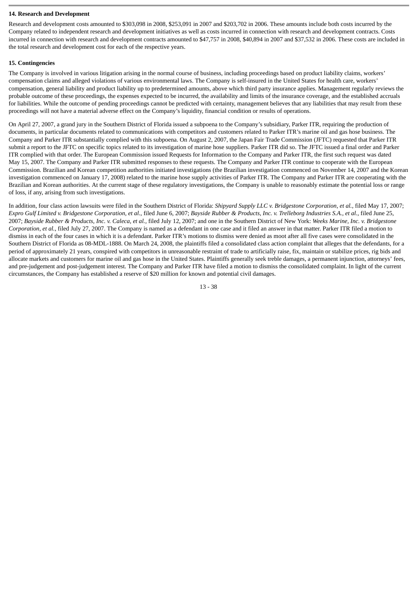## **14. Research and Development**

Research and development costs amounted to \$303,098 in 2008, \$253,091 in 2007 and \$203,702 in 2006. These amounts include both costs incurred by the Company related to independent research and development initiatives as well as costs incurred in connection with research and development contracts. Costs incurred in connection with research and development contracts amounted to \$47,757 in 2008, \$40,894 in 2007 and \$37,532 in 2006. These costs are included in the total research and development cost for each of the respective years.

## **15. Contingencies**

The Company is involved in various litigation arising in the normal course of business, including proceedings based on product liability claims, workers' compensation claims and alleged violations of various environmental laws. The Company is self-insured in the United States for health care, workers' compensation, general liability and product liability up to predetermined amounts, above which third party insurance applies. Management regularly reviews the probable outcome of these proceedings, the expenses expected to be incurred, the availability and limits of the insurance coverage, and the established accruals for liabilities. While the outcome of pending proceedings cannot be predicted with certainty, management believes that any liabilities that may result from these proceedings will not have a material adverse effect on the Company's liquidity, financial condition or results of operations.

On April 27, 2007, a grand jury in the Southern District of Florida issued a subpoena to the Company's subsidiary, Parker ITR, requiring the production of documents, in particular documents related to communications with competitors and customers related to Parker ITR's marine oil and gas hose business. The Company and Parker ITR substantially complied with this subpoena. On August 2, 2007, the Japan Fair Trade Commission (JFTC) requested that Parker ITR submit a report to the JFTC on specific topics related to its investigation of marine hose suppliers. Parker ITR did so. The JFTC issued a final order and Parker ITR complied with that order. The European Commission issued Requests for Information to the Company and Parker ITR, the first such request was dated May 15, 2007. The Company and Parker ITR submitted responses to these requests. The Company and Parker ITR continue to cooperate with the European Commission. Brazilian and Korean competition authorities initiated investigations (the Brazilian investigation commenced on November 14, 2007 and the Korean investigation commenced on January 17, 2008) related to the marine hose supply activities of Parker ITR. The Company and Parker ITR are cooperating with the Brazilian and Korean authorities. At the current stage of these regulatory investigations, the Company is unable to reasonably estimate the potential loss or range of loss, if any, arising from such investigations.

In addition, four class action lawsuits were filed in the Southern District of Florida: *Shipyard Supply LLC v. Bridgestone Corporation, et al.,* filed May 17, 2007; *Expro Gulf Limited v. Bridgestone Corporation, et al.*, filed June 6, 2007; *Bayside Rubber & Products, Inc. v. Trelleborg Industries S.A., et al.,* filed June 25, 2007; *Bayside Rubber & Products, Inc. v. Caleca, et al.,* filed July 12, 2007; and one in the Southern District of New York: *Weeks Marine, Inc. v. Bridgestone Corporation, et al.*, filed July 27, 2007. The Company is named as a defendant in one case and it filed an answer in that matter. Parker ITR filed a motion to dismiss in each of the four cases in which it is a defendant. Parker ITR's motions to dismiss were denied as moot after all five cases were consolidated in the Southern District of Florida as 08-MDL-1888. On March 24, 2008, the plaintiffs filed a consolidated class action complaint that alleges that the defendants, for a period of approximately 21 years, conspired with competitors in unreasonable restraint of trade to artificially raise, fix, maintain or stabilize prices, rig bids and allocate markets and customers for marine oil and gas hose in the United States. Plaintiffs generally seek treble damages, a permanent injunction, attorneys' fees, and pre-judgement and post-judgement interest. The Company and Parker ITR have filed a motion to dismiss the consolidated complaint. In light of the current circumstances, the Company has established a reserve of \$20 million for known and potential civil damages.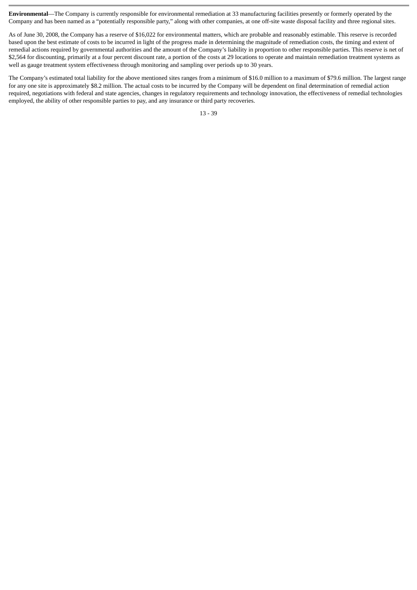**Environmental**—The Company is currently responsible for environmental remediation at 33 manufacturing facilities presently or formerly operated by the Company and has been named as a "potentially responsible party," along with other companies, at one off-site waste disposal facility and three regional sites.

As of June 30, 2008, the Company has a reserve of \$16,022 for environmental matters, which are probable and reasonably estimable. This reserve is recorded based upon the best estimate of costs to be incurred in light of the progress made in determining the magnitude of remediation costs, the timing and extent of remedial actions required by governmental authorities and the amount of the Company's liability in proportion to other responsible parties. This reserve is net of \$2,564 for discounting, primarily at a four percent discount rate, a portion of the costs at 29 locations to operate and maintain remediation treatment systems as well as gauge treatment system effectiveness through monitoring and sampling over periods up to 30 years.

The Company's estimated total liability for the above mentioned sites ranges from a minimum of \$16.0 million to a maximum of \$79.6 million. The largest range for any one site is approximately \$8.2 million. The actual costs to be incurred by the Company will be dependent on final determination of remedial action required, negotiations with federal and state agencies, changes in regulatory requirements and technology innovation, the effectiveness of remedial technologies employed, the ability of other responsible parties to pay, and any insurance or third party recoveries.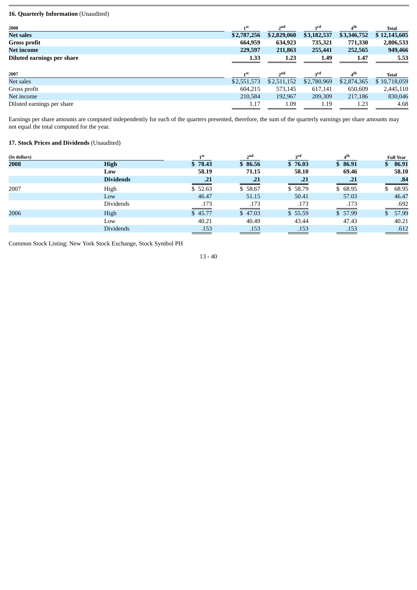## **16. Quarterly Information** (Unaudited)

| 2008                       | 1 <sup>st</sup> | 2 <sub>nd</sub> | 3 <sup>rd</sup> | 4 <sup>th</sup> | Total           |
|----------------------------|-----------------|-----------------|-----------------|-----------------|-----------------|
| <b>Net sales</b>           | \$2,787,256     | \$2,829,060     | \$3,182,537     | \$3,346,752     | \$12,145,605    |
| <b>Gross profit</b>        | 664,959         | 634,923         | 735,321         | 771,330         | 2,806,533       |
| <b>Net income</b>          | 229,597         | 211,863         | 255,441         | 252,565         | 949,466         |
| Diluted earnings per share | 1.33            | 1.23            | 1.49            | 1.47            | 5.53            |
|                            |                 |                 |                 |                 |                 |
|                            |                 |                 |                 |                 |                 |
| 2007                       | 1 <sup>st</sup> | <sub>2</sub> nd | ąrd             | 4 <sup>th</sup> | Total           |
| Net sales                  | \$2,551,573     | \$2,511,152     | \$2,780,969     | \$2,874,365     | \$10,718,059    |
| Gross profit               | 604.215         | 573,145         | 617,141         | 650,609         | 2,445,110       |
| Net income                 | 210,584         | 192,967         | 209,309         | 217,186         |                 |
| Diluted earnings per share | 1.17            | 1.09            | 1.19            | 1.23            | 830,046<br>4.68 |

Earnings per share amounts are computed independently for each of the quarters presented, therefore, the sum of the quarterly earnings per share amounts may not equal the total computed for the year.

# **17. Stock Prices and Dividends** (Unaudited)

| (In dollars) |                  | 1 <sup>st</sup> | 2 <sub>nd</sub> | 3 <sup>rd</sup> | 4 <sup>th</sup> | <b>Full Year</b> |
|--------------|------------------|-----------------|-----------------|-----------------|-----------------|------------------|
| 2008         | High             | \$78.43         | \$86.56         | \$76.03         | \$86.91         | 86.91<br>S       |
|              | Low              | 58.19           | 71.15           | 58.10           | 69.46           | 58.10            |
|              | <b>Dividends</b> | .21             | .21             | .21             | .21             | .84              |
| 2007         | High             | \$52.63         | \$58.67         | \$58.79         | \$68.95         | 68.95            |
|              | Low              | 46.47           | 51.15           | 50.41           | 57.03           | 46.47            |
|              | Dividends        | .173            | .173            | .173            | .173            | .692             |
| 2006         | High             | \$45.77         | \$47.03         | \$55.59         | \$57.99         | 57.99<br>S.      |
|              | Low              | 40.21           | 40.49           | 43.44           | 47.43           | 40.21            |
|              | <b>Dividends</b> | .153            | .153            | .153            | .153            | .612             |

Common Stock Listing: New York Stock Exchange, Stock Symbol PH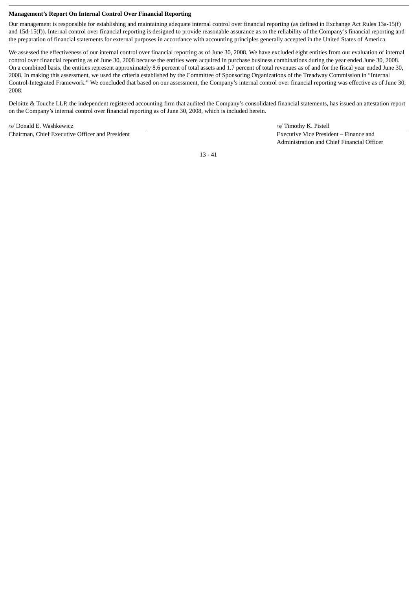## **Management's Report On Internal Control Over Financial Reporting**

Our management is responsible for establishing and maintaining adequate internal control over financial reporting (as defined in Exchange Act Rules 13a-15(f) and 15d-15(f)). Internal control over financial reporting is designed to provide reasonable assurance as to the reliability of the Company's financial reporting and the preparation of financial statements for external purposes in accordance with accounting principles generally accepted in the United States of America.

We assessed the effectiveness of our internal control over financial reporting as of June 30, 2008. We have excluded eight entities from our evaluation of internal control over financial reporting as of June 30, 2008 because the entities were acquired in purchase business combinations during the year ended June 30, 2008. On a combined basis, the entities represent approximately 8.6 percent of total assets and 1.7 percent of total revenues as of and for the fiscal year ended June 30, 2008. In making this assessment, we used the criteria established by the Committee of Sponsoring Organizations of the Treadway Commission in "Internal Control-Integrated Framework." We concluded that based on our assessment, the Company's internal control over financial reporting was effective as of June 30, 2008.

Deloitte & Touche LLP, the independent registered accounting firm that audited the Company's consolidated financial statements, has issued an attestation report on the Company's internal control over financial reporting as of June 30, 2008, which is included herein.

/s/ Donald E. Washkewicz

Chairman, Chief Executive Officer and President

/s/ Timothy K. Pistell Executive Vice President – Finance and Administration and Chief Financial Officer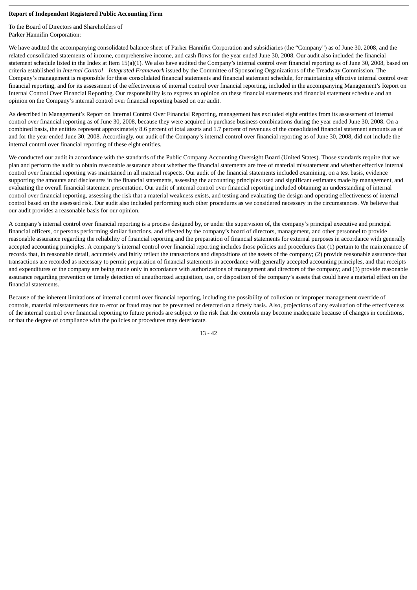## **Report of Independent Registered Public Accounting Firm**

To the Board of Directors and Shareholders of Parker Hannifin Corporation:

We have audited the accompanying consolidated balance sheet of Parker Hannifin Corporation and subsidiaries (the "Company") as of June 30, 2008, and the related consolidated statements of income, comprehensive income, and cash flows for the year ended June 30, 2008. Our audit also included the financial statement schedule listed in the Index at Item 15(a)(1). We also have audited the Company's internal control over financial reporting as of June 30, 2008, based on criteria established in *Internal Control—Integrated Framework* issued by the Committee of Sponsoring Organizations of the Treadway Commission. The Company's management is responsible for these consolidated financial statements and financial statement schedule, for maintaining effective internal control over financial reporting, and for its assessment of the effectiveness of internal control over financial reporting, included in the accompanying Management's Report on Internal Control Over Financial Reporting. Our responsibility is to express an opinion on these financial statements and financial statement schedule and an opinion on the Company's internal control over financial reporting based on our audit.

As described in Management's Report on Internal Control Over Financial Reporting, management has excluded eight entities from its assessment of internal control over financial reporting as of June 30, 2008, because they were acquired in purchase business combinations during the year ended June 30, 2008. On a combined basis, the entities represent approximately 8.6 percent of total assets and 1.7 percent of revenues of the consolidated financial statement amounts as of and for the year ended June 30, 2008. Accordingly, our audit of the Company's internal control over financial reporting as of June 30, 2008, did not include the internal control over financial reporting of these eight entities.

We conducted our audit in accordance with the standards of the Public Company Accounting Oversight Board (United States). Those standards require that we plan and perform the audit to obtain reasonable assurance about whether the financial statements are free of material misstatement and whether effective internal control over financial reporting was maintained in all material respects. Our audit of the financial statements included examining, on a test basis, evidence supporting the amounts and disclosures in the financial statements, assessing the accounting principles used and significant estimates made by management, and evaluating the overall financial statement presentation. Our audit of internal control over financial reporting included obtaining an understanding of internal control over financial reporting, assessing the risk that a material weakness exists, and testing and evaluating the design and operating effectiveness of internal control based on the assessed risk. Our audit also included performing such other procedures as we considered necessary in the circumstances. We believe that our audit provides a reasonable basis for our opinion.

A company's internal control over financial reporting is a process designed by, or under the supervision of, the company's principal executive and principal financial officers, or persons performing similar functions, and effected by the company's board of directors, management, and other personnel to provide reasonable assurance regarding the reliability of financial reporting and the preparation of financial statements for external purposes in accordance with generally accepted accounting principles. A company's internal control over financial reporting includes those policies and procedures that (1) pertain to the maintenance of records that, in reasonable detail, accurately and fairly reflect the transactions and dispositions of the assets of the company; (2) provide reasonable assurance that transactions are recorded as necessary to permit preparation of financial statements in accordance with generally accepted accounting principles, and that receipts and expenditures of the company are being made only in accordance with authorizations of management and directors of the company; and (3) provide reasonable assurance regarding prevention or timely detection of unauthorized acquisition, use, or disposition of the company's assets that could have a material effect on the financial statements.

Because of the inherent limitations of internal control over financial reporting, including the possibility of collusion or improper management override of controls, material misstatements due to error or fraud may not be prevented or detected on a timely basis. Also, projections of any evaluation of the effectiveness of the internal control over financial reporting to future periods are subject to the risk that the controls may become inadequate because of changes in conditions, or that the degree of compliance with the policies or procedures may deteriorate.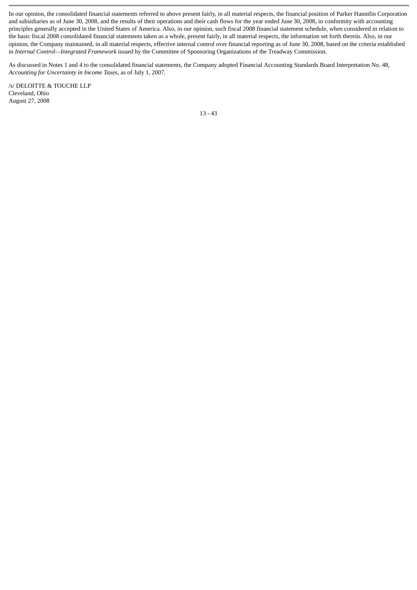In our opinion, the consolidated financial statements referred to above present fairly, in all material respects, the financial position of Parker Hannifin Corporation and subsidiaries as of June 30, 2008, and the results of their operations and their cash flows for the year ended June 30, 2008, in conformity with accounting principles generally accepted in the United States of America. Also, in our opinion, such fiscal 2008 financial statement schedule, when considered in relation to the basic fiscal 2008 consolidated financial statements taken as a whole, present fairly, in all material respects, the information set forth therein. Also, in our opinion, the Company maintained, in all material respects, effective internal control over financial reporting as of June 30, 2008, based on the criteria established in *Internal Control—Integrated Framework* issued by the Committee of Sponsoring Organizations of the Treadway Commission.

As discussed in Notes 1 and 4 to the consolidated financial statements, the Company adopted Financial Accounting Standards Board Interpretation No. 48, *Accounting for Uncertainty in Income Taxes*, as of July 1, 2007.

/s/ DELOITTE & TOUCHE LLP Cleveland, Ohio August 27, 2008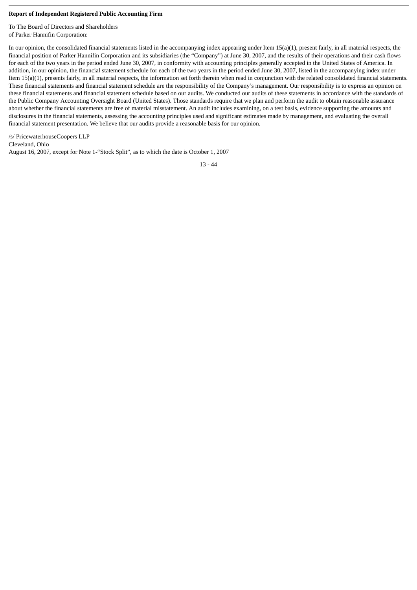#### **Report of Independent Registered Public Accounting Firm**

To The Board of Directors and Shareholders of Parker Hannifin Corporation:

In our opinion, the consolidated financial statements listed in the accompanying index appearing under Item 15(a)(1), present fairly, in all material respects, the financial position of Parker Hannifin Corporation and its subsidiaries (the "Company") at June 30, 2007, and the results of their operations and their cash flows for each of the two years in the period ended June 30, 2007, in conformity with accounting principles generally accepted in the United States of America. In addition, in our opinion, the financial statement schedule for each of the two years in the period ended June 30, 2007, listed in the accompanying index under Item 15(a)(1), presents fairly, in all material respects, the information set forth therein when read in conjunction with the related consolidated financial statements. These financial statements and financial statement schedule are the responsibility of the Company's management. Our responsibility is to express an opinion on these financial statements and financial statement schedule based on our audits. We conducted our audits of these statements in accordance with the standards of the Public Company Accounting Oversight Board (United States). Those standards require that we plan and perform the audit to obtain reasonable assurance about whether the financial statements are free of material misstatement. An audit includes examining, on a test basis, evidence supporting the amounts and disclosures in the financial statements, assessing the accounting principles used and significant estimates made by management, and evaluating the overall financial statement presentation. We believe that our audits provide a reasonable basis for our opinion.

/s/ PricewaterhouseCoopers LLP Cleveland, Ohio August 16, 2007, except for Note 1-"Stock Split", as to which the date is October 1, 2007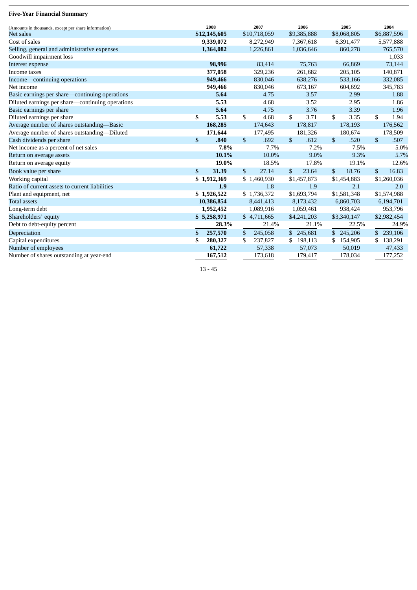# **Five-Year Financial Summary**

| (Amounts in thousands, except per share information)<br><b>Net sales</b> | 2008<br>\$12,145,605 |              | 2007<br>\$10,718,059 |               | 2006<br>\$9,385,888 |              | 2005<br>\$8,068,805 |              | 2004<br>\$6,887,596 |
|--------------------------------------------------------------------------|----------------------|--------------|----------------------|---------------|---------------------|--------------|---------------------|--------------|---------------------|
| Cost of sales                                                            | 9,339,072            |              | 8,272,949            |               | 7,367,618           |              | 6,391,477           |              | 5,577,888           |
| Selling, general and administrative expenses                             | 1,364,082            |              | 1,226,861            |               | 1,036,646           |              | 860,278             |              | 765,570             |
| Goodwill impairment loss                                                 |                      |              |                      |               |                     |              |                     |              | 1,033               |
| Interest expense                                                         | 98,996               |              | 83,414               |               | 75,763              |              | 66,869              |              | 73,144              |
| Income taxes                                                             | 377,058              |              | 329,236              |               | 261,682             |              | 205,105             |              | 140,871             |
| Income—continuing operations                                             | 949,466              |              | 830,046              |               | 638,276             |              | 533,166             |              | 332,085             |
| Net income                                                               | 949,466              |              | 830,046              |               | 673,167             |              | 604,692             |              | 345,783             |
| Basic earnings per share—continuing operations                           | 5.64                 |              | 4.75                 |               | 3.57                |              | 2.99                |              | 1.88                |
| Diluted earnings per share—continuing operations                         | 5.53                 |              | 4.68                 |               | 3.52                |              | 2.95                |              | 1.86                |
| Basic earnings per share                                                 | 5.64                 |              | 4.75                 |               | 3.76                |              | 3.39                |              | 1.96                |
| Diluted earnings per share                                               | \$<br>5.53           | \$           | 4.68                 | \$.           | 3.71                | \$           | 3.35                | \$.          | 1.94                |
| Average number of shares outstanding-Basic                               | 168,285              |              | 174,643              |               | 178,817             |              | 178,193             |              | 176,562             |
| Average number of shares outstanding-Diluted                             | 171,644              |              | 177,495              |               | 181,326             |              | 180,674             |              | 178,509             |
| Cash dividends per share                                                 | \$<br>.840           | $\mathbb{S}$ | .692                 | $\mathbb{S}$  | .612                | $\mathbb{S}$ | .520                | $\mathbb{S}$ | .507                |
| Net income as a percent of net sales                                     | 7.8%                 |              | 7.7%                 |               | 7.2%                |              | 7.5%                |              | 5.0%                |
| Return on average assets                                                 | 10.1%                |              | 10.0%                |               | 9.0%                |              | 9.3%                |              | 5.7%                |
| Return on average equity                                                 | 19.0%                |              | 18.5%                |               | 17.8%               |              | 19.1%               |              | 12.6%               |
| Book value per share                                                     | \$<br>31.39          | $\mathbb{S}$ | 27.14                | $\mathbf{\$}$ | 23.64               | $\mathbf{s}$ | 18.76               | $\mathbb{S}$ | 16.83               |
| Working capital                                                          | \$1,912,369          |              | \$1,460,930          |               | \$1,457,873         |              | \$1,454,883         |              | \$1,260,036         |
| Ratio of current assets to current liabilities                           | 1.9                  |              | 1.8                  |               | 1.9                 |              | 2.1                 |              | 2.0                 |
| Plant and equipment, net                                                 | \$1,926,522          |              | \$1,736,372          |               | \$1,693,794         |              | \$1,581,348         |              | \$1,574,988         |
| <b>Total assets</b>                                                      | 10,386,854           |              | 8,441,413            |               | 8,173,432           |              | 6,860,703           |              | 6,194,701           |
| Long-term debt                                                           | 1,952,452            |              | 1,089,916            |               | 1,059,461           |              | 938,424             |              | 953,796             |
| Shareholders' equity                                                     | \$5,258,971          |              | \$4,711,665          |               | \$4,241,203         |              | \$3,340,147         |              | \$2,982,454         |
| Debt to debt-equity percent                                              | 28.3%                |              | 21.4%                |               | 21.1%               |              | 22.5%               |              | 24.9%               |
| Depreciation                                                             | \$<br>257,570        | \$           | 245,058              |               | \$245,681           |              | \$245,206           |              | \$ 239,106          |
| Capital expenditures                                                     | \$<br>280,327        | \$           | 237,827              | \$.           | 198,113             |              | \$154,905           |              | \$ 138,291          |
| Number of employees                                                      | 61,722               |              | 57,338               |               | 57,073              |              | 50,019              |              | 47,433              |
| Number of shares outstanding at year-end                                 | 167,512              |              | 173,618              |               | 179,417             |              | 178,034             |              | 177,252             |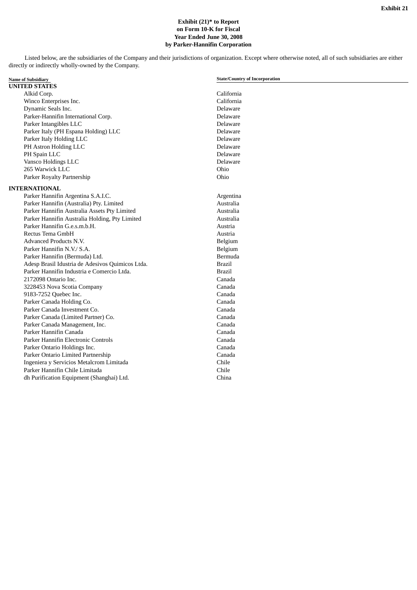## **Exhibit (21)\* to Report on Form 10-K for Fiscal Year Ended June 30, 2008 by Parker-Hannifin Corporation**

Listed below, are the subsidiaries of the Company and their jurisdictions of organization. Except where otherwise noted, all of such subsidiaries are either directly or indirectly wholly-owned by the Company.

| <b>Name of Subsidiary</b>                        | <b>State/Country of Incorporation</b> |
|--------------------------------------------------|---------------------------------------|
| <b>UNITED STATES</b>                             |                                       |
| Alkid Corp.                                      | California                            |
| Winco Enterprises Inc.                           | California                            |
| Dynamic Seals Inc.                               | Delaware                              |
| Parker-Hannifin International Corp.              | Delaware                              |
| Parker Intangibles LLC                           | Delaware                              |
| Parker Italy (PH Espana Holding) LLC             | Delaware                              |
| Parker Italy Holding LLC                         | Delaware                              |
| PH Astron Holding LLC                            | Delaware                              |
| PH Spain LLC                                     | Delaware                              |
| Vansco Holdings LLC                              | Delaware                              |
| 265 Warwick LLC                                  | Ohio                                  |
| Parker Royalty Partnership                       | Ohio                                  |
| <b>INTERNATIONAL</b>                             |                                       |
| Parker Hannifin Argentina S.A.I.C.               | Argentina                             |
| Parker Hannifin (Australia) Pty. Limited         | Australia                             |
| Parker Hannifin Australia Assets Pty Limited     | Australia                             |
| Parker Hannifin Australia Holding, Pty Limited   | Australia                             |
| Parker Hannifin G.e.s.m.b.H.                     | Austria                               |
| Rectus Tema GmbH                                 | Austria                               |
| Advanced Products N.V.                           | Belgium                               |
| Parker Hannifin N.V./ S.A.                       | Belgium                               |
| Parker Hannifin (Bermuda) Ltd.                   | Bermuda                               |
| Adesp Brasil Idustria de Adesivos Quimicos Ltda. | <b>Brazil</b>                         |
| Parker Hannifin Industria e Comercio Ltda.       | <b>Brazil</b>                         |
| 2172098 Ontario Inc.                             | Canada                                |
| 3228453 Nova Scotia Company                      | Canada                                |
| 9183-7252 Quebec Inc.                            | Canada                                |
| Parker Canada Holding Co.                        | Canada                                |
| Parker Canada Investment Co.                     | Canada                                |
| Parker Canada (Limited Partner) Co.              | Canada                                |
| Parker Canada Management, Inc.                   | Canada                                |
| Parker Hannifin Canada                           | Canada                                |
| Parker Hannifin Electronic Controls              | Canada                                |
| Parker Ontario Holdings Inc.                     | Canada                                |
| Parker Ontario Limited Partnership               | Canada                                |
| Ingeniera y Servicios Metalcrom Limitada         | Chile                                 |
| Parker Hannifin Chile Limitada                   | Chile                                 |
| dh Purification Equipment (Shanghai) Ltd.        | China                                 |
|                                                  |                                       |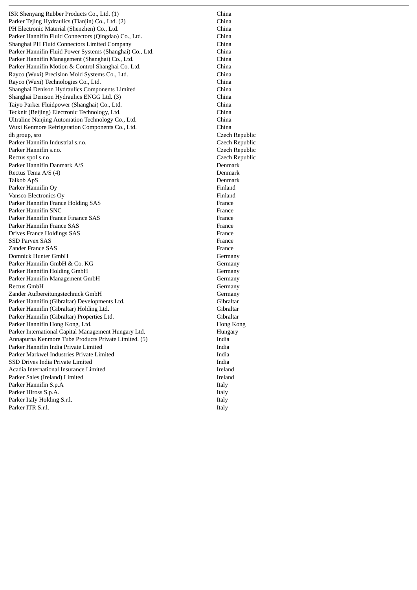ISR Shenyang Rubber Products Co., Ltd. (1) China Parker Tejing Hydraulics (Tianjin) Co., Ltd. (2) China<br>
PH Electronic Material (Shenzhen) Co., Ltd. China PH Electronic Material (Shenzhen) Co., Ltd. China Parker Hannifin Fluid Connectors (Qingdao) Co., Ltd. China Shanghai PH Fluid Connectors Limited Company (China Parker Hannifin Fluid Power Systems (Shanghai) Co., Ltd. (China China China ) Parker Hannifin Fluid Power Systems (Shanghai) Co., Ltd. Parker Hannifin Management (Shanghai) Co., Ltd.<br>Parker Hannifin Motion & Control Shanghai Co. Ltd. China Parker Hannifin Motion & Control Shanghai Co. Ltd. Rayco (Wuxi) Precision Mold Systems Co., Ltd. China Rayco (Wuxi) Technologies Co., Ltd.<br>
Shanghai Denison Hydraulics Components Limited<br>
China Shanghai Denison Hydraulics Components Limited<br>
Shanghai Denison Hydraulics ENGG Ltd. (3) China Shanghai Denison Hydraulics ENGG Ltd. (3) China Taiyo Parker Fluidpower (Shanghai) Co., Ltd.<br>Tecknit (Beijing) Electronic Technology, Ltd. China Tecknit (Beijing) Electronic Technology, Ltd. China Ultraline Nanjing Automation Technology Co., Ltd. Wuxi Kenmore Refrigeration Components Co., Ltd. China dh group, sro Czech Republic Czech Republic Parker Hannifin Industrial s.r.o. Czech Republic Parker Hannifin Industrial s.r.o. Parker Hannifin Industrial s.r.o. Czech Republic Parker Hannifin s.r.o. Czech Republic Parker Hannifin s.r.o. Parker Hannifin s.r.o.<br>Rectus spol s.r.o Parker Hannifin Danmark A/S Rectus Tema A/S (4) Denmark Talkob ApS Denmark Parker Hannifin Oy **Finland**<br>
Vansco Electronics Ov **Finland**<br>
Finland Vansco Electronics Oy **Finland Community Community Community** Finland Parker Hannifin France Holding SAS **France** Parker Hannifin France Holding SAS Parker Hannifin SNC<br>
Parker Hannifin France Finance SAS<br>
France Parker Hannifin France Finance SAS Parker Hannifin France SAS France SAS Drives France Holdings SAS France SSD Parvex SAS France SSD Parvex SAS SSD Parvex SAS France SAS France SAS France SAS France SAS France SAS France SAS France SAS France SAS France SAS France SAS France SAS France SAS France SAS France SAS France SAS France SAS France SAS France SAS France SA Zander France SAS France SAS France SAS France SAS France Executive Service Service Service Service Service Service Service Service Service Service Service Service Service Service Service Service Service Service Service Se Domnick Hunter GmbH Parker Hannifin GmbH & Co. KG<br>
Parker Hannifin Holding GmbH<br>
Germany Germany Parker Hannifin Holding GmbH Parker Hannifin Management GmbH Germany Rectus GmbH Germany Zander Aufbereitungstechnick GmbH Germany Parker Hannifin (Gibraltar) Developments Ltd. Gibraltar Parker Hannifin (Gibraltar) Holding Ltd. Gibraltar Parker Hannifin (Gibraltar) Properties Ltd. Gibraltar Parker Hannifin Hong Kong, Ltd. Hong Kong Parker International Capital Management Hungary Ltd. The Hungary Hungary Annapurna Kenmore Tube Products Private Limited. (5) India Parker Hannifin India Private Limited Parker Markwel Industries Private Limited **India** India SSD Drives India Private Limited **India** Acadia International Insurance Limited **Ireland** Ireland Parker Sales (Ireland) Limited **Ireland** Ireland Parker Hannifin S.p.A **Italy** Parker Hiross S.p.A. Italy Parker Italy Holding S.r.l. Italy Parker ITR S.r.l. Italy

Czech Republic<br>Denmark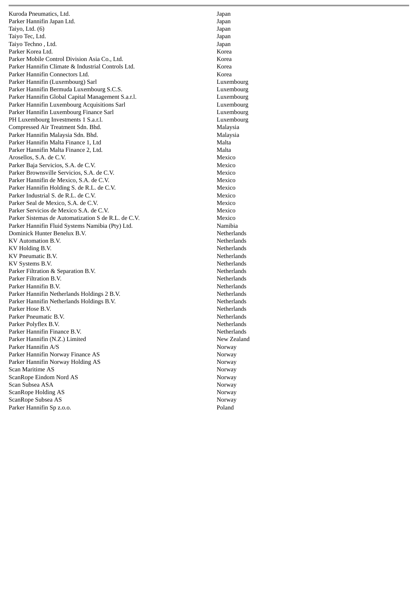Kuroda Pneumatics, Ltd. Japan Parker Hannifin Japan Ltd. Japan Taiyo, Ltd.  $(6)$ Taiyo Tec, Ltd. Japan Taiyo Techno , Ltd. Japan (1999) 1999 - Japan (1999) 1999 - Japan (1999) 1999 - Japan (1999) 1999 - Japan (1999) 1999 - Japan (1999) 1999 - Japan (1999) 1999 - Japan (1999) 1999 - Japan (1999) 1999 - Japan (1999) 1999 - Ja Parker Korea Ltd. Parker Mobile Control Division Asia Co., Ltd. Korea Parker Hannifin Climate & Industrial Controls Ltd. Parker Hannifin Connectors Ltd. Korea Parker Hannifin (Luxembourg) Sarl Parker Hannifin Bermuda Luxembourg S.C.S. Parker Hannifin Global Capital Management S.a.r.l. Parker Hannifin Luxembourg Acquisitions Sarl Parker Hannifin Luxembourg Finance Sarl PH Luxembourg Investments 1 S.a.r.l. Compressed Air Treatment Sdn. Bhd. Malaysia Parker Hannifin Malaysia Sdn. Bhd. Malaysia Parker Hannifin Malta Finance 1, Ltd<br>Parker Hannifin Malta Finance 2, Ltd. Malta Parker Hannifin Malta Finance 2, Ltd.<br>Arosellos, S.A. de C.V. Mexico Arosellos, S.A. de C.V.<br>
Parker Baia Servicios. S.A. de C.V.<br>
Mexico Parker Baja Servicios, S.A. de C.V. Parker Brownsville Servicios, S.A. de C.V. The matter of the Mexico Parker Hannifin de Mexico, S.A. de C.V. **Mexico** Mexico Parker Hannifin Holding S. de R.L. de C.V.<br>Parker Industrial S. de R.L. de C.V. Mexico Parker Industrial S. de R.L. de C.V. Mexico Parker Seal de Mexico, S.A. de C.V. Parker Servicios de Mexico S.A. de C.V.<br>Parker Sistemas de Automatization S de R.L. de C.V. (1998) Mexico Parker Sistemas de Automatization S de R.L. de C.V. Parker Hannifin Fluid Systems Namibia (Pty) Ltd.<br>Dominick Hunter Benelux B.V. Namibia (Pty) Ltd. Namibia (Pty) Netherlands Dominick Hunter Benelux B.V. Netherlands<br>
KV Automation B.V. Netherlands<br>
Netherlands KV Automation B.V.<br>
KV Holding B.V.<br>
Netherlands Netherlands KV Holding B.V. Netherlands and the second service of the service of the service of the Netherlands SN Netherlands (Netherlands SN Netherlands SN Netherlands SN Netherlands SN Netherlands SN Netherlands SN Netherlands (Net KV Pneumatic B.V. Netherlands (Separation 1995) and the set of the set of the Systems B.V. Netherlands (Separation 1995) and the Systems B.V. Netherlands (Separation 1995) and the Systems B.V. Systems B.V. Systems B.V. Sys KV Systems B.V.<br>
Parker Filtration & Separation B.V.<br>
Netherlands Parker Filtration & Separation B.V. Parker Filtration B.V. Netherlands and the set of the set of the set of the set of the Netherlands Parker Hannifin B.V. Netherlands and the Netherlands of the Netherlands of the Netherlands of the Netherlands of the Nether Parker Hannifin B.V.<br>
Parker Hannifin Netherlands Holdings 2 B.V.<br>
Netherlands Parker Hannifin Netherlands Holdings 2 B.V. Parker Hannifin Netherlands Holdings B.V. Netherlands Parker Hose B.V. Netherlands Parker Pneumatic B.V. Netherlands Parker Polyflex B.V. Netherlands Parker Hannifin Finance B.V. Netherlands Parker Hannifin (N.Z.) Limited New Zealand Parker Hannifin A/S Norway Parker Hannifin Norway Finance AS Norway Norway Parker Hannifin Norway Holding AS Norway Scan Maritime AS Norway ScanRope Eindom Nord AS Norway Norway Norway Norway Norway Scan Subsea ASA Norway Norway Norway Norway Norway Norway Norway Norway Norway Norway Norway Norway Norway Norway Norway Norway Norway Norway Norway Norway Norway Norway Norway Norway Norway Norway Norway Norway Norway Nor ScanRope Holding AS Norway ScanRope Subsea AS Norway Parker Hannifin Sp z.o.o.

Luxembourg Luxembourg Luxembourg Luxembourg Luxembourg Luxembourg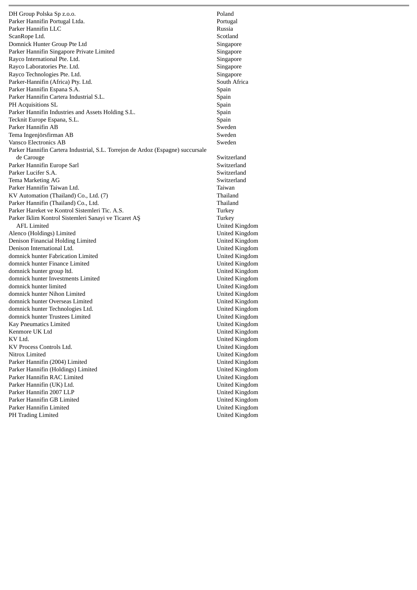DH Group Polska Sp z.o.o. **Poland** Parker Hannifin Portugal Ltda. Portugal Parker Hannifin LLC<br>
ScanRope Ltd.<br>
ScanRope Ltd.<br>
ScanRope Ltd. ScanRope Ltd. Domnick Hunter Group Pte Ltd<br>
Parker Hannifin Singapore Private Limited<br>
Singapore Parker Hannifin Singapore Private Limited Rayco International Pte. Ltd. <br>
Rayco Laboratories Pte. Ltd. 
Singapore Rayco Laboratories Pte. Ltd. Rayco Technologies Pte. Ltd. <br>
Parker-Hannifin (Africa) Ptv. Ltd. South Africa Parker-Hannifin (Africa) Pty. Ltd. South Parker Hannifin Espana S.A. South Spain Parker Hannifin Espana S.A. Parker Hannifin Cartera Industrial S.L.<br>PH Acquisitions SL Spain PH Acquisitions SL<br>
Parker Hannifin Industries and Assets Holding S.L.<br>
Spain Parker Hannifin Industries and Assets Holding S.L. Spain Tecknit Europe Espain Spain Tecknit Europe Espana, S.L. Spain Spain Spain Spain Spain Spain Spain Spain Spain Sweden Sweden Sweden Sweden Sweden Sweden Sweden Sweden Sweden Sweden Sweden Sweden Sweden Sweden Sweden Sweden Sweden Sweden Sweden Sweden Parker Hannifin AB Tema Ingenjörsfirman AB Sweden Vansco Electronics AB Parker Hannifin Cartera Industrial, S.L. Torrejon de Ardoz (Espagne) succursale de Carouge Switzerland<br>
1999 - Switzerland<br>
1999 - Switzerland<br>
Switzerland<br>
Switzerland Parker Hannifin Europe Sarl Parker Lucifer S.A. Switzerland Tema Marketing AG Switzerland Parker Hannifin Taiwan Ltd. Taiwan KV Automation (Thailand) Co., Ltd. (7) <br>
Parker Hannifin (Thailand) Co., Ltd. (7) Thailand (7) Thailand (7) Thailand (7) Thailand (7) Thailand (7) Thailand (7) Thailand (7) Thailand (7) Thailand (7) Thailand (7) Thailand ( Parker Hannifin (Thailand) Co., Ltd. Parker Hareket ve Kontrol Sistemleri Tic. A.S.<br>Parker Iklim Kontrol Sistemleri Sanayi ve Ticaret A.S. Turkey Turkey Parker Iklim Kontrol Sistemleri Sanayi ve Ticaret AŞ AFL Limited United Kingdom<br>Particle United United United Kingdom<br>Particle United Kingdom Alenco (Holdings) Limited **Material Construction Construction** United Kingdom Denison Financial Holding Limited **Kingdom** Denison Financial Holding Limited **Exercífical Constanting Constanting Constanting Constanting Constanting Constanting Constanting Constanting Constanting Constanting Constanting Constanting Constanting Constanting Constan** Denison International Ltd. United Kingdom domnick hunter Fabrication Limited **Exercise 2** United Kingdom domnick hunter Finance Limited **Exercise 2 1999** United Kingdom domnick hunter Finance Limited **Exercise 2 1999** United Kingdom domnick hunter Finance Limited domnick hunter Finance Limited and the settlement of the United Kingdom domnick hunter group ltd. United Kingdom United Kingdom domnick hunter group ltd. domnick hunter group ltd. domnick hunter Investments Limited **Example 2** United Kingdom domnick hunter limited **United Kingdom** domnick hunter limited domnick hunter Nihon Limited **Example 2018** United Kingdom domnick hunter Overseas Limited **Example 2018** United Kingdom domnick hunter Technologies Ltd. United Kingdom domnick hunter Trustees Limited **Example 2018** United Kingdom Kay Pneumatics Limited United Kingdom Kenmore UK Ltd United Kingdom United Kingdom UK Ltd United Kingdom United Kingdom KV Ltd. United Kingdom KV Process Controls Ltd. Nitrox Limited United Kingdom Parker Hannifin (2004) Limited Kingdom Parker Hannifin (2004) Limited Kingdom Parker Hannifin (2004) Limited Kingdom Parker Hannifin (2004) Limited Kingdom Parker Hannifin (2004) Limited Kingd Parker Hannifin (2004) Limited Parker Hannifin (Holdings) Limited **Example 2** United Kingdom Parker Hannifin RAC Limited **Example 2** and the United Kingdom Parker Hannifin (UK) Ltd. **Example 2018** United Kingdom United Kingdom Parker Hannifin 2007 LLP United Kingdom Parker Hannifin GB Limited **Example 2018** United Kingdom Parker Hannifin Limited **Example 2** United Kingdom PH Trading Limited Kingdom PH Trading Limited Kingdom PH Trading Limited Kingdom PH Trading Limited Kingdom PH Trading Limited Kingdom PH Trading Limited Kingdom PH Tradin PH Trading Limited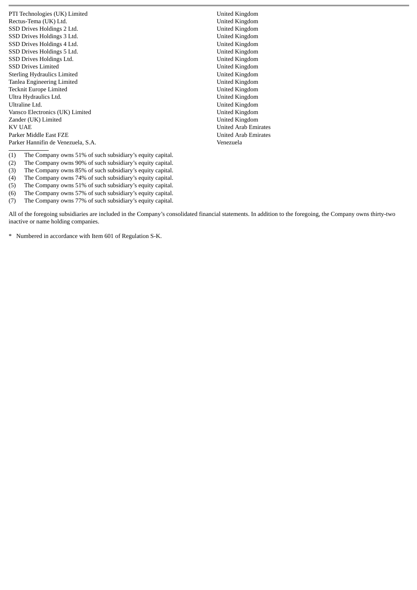PTI Technologies (UK) Limited **Exercía e a Constantinople Constantinople Constantinople Constantinople Constantinople Constantinople Constantinople Constantinople Constantinople Constantinople Constantinople Constantinople** Rectus-Tema (UK) Ltd. United Kingdom SSD Drives Holdings 2 Ltd. United Kingdom SSD Drives Holdings 3 Ltd. United Kingdom<br>SSD Drives Holdings 4 Ltd. United Kingdom<br>United Kingdom SSD Drives Holdings 4 Ltd. United Kingdom SSD Drives Holdings 5 Ltd. United Kingdom United Kingdom United Kingdom SSD Drives Holdings 5 Ltd. United Kingdom<br>SSD Drives Holdings Ltd. United Kingdom<br>United Kingdom SSD Drives Holdings Ltd. United Kingdom SSD Drives Limited Wingdom Sterling Hydraulics Limited Kingdom Sterling Hydraulics Limited Kingdom Sterling Hydraulics Limited Kingdom Sterling Hydraulics Limited Kingdom Sterling Hydraulics Limited Kingdom Sterling Hydrau Sterling Hydraulics Limited **Exercise 2** and the United Kingdom Tanlea Engineering Limited Kingdom Tanlea Engineering Limited Tanlea Engineering Limited **Engineering Limited Community Community** United Kingdom Tecknit Europe Limited Kingdom Tecknit Europe Limited United Kingdom Ultra Hydraulics Ltd.<br>Ultraline Ltd. Vansco Electronics (UK) Limited <br>
Zander (UK) Limited United Kingdom<br>
United Kingdom Zander (UK) Limited<br>KV UAE Parker Middle East FZE<br>Parker Hannifin de Venezuela, S.A. Parker Hannifin de Venezuela Parker Hannifin de Venezuela, S.A.

- United Kingdom<br>United Kingdom **United Arab Emirates**<br>United Arab Emirates
- (1) The Company owns 51% of such subsidiary's equity capital.
- (2) The Company owns 90% of such subsidiary's equity capital.
- (3) The Company owns 85% of such subsidiary's equity capital.
- (4) The Company owns 74% of such subsidiary's equity capital.
- (5) The Company owns 51% of such subsidiary's equity capital.
- (6) The Company owns 57% of such subsidiary's equity capital.
- (7) The Company owns 77% of such subsidiary's equity capital.

All of the foregoing subsidiaries are included in the Company's consolidated financial statements. In addition to the foregoing, the Company owns thirty-two inactive or name holding companies.

\* Numbered in accordance with Item 601 of Regulation S-K.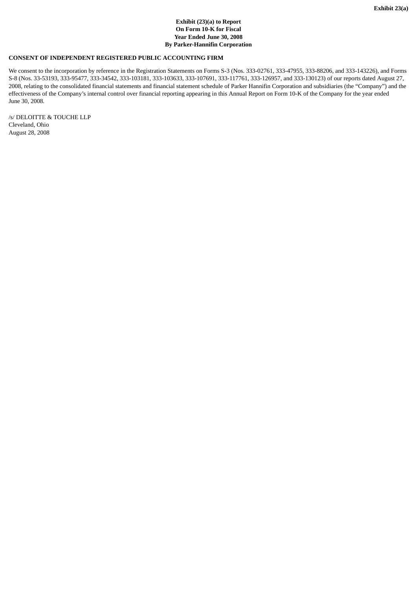## **Exhibit (23)(a) to Report On Form 10-K for Fiscal Year Ended June 30, 2008 By Parker-Hannifin Corporation**

# **CONSENT OF INDEPENDENT REGISTERED PUBLIC ACCOUNTING FIRM**

We consent to the incorporation by reference in the Registration Statements on Forms S-3 (Nos. 333-02761, 333-47955, 333-88206, and 333-143226), and Forms S-8 (Nos. 33-53193, 333-95477, 333-34542, 333-103181, 333-103633, 333-107691, 333-117761, 333-126957, and 333-130123) of our reports dated August 27, 2008, relating to the consolidated financial statements and financial statement schedule of Parker Hannifin Corporation and subsidiaries (the "Company") and the effectiveness of the Company's internal control over financial reporting appearing in this Annual Report on Form 10-K of the Company for the year ended June 30, 2008.

/s/ DELOITTE & TOUCHE LLP Cleveland, Ohio August 28, 2008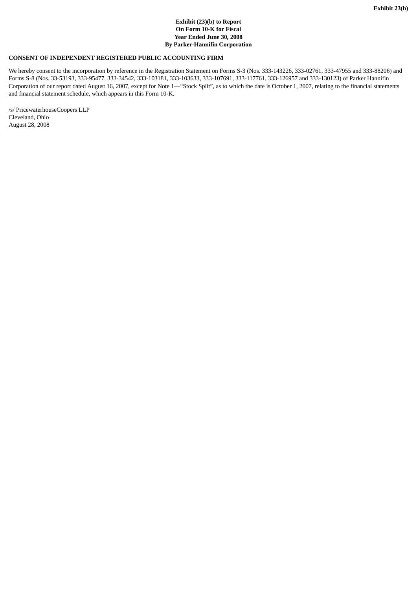## **Exhibit (23)(b) to Report On Form 10-K for Fiscal Year Ended June 30, 2008 By Parker-Hannifin Corporation**

# **CONSENT OF INDEPENDENT REGISTERED PUBLIC ACCOUNTING FIRM**

We hereby consent to the incorporation by reference in the Registration Statement on Forms S-3 (Nos. 333-143226, 333-02761, 333-47955 and 333-88206) and Forms S-8 (Nos. 33-53193, 333-95477, 333-34542, 333-103181, 333-103633, 333-107691, 333-117761, 333-126957 and 333-130123) of Parker Hannifin Corporation of our report dated August 16, 2007, except for Note 1—"Stock Split", as to which the date is October 1, 2007, relating to the financial statements and financial statement schedule, which appears in this Form 10-K.

/s/ PricewaterhouseCoopers LLP Cleveland, Ohio August 28, 2008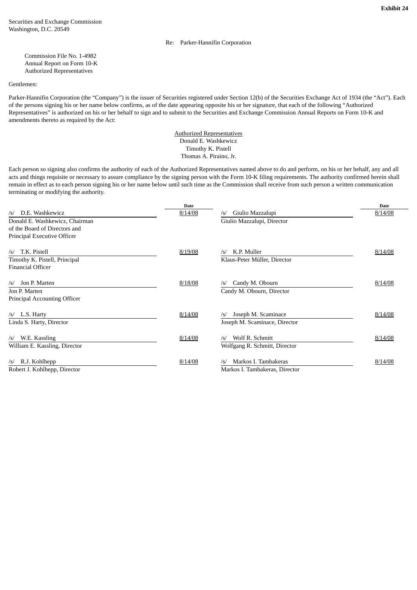## Re: Parker-Hannifin Corporation

Commission File No. 1-4982 Annual Report on Form 10-K Authorized Representatives

#### Gentlemen:

Parker-Hannifin Corporation (the "Company") is the issuer of Securities registered under Section 12(b) of the Securities Exchange Act of 1934 (the "Act"). Each of the persons signing his or her name below confirms, as of the date appearing opposite his or her signature, that each of the following "Authorized Representatives" is authorized on his or her behalf to sign and to submit to the Securities and Exchange Commission Annual Reports on Form 10-K and amendments thereto as required by the Act:

> Authorized Representatives Donald E. Washkewicz Timothy K. Pistell Thomas A. Piraino, Jr.

Each person so signing also confirms the authority of each of the Authorized Representatives named above to do and perform, on his or her behalf, any and all acts and things requisite or necessary to assure compliance by the signing person with the Form 10-K filing requirements. The authority confirmed herein shall remain in effect as to each person signing his or her name below until such time as the Commission shall receive from such person a written communication terminating or modifying the authority.

|                                | Date    |                                    | <b>Date</b> |
|--------------------------------|---------|------------------------------------|-------------|
| D.E. Washkewicz<br>$\sqrt{s}$  | 8/14/08 | Giulio Mazzalupi<br>/s/            | 8/14/08     |
| Donald E. Washkewicz, Chairman |         | Giulio Mazzalupi, Director         |             |
| of the Board of Directors and  |         |                                    |             |
| Principal Executive Officer    |         |                                    |             |
| T.K. Pistell<br>/s/            | 8/19/08 | K.P. Muller<br>$\sqrt{s}$          | 8/14/08     |
| Timothy K. Pistell, Principal  |         | Klaus-Peter Müller, Director       |             |
| <b>Financial Officer</b>       |         |                                    |             |
| Jon P. Marten<br>$\sqrt{s}$    | 8/18/08 | Candy M. Obourn<br>/s/             | 8/14/08     |
| Jon P. Marten                  |         | Candy M. Obourn, Director          |             |
| Principal Accounting Officer   |         |                                    |             |
| L.S. Harty<br>$\sqrt{s}$       | 8/14/08 | Joseph M. Scaminace<br>/s/         | 8/14/08     |
| Linda S. Harty, Director       |         | Joseph M. Scaminace, Director      |             |
| W.E. Kassling<br>$\sqrt{s}$    | 8/14/08 | Wolf R. Schmitt<br>/s/             | 8/14/08     |
| William E. Kassling, Director  |         | Wolfgang R. Schmitt, Director      |             |
| R.J. Kohlhepp<br>$\sqrt{s}$    | 8/14/08 | Markos I. Tambakeras<br>$\sqrt{s}$ | 8/14/08     |
| Robert J. Kohlhepp, Director   |         | Markos I. Tambakeras, Director     |             |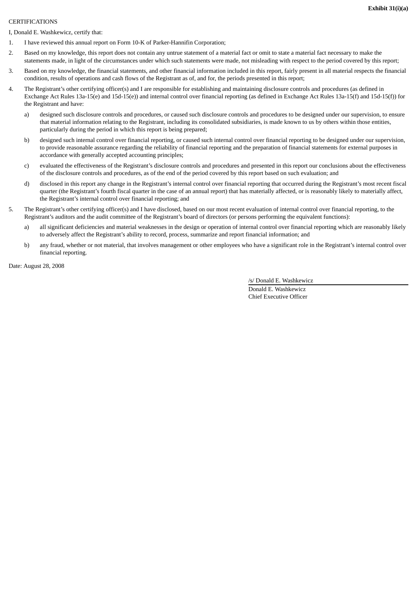#### **CERTIFICATIONS**

I, Donald E. Washkewicz, certify that:

- 1. I have reviewed this annual report on Form 10-K of Parker-Hannifin Corporation;
- 2. Based on my knowledge, this report does not contain any untrue statement of a material fact or omit to state a material fact necessary to make the statements made, in light of the circumstances under which such statements were made, not misleading with respect to the period covered by this report;
- 3. Based on my knowledge, the financial statements, and other financial information included in this report, fairly present in all material respects the financial condition, results of operations and cash flows of the Registrant as of, and for, the periods presented in this report;
- 4. The Registrant's other certifying officer(s) and I are responsible for establishing and maintaining disclosure controls and procedures (as defined in Exchange Act Rules 13a-15(e) and 15d-15(e)) and internal control over financial reporting (as defined in Exchange Act Rules 13a-15(f) and 15d-15(f)) for the Registrant and have:
	- a) designed such disclosure controls and procedures, or caused such disclosure controls and procedures to be designed under our supervision, to ensure that material information relating to the Registrant, including its consolidated subsidiaries, is made known to us by others within those entities, particularly during the period in which this report is being prepared;
	- b) designed such internal control over financial reporting, or caused such internal control over financial reporting to be designed under our supervision, to provide reasonable assurance regarding the reliability of financial reporting and the preparation of financial statements for external purposes in accordance with generally accepted accounting principles;
	- c) evaluated the effectiveness of the Registrant's disclosure controls and procedures and presented in this report our conclusions about the effectiveness of the disclosure controls and procedures, as of the end of the period covered by this report based on such evaluation; and
	- d) disclosed in this report any change in the Registrant's internal control over financial reporting that occurred during the Registrant's most recent fiscal quarter (the Registrant's fourth fiscal quarter in the case of an annual report) that has materially affected, or is reasonably likely to materially affect, the Registrant's internal control over financial reporting; and
- 5. The Registrant's other certifying officer(s) and I have disclosed, based on our most recent evaluation of internal control over financial reporting, to the Registrant's auditors and the audit committee of the Registrant's board of directors (or persons performing the equivalent functions):
	- a) all significant deficiencies and material weaknesses in the design or operation of internal control over financial reporting which are reasonably likely to adversely affect the Registrant's ability to record, process, summarize and report financial information; and
	- b) any fraud, whether or not material, that involves management or other employees who have a significant role in the Registrant's internal control over financial reporting.

Date: August 28, 2008

/s/ Donald E. Washkewicz Donald E. Washkewicz Chief Executive Officer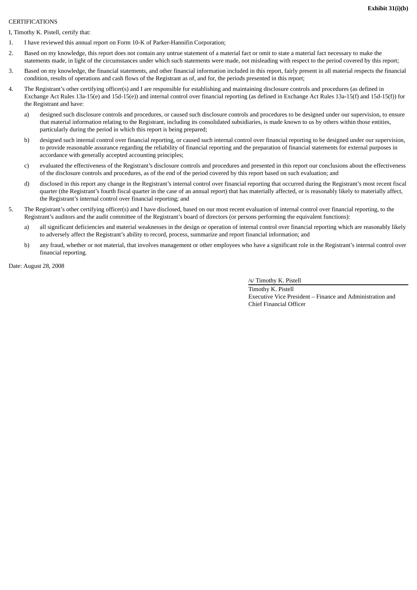#### **CERTIFICATIONS**

I, Timothy K. Pistell, certify that:

- 1. I have reviewed this annual report on Form 10-K of Parker-Hannifin Corporation;
- 2. Based on my knowledge, this report does not contain any untrue statement of a material fact or omit to state a material fact necessary to make the statements made, in light of the circumstances under which such statements were made, not misleading with respect to the period covered by this report;
- 3. Based on my knowledge, the financial statements, and other financial information included in this report, fairly present in all material respects the financial condition, results of operations and cash flows of the Registrant as of, and for, the periods presented in this report;
- 4. The Registrant's other certifying officer(s) and I are responsible for establishing and maintaining disclosure controls and procedures (as defined in Exchange Act Rules 13a-15(e) and 15d-15(e)) and internal control over financial reporting (as defined in Exchange Act Rules 13a-15(f) and 15d-15(f)) for the Registrant and have:
	- a) designed such disclosure controls and procedures, or caused such disclosure controls and procedures to be designed under our supervision, to ensure that material information relating to the Registrant, including its consolidated subsidiaries, is made known to us by others within those entities, particularly during the period in which this report is being prepared;
	- b) designed such internal control over financial reporting, or caused such internal control over financial reporting to be designed under our supervision, to provide reasonable assurance regarding the reliability of financial reporting and the preparation of financial statements for external purposes in accordance with generally accepted accounting principles;
	- c) evaluated the effectiveness of the Registrant's disclosure controls and procedures and presented in this report our conclusions about the effectiveness of the disclosure controls and procedures, as of the end of the period covered by this report based on such evaluation; and
	- d) disclosed in this report any change in the Registrant's internal control over financial reporting that occurred during the Registrant's most recent fiscal quarter (the Registrant's fourth fiscal quarter in the case of an annual report) that has materially affected, or is reasonably likely to materially affect, the Registrant's internal control over financial reporting; and
- 5. The Registrant's other certifying officer(s) and I have disclosed, based on our most recent evaluation of internal control over financial reporting, to the Registrant's auditors and the audit committee of the Registrant's board of directors (or persons performing the equivalent functions):
	- a) all significant deficiencies and material weaknesses in the design or operation of internal control over financial reporting which are reasonably likely to adversely affect the Registrant's ability to record, process, summarize and report financial information; and
	- b) any fraud, whether or not material, that involves management or other employees who have a significant role in the Registrant's internal control over financial reporting.

Date: August 28, 2008

/s/ Timothy K. Pistell

Timothy K. Pistell Executive Vice President – Finance and Administration and Chief Financial Officer